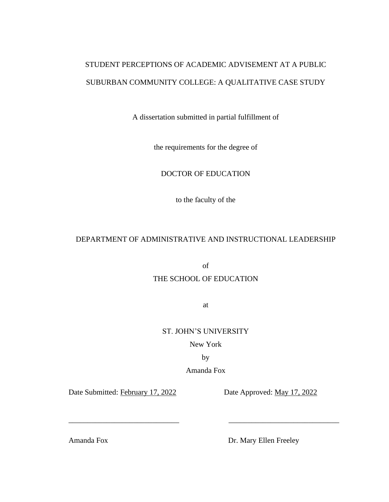# STUDENT PERCEPTIONS OF ACADEMIC ADVISEMENT AT A PUBLIC SUBURBAN COMMUNITY COLLEGE: A QUALITATIVE CASE STUDY

A dissertation submitted in partial fulfillment of

the requirements for the degree of

# DOCTOR OF EDUCATION

to the faculty of the

# DEPARTMENT OF ADMINISTRATIVE AND INSTRUCTIONAL LEADERSHIP

of

## THE SCHOOL OF EDUCATION

at

ST. JOHN'S UNIVERSITY

New York

by

Amanda Fox

\_\_\_\_\_\_\_\_\_\_\_\_\_\_\_\_\_\_\_\_\_\_\_\_\_\_\_\_\_ \_\_\_\_\_\_\_\_\_\_\_\_\_\_\_\_\_\_\_\_\_\_\_\_\_\_\_\_\_

Date Submitted: February 17, 2022 Date Approved: May 17, 2022

Amanda Fox Dr. Mary Ellen Freeley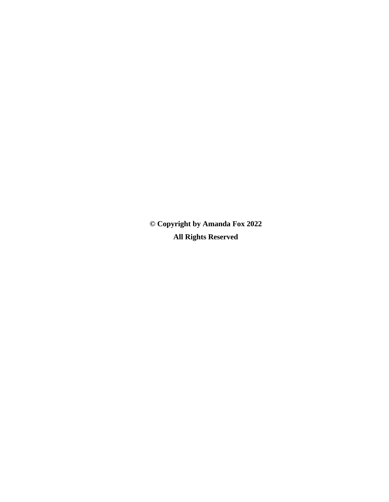**© Copyright by Amanda Fox 2022 All Rights Reserved**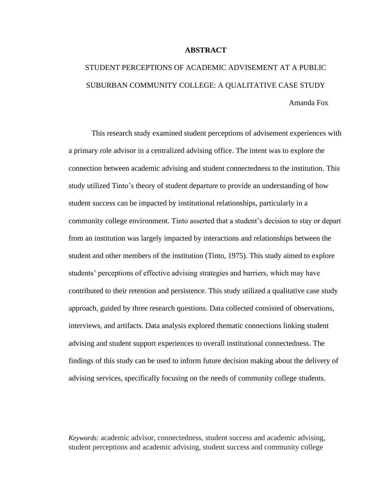#### **ABSTRACT**

# STUDENT PERCEPTIONS OF ACADEMIC ADVISEMENT AT A PUBLIC SUBURBAN COMMUNITY COLLEGE: A QUALITATIVE CASE STUDY Amanda Fox

This research study examined student perceptions of advisement experiences with a primary role advisor in a centralized advising office. The intent was to explore the connection between academic advising and student connectedness to the institution. This study utilized Tinto's theory of student departure to provide an understanding of how student success can be impacted by institutional relationships, particularly in a community college environment. Tinto asserted that a student's decision to stay or depart from an institution was largely impacted by interactions and relationships between the student and other members of the institution (Tinto, 1975). This study aimed to explore students' perceptions of effective advising strategies and barriers, which may have contributed to their retention and persistence. This study utilized a qualitative case study approach, guided by three research questions. Data collected consisted of observations, interviews, and artifacts. Data analysis explored thematic connections linking student advising and student support experiences to overall institutional connectedness. The findings of this study can be used to inform future decision making about the delivery of advising services, specifically focusing on the needs of community college students.

*Keywords:* academic advisor, connectedness, student success and academic advising, student perceptions and academic advising, student success and community college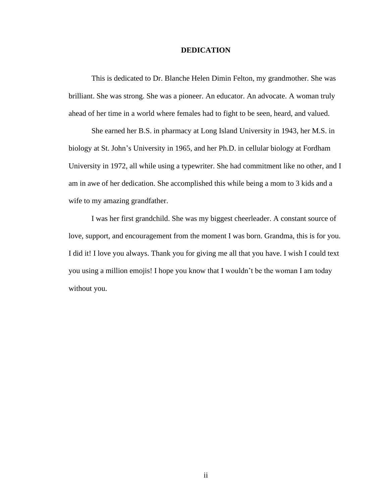#### **DEDICATION**

This is dedicated to Dr. Blanche Helen Dimin Felton, my grandmother. She was brilliant. She was strong. She was a pioneer. An educator. An advocate. A woman truly ahead of her time in a world where females had to fight to be seen, heard, and valued.

She earned her B.S. in pharmacy at Long Island University in 1943, her M.S. in biology at St. John's University in 1965, and her Ph.D. in cellular biology at Fordham University in 1972, all while using a typewriter. She had commitment like no other, and I am in awe of her dedication. She accomplished this while being a mom to 3 kids and a wife to my amazing grandfather.

I was her first grandchild. She was my biggest cheerleader. A constant source of love, support, and encouragement from the moment I was born. Grandma, this is for you. I did it! I love you always. Thank you for giving me all that you have. I wish I could text you using a million emojis! I hope you know that I wouldn't be the woman I am today without you.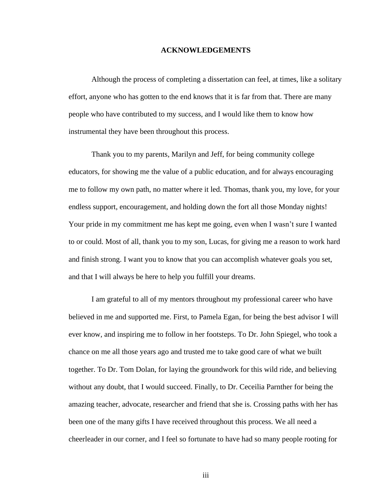#### **ACKNOWLEDGEMENTS**

Although the process of completing a dissertation can feel, at times, like a solitary effort, anyone who has gotten to the end knows that it is far from that. There are many people who have contributed to my success, and I would like them to know how instrumental they have been throughout this process.

Thank you to my parents, Marilyn and Jeff, for being community college educators, for showing me the value of a public education, and for always encouraging me to follow my own path, no matter where it led. Thomas, thank you, my love, for your endless support, encouragement, and holding down the fort all those Monday nights! Your pride in my commitment me has kept me going, even when I wasn't sure I wanted to or could. Most of all, thank you to my son, Lucas, for giving me a reason to work hard and finish strong. I want you to know that you can accomplish whatever goals you set, and that I will always be here to help you fulfill your dreams.

I am grateful to all of my mentors throughout my professional career who have believed in me and supported me. First, to Pamela Egan, for being the best advisor I will ever know, and inspiring me to follow in her footsteps. To Dr. John Spiegel, who took a chance on me all those years ago and trusted me to take good care of what we built together. To Dr. Tom Dolan, for laying the groundwork for this wild ride, and believing without any doubt, that I would succeed. Finally, to Dr. Ceceilia Parnther for being the amazing teacher, advocate, researcher and friend that she is. Crossing paths with her has been one of the many gifts I have received throughout this process. We all need a cheerleader in our corner, and I feel so fortunate to have had so many people rooting for

iii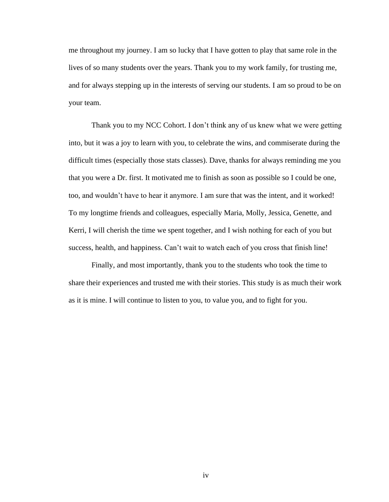me throughout my journey. I am so lucky that I have gotten to play that same role in the lives of so many students over the years. Thank you to my work family, for trusting me, and for always stepping up in the interests of serving our students. I am so proud to be on your team.

Thank you to my NCC Cohort. I don't think any of us knew what we were getting into, but it was a joy to learn with you, to celebrate the wins, and commiserate during the difficult times (especially those stats classes). Dave, thanks for always reminding me you that you were a Dr. first. It motivated me to finish as soon as possible so I could be one, too, and wouldn't have to hear it anymore. I am sure that was the intent, and it worked! To my longtime friends and colleagues, especially Maria, Molly, Jessica, Genette, and Kerri, I will cherish the time we spent together, and I wish nothing for each of you but success, health, and happiness. Can't wait to watch each of you cross that finish line!

Finally, and most importantly, thank you to the students who took the time to share their experiences and trusted me with their stories. This study is as much their work as it is mine. I will continue to listen to you, to value you, and to fight for you.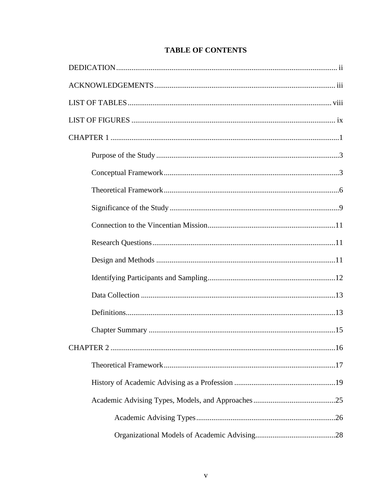# **TABLE OF CONTENTS**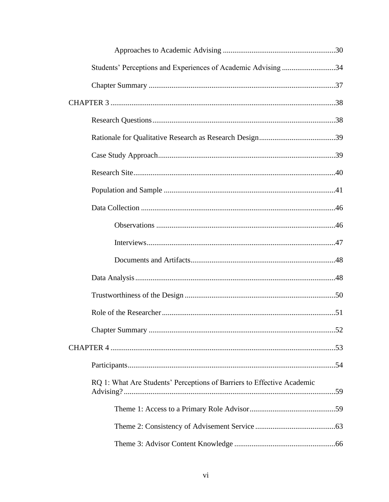| Students' Perceptions and Experiences of Academic Advising 34          |  |  |  |  |  |  |
|------------------------------------------------------------------------|--|--|--|--|--|--|
|                                                                        |  |  |  |  |  |  |
|                                                                        |  |  |  |  |  |  |
|                                                                        |  |  |  |  |  |  |
|                                                                        |  |  |  |  |  |  |
|                                                                        |  |  |  |  |  |  |
|                                                                        |  |  |  |  |  |  |
|                                                                        |  |  |  |  |  |  |
|                                                                        |  |  |  |  |  |  |
|                                                                        |  |  |  |  |  |  |
|                                                                        |  |  |  |  |  |  |
|                                                                        |  |  |  |  |  |  |
|                                                                        |  |  |  |  |  |  |
|                                                                        |  |  |  |  |  |  |
|                                                                        |  |  |  |  |  |  |
|                                                                        |  |  |  |  |  |  |
|                                                                        |  |  |  |  |  |  |
|                                                                        |  |  |  |  |  |  |
| RQ 1: What Are Students' Perceptions of Barriers to Effective Academic |  |  |  |  |  |  |
|                                                                        |  |  |  |  |  |  |
|                                                                        |  |  |  |  |  |  |
|                                                                        |  |  |  |  |  |  |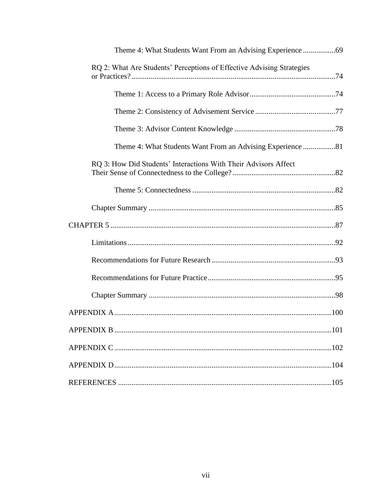| RQ 2: What Are Students' Perceptions of Effective Advising Strategies |      |  |  |  |  |
|-----------------------------------------------------------------------|------|--|--|--|--|
|                                                                       |      |  |  |  |  |
|                                                                       |      |  |  |  |  |
|                                                                       |      |  |  |  |  |
|                                                                       |      |  |  |  |  |
| RQ 3: How Did Students' Interactions With Their Advisors Affect       |      |  |  |  |  |
|                                                                       |      |  |  |  |  |
|                                                                       |      |  |  |  |  |
|                                                                       |      |  |  |  |  |
|                                                                       |      |  |  |  |  |
|                                                                       |      |  |  |  |  |
|                                                                       |      |  |  |  |  |
|                                                                       |      |  |  |  |  |
|                                                                       |      |  |  |  |  |
| <b>APPENDIX B</b>                                                     | .101 |  |  |  |  |
|                                                                       |      |  |  |  |  |
|                                                                       |      |  |  |  |  |
|                                                                       |      |  |  |  |  |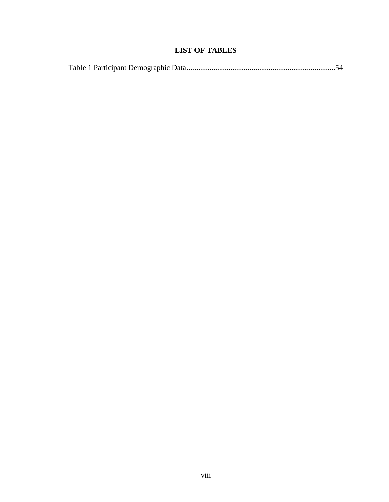# **LIST OF TABLES**

|--|--|--|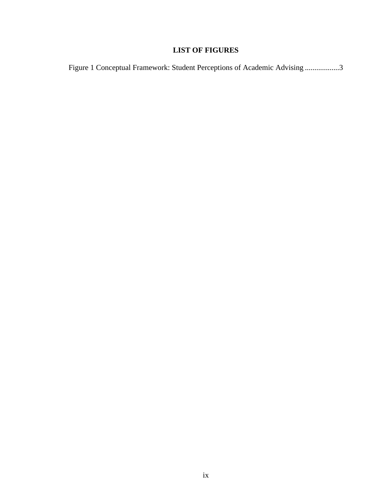# **LIST OF FIGURES**

|  |  | Figure 1 Conceptual Framework: Student Perceptions of Academic Advising 3 |  |
|--|--|---------------------------------------------------------------------------|--|
|  |  |                                                                           |  |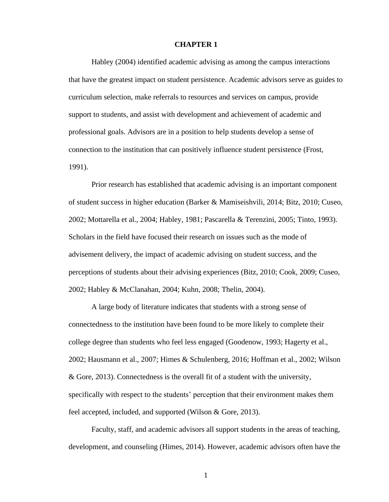#### **CHAPTER 1**

Habley (2004) identified academic advising as among the campus interactions that have the greatest impact on student persistence. Academic advisors serve as guides to curriculum selection, make referrals to resources and services on campus, provide support to students, and assist with development and achievement of academic and professional goals. Advisors are in a position to help students develop a sense of connection to the institution that can positively influence student persistence (Frost, 1991).

Prior research has established that academic advising is an important component of student success in higher education (Barker & Mamiseishvili, 2014; Bitz, 2010; Cuseo, 2002; Mottarella et al., 2004; Habley, 1981; Pascarella & Terenzini, 2005; Tinto, 1993). Scholars in the field have focused their research on issues such as the mode of advisement delivery, the impact of academic advising on student success, and the perceptions of students about their advising experiences (Bitz, 2010; Cook, 2009; Cuseo, 2002; Habley & McClanahan, 2004; Kuhn, 2008; Thelin, 2004).

A large body of literature indicates that students with a strong sense of connectedness to the institution have been found to be more likely to complete their college degree than students who feel less engaged (Goodenow, 1993; Hagerty et al., 2002; Hausmann et al., 2007; Himes & Schulenberg, 2016; Hoffman et al., 2002; Wilson & Gore, 2013). Connectedness is the overall fit of a student with the university, specifically with respect to the students' perception that their environment makes them feel accepted, included, and supported (Wilson & Gore, 2013).

Faculty, staff, and academic advisors all support students in the areas of teaching, development, and counseling (Himes, 2014). However, academic advisors often have the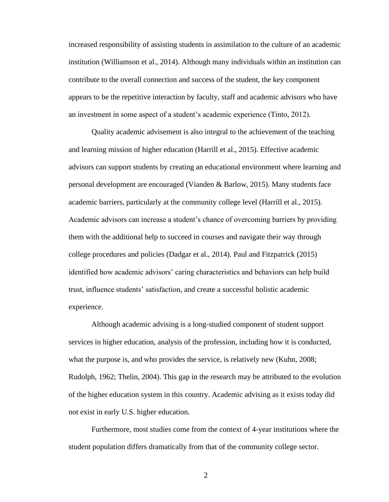increased responsibility of assisting students in assimilation to the culture of an academic institution (Williamson et al., 2014). Although many individuals within an institution can contribute to the overall connection and success of the student, the key component appears to be the repetitive interaction by faculty, staff and academic advisors who have an investment in some aspect of a student's academic experience (Tinto, 2012).

Quality academic advisement is also integral to the achievement of the teaching and learning mission of higher education (Harrill et al., 2015). Effective academic advisors can support students by creating an educational environment where learning and personal development are encouraged (Vianden & Barlow, 2015). Many students face academic barriers, particularly at the community college level (Harrill et al., 2015). Academic advisors can increase a student's chance of overcoming barriers by providing them with the additional help to succeed in courses and navigate their way through college procedures and policies (Dadgar et al., 2014). Paul and Fitzpatrick (2015) identified how academic advisors' caring characteristics and behaviors can help build trust, influence students' satisfaction, and create a successful holistic academic experience.

Although academic advising is a long-studied component of student support services in higher education, analysis of the profession, including how it is conducted, what the purpose is, and who provides the service, is relatively new (Kuhn, 2008; Rudolph, 1962; Thelin, 2004). This gap in the research may be attributed to the evolution of the higher education system in this country. Academic advising as it exists today did not exist in early U.S. higher education.

Furthermore, most studies come from the context of 4-year institutions where the student population differs dramatically from that of the community college sector.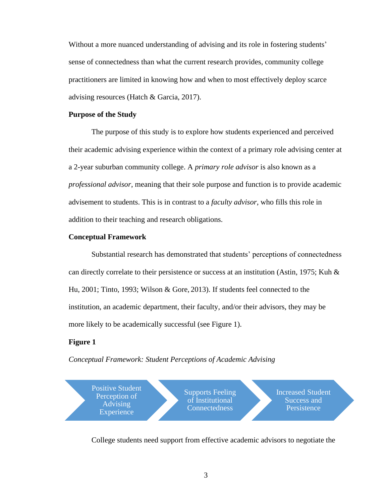Without a more nuanced understanding of advising and its role in fostering students' sense of connectedness than what the current research provides, community college practitioners are limited in knowing how and when to most effectively deploy scarce advising resources (Hatch & Garcia, 2017).

#### **Purpose of the Study**

The purpose of this study is to explore how students experienced and perceived their academic advising experience within the context of a primary role advising center at a 2-year suburban community college. A *primary role advisor* is also known as a *professional advisor*, meaning that their sole purpose and function is to provide academic advisement to students. This is in contrast to a *faculty advisor*, who fills this role in addition to their teaching and research obligations.

#### **Conceptual Framework**

Substantial research has demonstrated that students' perceptions of connectedness can directly correlate to their persistence or success at an institution (Astin, 1975; Kuh & Hu, 2001; Tinto, 1993; Wilson & Gore, 2013). If students feel connected to the institution, an academic department, their faculty, and/or their advisors, they may be more likely to be academically successful (see Figure 1).

## **Figure 1**

*Conceptual Framework: Student Perceptions of Academic Advising*



College students need support from effective academic advisors to negotiate the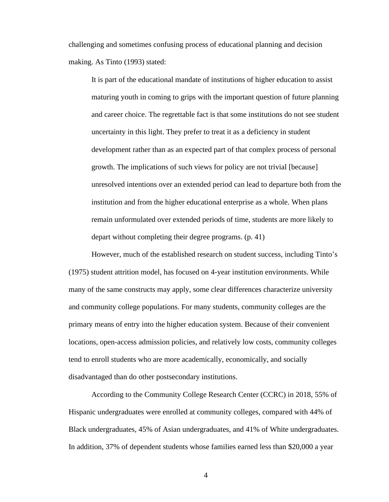challenging and sometimes confusing process of educational planning and decision making. As Tinto (1993) stated:

It is part of the educational mandate of institutions of higher education to assist maturing youth in coming to grips with the important question of future planning and career choice. The regrettable fact is that some institutions do not see student uncertainty in this light. They prefer to treat it as a deficiency in student development rather than as an expected part of that complex process of personal growth. The implications of such views for policy are not trivial [because] unresolved intentions over an extended period can lead to departure both from the institution and from the higher educational enterprise as a whole. When plans remain unformulated over extended periods of time, students are more likely to depart without completing their degree programs. (p. 41)

However, much of the established research on student success, including Tinto's (1975) student attrition model, has focused on 4-year institution environments. While many of the same constructs may apply, some clear differences characterize university and community college populations. For many students, community colleges are the primary means of entry into the higher education system. Because of their convenient locations, open-access admission policies, and relatively low costs, community colleges tend to enroll students who are more academically, economically, and socially disadvantaged than do other postsecondary institutions.

According to the Community College Research Center (CCRC) in 2018, 55% of Hispanic undergraduates were enrolled at community colleges, compared with 44% of Black undergraduates, 45% of Asian undergraduates, and 41% of White undergraduates. In addition, 37% of dependent students whose families earned less than \$20,000 a year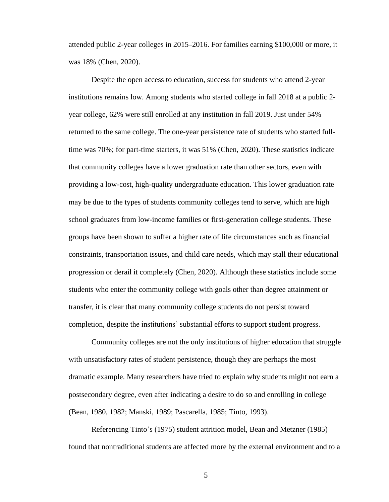attended public 2-year colleges in 2015–2016. For families earning \$100,000 or more, it was 18% (Chen, 2020).

Despite the open access to education, success for students who attend 2-year institutions remains low. Among students who started college in fall 2018 at a public 2 year college, 62% were still enrolled at any institution in fall 2019. Just under 54% returned to the same college. The one-year persistence rate of students who started fulltime was 70%; for part-time starters, it was 51% (Chen, 2020). These statistics indicate that community colleges have a lower graduation rate than other sectors, even with providing a low-cost, high-quality undergraduate education. This lower graduation rate may be due to the types of students community colleges tend to serve, which are high school graduates from [low-income](https://www.communitycollegereview.com/blog/single-parents-find-special-financial-support-at-community-colleges) families or first-generation college students. These groups have been shown to suffer a higher rate of life circumstances such as financial constraints, transportation issues, and child care [needs,](https://www.communitycollegereview.com/blog/finding-childcare-on-community-college-campuses) which may stall their educational progression or derail it completely (Chen, 2020). Although these statistics include some students who enter the community college with goals other than degree attainment or transfer, it is clear that many community college students do not persist toward completion, despite the institutions' substantial efforts to support student progress.

Community colleges are not the only institutions of higher education that struggle with unsatisfactory rates of student persistence, though they are perhaps the most dramatic example. Many researchers have tried to explain why students might not earn a postsecondary degree, even after indicating a desire to do so and enrolling in college (Bean, 1980, 1982; Manski, 1989; Pascarella, 1985; Tinto, 1993).

Referencing Tinto's (1975) student attrition model, Bean and Metzner (1985) found that nontraditional students are affected more by the external environment and to a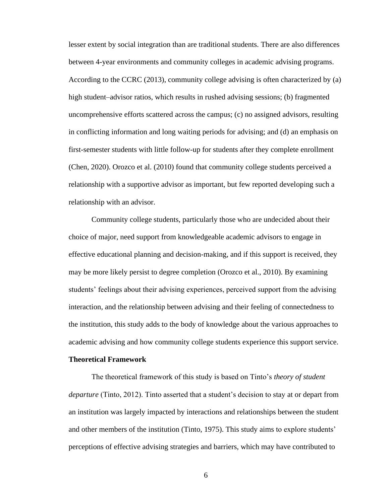lesser extent by social integration than are traditional students. There are also differences between 4-year environments and community colleges in academic advising programs. According to the CCRC (2013), community college advising is often characterized by (a) high student–advisor ratios, which results in rushed advising sessions; (b) fragmented uncomprehensive efforts scattered across the campus; (c) no assigned advisors, resulting in conflicting information and long waiting periods for advising; and (d) an emphasis on first-semester students with little follow-up for students after they complete enrollment (Chen, 2020). Orozco et al. (2010) found that community college students perceived a relationship with a supportive advisor as important, but few reported developing such a relationship with an advisor.

Community college students, particularly those who are undecided about their choice of major, need support from knowledgeable academic advisors to engage in effective educational planning and decision-making, and if this support is received, they may be more likely persist to degree completion (Orozco et al., 2010). By examining students' feelings about their advising experiences, perceived support from the advising interaction, and the relationship between advising and their feeling of connectedness to the institution, this study adds to the body of knowledge about the various approaches to academic advising and how community college students experience this support service.

#### **Theoretical Framework**

The theoretical framework of this study is based on Tinto's *theory of student departure* (Tinto, 2012). Tinto asserted that a student's decision to stay at or depart from an institution was largely impacted by interactions and relationships between the student and other members of the institution (Tinto, 1975). This study aims to explore students' perceptions of effective advising strategies and barriers, which may have contributed to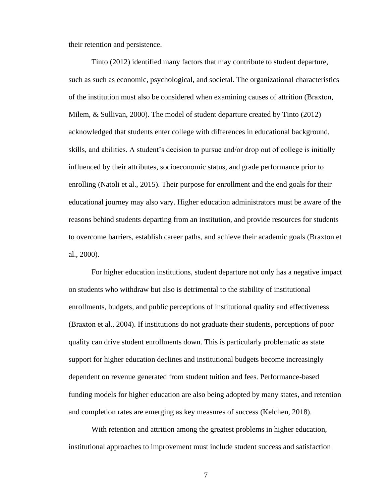their retention and persistence.

Tinto (2012) identified many factors that may contribute to student departure, such as such as economic, psychological, and societal. The organizational characteristics of the institution must also be considered when examining causes of attrition (Braxton, Milem, & Sullivan, 2000). The model of student departure created by Tinto (2012) acknowledged that students enter college with differences in educational background, skills, and abilities. A student's decision to pursue and/or drop out of college is initially influenced by their attributes, socioeconomic status, and grade performance prior to enrolling (Natoli et al., 2015). Their purpose for enrollment and the end goals for their educational journey may also vary. Higher education administrators must be aware of the reasons behind students departing from an institution, and provide resources for students to overcome barriers, establish career paths, and achieve their academic goals (Braxton et al., 2000).

For higher education institutions, student departure not only has a negative impact on students who withdraw but also is detrimental to the stability of institutional enrollments, budgets, and public perceptions of institutional quality and effectiveness (Braxton et al., 2004). If institutions do not graduate their students, perceptions of poor quality can drive student enrollments down. This is particularly problematic as state support for higher education declines and institutional budgets become increasingly dependent on revenue generated from student tuition and fees. Performance-based funding models for higher education are also being adopted by many states, and retention and completion rates are emerging as key measures of success (Kelchen, 2018).

With retention and attrition among the greatest problems in higher education, institutional approaches to improvement must include student success and satisfaction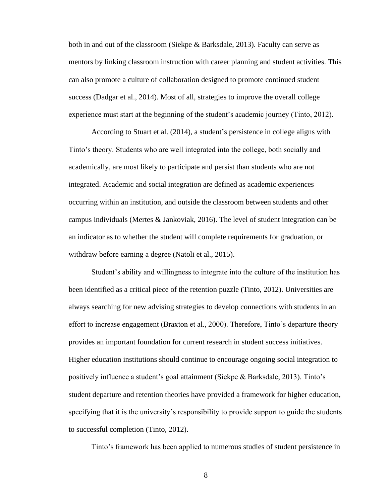both in and out of the classroom (Siekpe & Barksdale, 2013). Faculty can serve as mentors by linking classroom instruction with career planning and student activities. This can also promote a culture of collaboration designed to promote continued student success (Dadgar et al., 2014). Most of all, strategies to improve the overall college experience must start at the beginning of the student's academic journey (Tinto, 2012).

According to Stuart et al. (2014), a student's persistence in college aligns with Tinto's theory. Students who are well integrated into the college, both socially and academically, are most likely to participate and persist than students who are not integrated. Academic and social integration are defined as academic experiences occurring within an institution, and outside the classroom between students and other campus individuals (Mertes & Jankoviak, 2016). The level of student integration can be an indicator as to whether the student will complete requirements for graduation, or withdraw before earning a degree (Natoli et al., 2015).

Student's ability and willingness to integrate into the culture of the institution has been identified as a critical piece of the retention puzzle (Tinto, 2012). Universities are always searching for new advising strategies to develop connections with students in an effort to increase engagement (Braxton et al., 2000). Therefore, Tinto's departure theory provides an important foundation for current research in student success initiatives. Higher education institutions should continue to encourage ongoing social integration to positively influence a student's goal attainment (Siekpe & Barksdale, 2013). Tinto's student departure and retention theories have provided a framework for higher education, specifying that it is the university's responsibility to provide support to guide the students to successful completion (Tinto, 2012).

Tinto's framework has been applied to numerous studies of student persistence in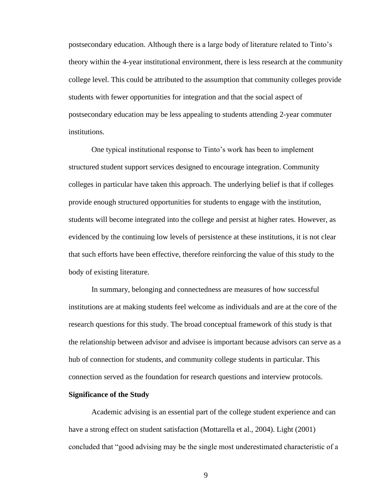postsecondary education. Although there is a large body of literature related to Tinto's theory within the 4-year institutional environment, there is less research at the community college level. This could be attributed to the assumption that community colleges provide students with fewer opportunities for integration and that the social aspect of postsecondary education may be less appealing to students attending 2-year commuter institutions.

One typical institutional response to Tinto's work has been to implement structured student support services designed to encourage integration. Community colleges in particular have taken this approach. The underlying belief is that if colleges provide enough structured opportunities for students to engage with the institution, students will become integrated into the college and persist at higher rates. However, as evidenced by the continuing low levels of persistence at these institutions, it is not clear that such efforts have been effective, therefore reinforcing the value of this study to the body of existing literature.

In summary, belonging and connectedness are measures of how successful institutions are at making students feel welcome as individuals and are at the core of the research questions for this study. The broad conceptual framework of this study is that the relationship between advisor and advisee is important because advisors can serve as a hub of connection for students, and community college students in particular. This connection served as the foundation for research questions and interview protocols.

#### **Significance of the Study**

Academic advising is an essential part of the college student experience and can have a strong effect on student satisfaction (Mottarella et al., 2004). Light (2001) concluded that "good advising may be the single most underestimated characteristic of a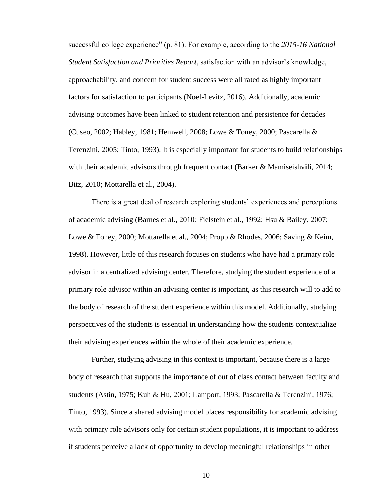successful college experience" (p. 81). For example, according to the *2015-16 National Student Satisfaction and Priorities Report*, satisfaction with an advisor's knowledge, approachability, and concern for student success were all rated as highly important factors for satisfaction to participants (Noel-Levitz, 2016). Additionally, academic advising outcomes have been linked to student retention and persistence for decades (Cuseo, 2002; Habley, 1981; Hemwell, 2008; Lowe & Toney, 2000; Pascarella & Terenzini, 2005; Tinto, 1993). It is especially important for students to build relationships with their academic advisors through frequent contact (Barker & Mamiseishvili, 2014; Bitz, 2010; Mottarella et al., 2004).

There is a great deal of research exploring students' experiences and perceptions of academic advising (Barnes et al., 2010; Fielstein et al., 1992; Hsu & Bailey, 2007; Lowe & Toney, 2000; Mottarella et al., 2004; Propp & Rhodes, 2006; Saving & Keim, 1998). However, little of this research focuses on students who have had a primary role advisor in a centralized advising center. Therefore, studying the student experience of a primary role advisor within an advising center is important, as this research will to add to the body of research of the student experience within this model. Additionally, studying perspectives of the students is essential in understanding how the students contextualize their advising experiences within the whole of their academic experience.

Further, studying advising in this context is important, because there is a large body of research that supports the importance of out of class contact between faculty and students (Astin, 1975; Kuh & Hu, 2001; Lamport, 1993; Pascarella & Terenzini, 1976; Tinto, 1993). Since a shared advising model places responsibility for academic advising with primary role advisors only for certain student populations, it is important to address if students perceive a lack of opportunity to develop meaningful relationships in other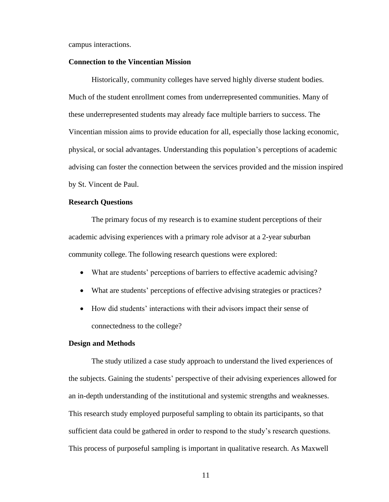campus interactions.

#### **Connection to the Vincentian Mission**

Historically, community colleges have served highly diverse student bodies. Much of the student enrollment comes from underrepresented communities. Many of these underrepresented students may already face multiple barriers to success. The Vincentian mission aims to provide education for all, especially those lacking economic, physical, or social advantages. Understanding this population's perceptions of academic advising can foster the connection between the services provided and the mission inspired by St. Vincent de Paul.

#### **Research Questions**

The primary focus of my research is to examine student perceptions of their academic advising experiences with a primary role advisor at a 2-year suburban community college. The following research questions were explored:

- What are students' perceptions of barriers to effective academic advising?
- What are students' perceptions of effective advising strategies or practices?
- How did students' interactions with their advisors impact their sense of connectedness to the college?

#### **Design and Methods**

The study utilized a case study approach to understand the lived experiences of the subjects. Gaining the students' perspective of their advising experiences allowed for an in-depth understanding of the institutional and systemic strengths and weaknesses. This research study employed purposeful sampling to obtain its participants, so that sufficient data could be gathered in order to respond to the study's research questions. This process of purposeful sampling is important in qualitative research. As Maxwell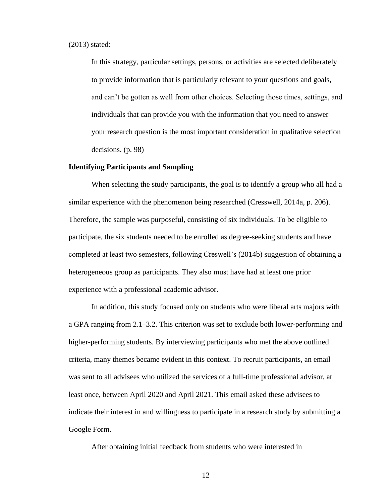(2013) stated:

In this strategy, particular settings, persons, or activities are selected deliberately to provide information that is particularly relevant to your questions and goals, and can't be gotten as well from other choices. Selecting those times, settings, and individuals that can provide you with the information that you need to answer your research question is the most important consideration in qualitative selection decisions. (p. 98)

#### **Identifying Participants and Sampling**

When selecting the study participants, the goal is to identify a group who all had a similar experience with the phenomenon being researched (Cresswell, 2014a, p. 206). Therefore, the sample was purposeful, consisting of six individuals. To be eligible to participate, the six students needed to be enrolled as degree-seeking students and have completed at least two semesters, following Creswell's (2014b) suggestion of obtaining a heterogeneous group as participants. They also must have had at least one prior experience with a professional academic advisor.

In addition, this study focused only on students who were liberal arts majors with a GPA ranging from 2.1–3.2. This criterion was set to exclude both lower-performing and higher-performing students. By interviewing participants who met the above outlined criteria, many themes became evident in this context. To recruit participants, an email was sent to all advisees who utilized the services of a full-time professional advisor, at least once, between April 2020 and April 2021. This email asked these advisees to indicate their interest in and willingness to participate in a research study by submitting a Google Form.

After obtaining initial feedback from students who were interested in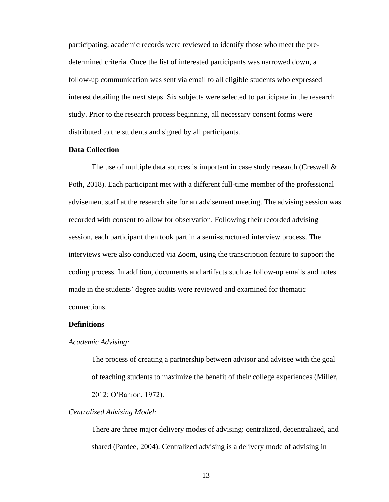participating, academic records were reviewed to identify those who meet the predetermined criteria. Once the list of interested participants was narrowed down, a follow-up communication was sent via email to all eligible students who expressed interest detailing the next steps. Six subjects were selected to participate in the research study. Prior to the research process beginning, all necessary consent forms were distributed to the students and signed by all participants.

## **Data Collection**

The use of multiple data sources is important in case study research (Creswell  $\&$ Poth, 2018). Each participant met with a different full-time member of the professional advisement staff at the research site for an advisement meeting. The advising session was recorded with consent to allow for observation. Following their recorded advising session, each participant then took part in a semi-structured interview process. The interviews were also conducted via Zoom, using the transcription feature to support the coding process. In addition, documents and artifacts such as follow-up emails and notes made in the students' degree audits were reviewed and examined for thematic connections.

#### **Definitions**

#### *Academic Advising:*

The process of creating a partnership between advisor and advisee with the goal of teaching students to maximize the benefit of their college experiences (Miller, 2012; O'Banion, 1972).

#### *Centralized Advising Model:*

There are three major delivery modes of advising: centralized, decentralized, and shared (Pardee, 2004). Centralized advising is a delivery mode of advising in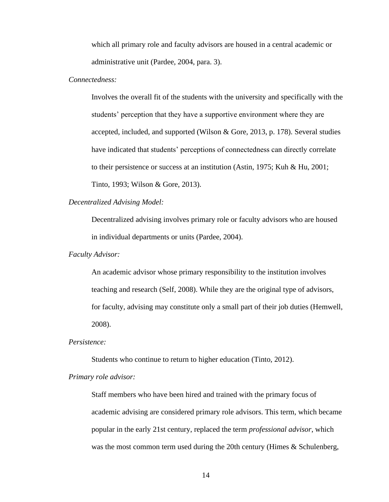which all primary role and faculty advisors are housed in a central academic or administrative unit (Pardee, 2004, para. 3).

#### *Connectedness:*

Involves the overall fit of the students with the university and specifically with the students' perception that they have a supportive environment where they are accepted, included, and supported (Wilson & Gore, 2013, p. 178). Several studies have indicated that students' perceptions of connectedness can directly correlate to their persistence or success at an institution (Astin, 1975; Kuh & Hu, 2001; Tinto, 1993; Wilson & Gore, 2013).

#### *Decentralized Advising Model:*

Decentralized advising involves primary role or faculty advisors who are housed in individual departments or units (Pardee, 2004).

#### *Faculty Advisor:*

An academic advisor whose primary responsibility to the institution involves teaching and research (Self, 2008). While they are the original type of advisors, for faculty, advising may constitute only a small part of their job duties (Hemwell, 2008).

#### *Persistence:*

Students who continue to return to higher education (Tinto, 2012).

#### *Primary role advisor:*

Staff members who have been hired and trained with the primary focus of academic advising are considered primary role advisors. This term, which became popular in the early 21st century, replaced the term *professional advisor*, which was the most common term used during the 20th century (Himes & Schulenberg,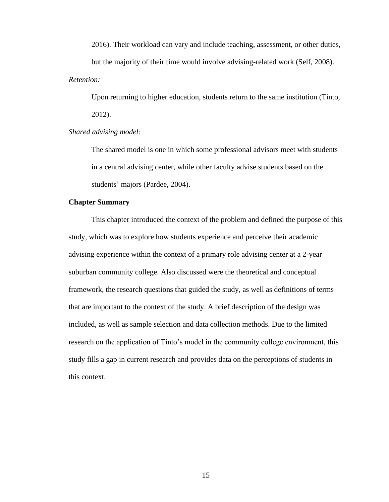2016). Their workload can vary and include teaching, assessment, or other duties, but the majority of their time would involve advising-related work (Self, 2008). *Retention:* 

Upon returning to higher education, students return to the same institution (Tinto, 2012).

### *Shared advising model:*

The shared model is one in which some professional advisors meet with students in a central advising center, while other faculty advise students based on the students' majors (Pardee, 2004).

#### **Chapter Summary**

This chapter introduced the context of the problem and defined the purpose of this study, which was to explore how students experience and perceive their academic advising experience within the context of a primary role advising center at a 2-year suburban community college. Also discussed were the theoretical and conceptual framework, the research questions that guided the study, as well as definitions of terms that are important to the context of the study. A brief description of the design was included, as well as sample selection and data collection methods. Due to the limited research on the application of Tinto's model in the community college environment, this study fills a gap in current research and provides data on the perceptions of students in this context.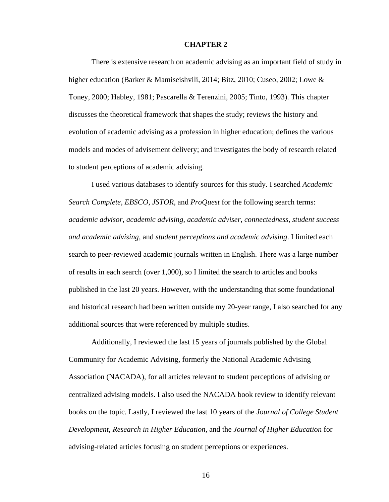#### **CHAPTER 2**

There is extensive research on academic advising as an important field of study in higher education (Barker & Mamiseishvili, 2014; Bitz, 2010; Cuseo, 2002; Lowe & Toney, 2000; Habley, 1981; Pascarella & Terenzini, 2005; Tinto, 1993). This chapter discusses the theoretical framework that shapes the study; reviews the history and evolution of academic advising as a profession in higher education; defines the various models and modes of advisement delivery; and investigates the body of research related to student perceptions of academic advising.

I used various databases to identify sources for this study. I searched *Academic Search Complete*, *EBSCO*, *JSTOR*, and *ProQuest* for the following search terms: *academic advisor*, *academic advising*, *academic adviser*, *connectedness*, *student success and academic advising*, and *student perceptions and academic advising*. I limited each search to peer-reviewed academic journals written in English. There was a large number of results in each search (over 1,000), so I limited the search to articles and books published in the last 20 years. However, with the understanding that some foundational and historical research had been written outside my 20-year range, I also searched for any additional sources that were referenced by multiple studies.

Additionally, I reviewed the last 15 years of journals published by the Global Community for Academic Advising, formerly the National Academic Advising Association (NACADA), for all articles relevant to student perceptions of advising or centralized advising models. I also used the NACADA book review to identify relevant books on the topic. Lastly, I reviewed the last 10 years of the *Journal of College Student Development*, *Research in Higher Education*, and the *Journal of Higher Education* for advising-related articles focusing on student perceptions or experiences.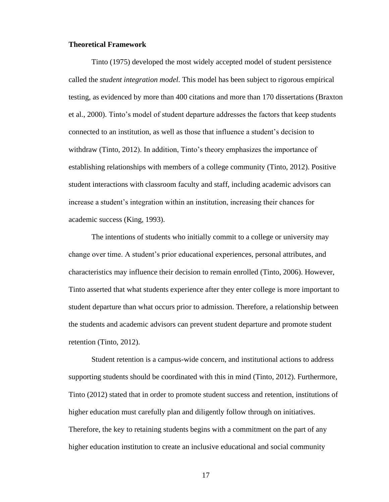#### **Theoretical Framework**

Tinto (1975) developed the most widely accepted model of student persistence called the *student integration model*. This model has been subject to rigorous empirical testing, as evidenced by more than 400 citations and more than 170 dissertations (Braxton et al., 2000). Tinto's model of student departure addresses the factors that keep students connected to an institution, as well as those that influence a student's decision to withdraw (Tinto, 2012). In addition, Tinto's theory emphasizes the importance of establishing relationships with members of a college community (Tinto, 2012). Positive student interactions with classroom faculty and staff, including academic advisors can increase a student's integration within an institution, increasing their chances for academic success (King, 1993).

The intentions of students who initially commit to a college or university may change over time. A student's prior educational experiences, personal attributes, and characteristics may influence their decision to remain enrolled (Tinto, 2006). However, Tinto asserted that what students experience after they enter college is more important to student departure than what occurs prior to admission. Therefore, a relationship between the students and academic advisors can prevent student departure and promote student retention (Tinto, 2012).

Student retention is a campus-wide concern, and institutional actions to address supporting students should be coordinated with this in mind (Tinto, 2012). Furthermore, Tinto (2012) stated that in order to promote student success and retention, institutions of higher education must carefully plan and diligently follow through on initiatives. Therefore, the key to retaining students begins with a commitment on the part of any higher education institution to create an inclusive educational and social community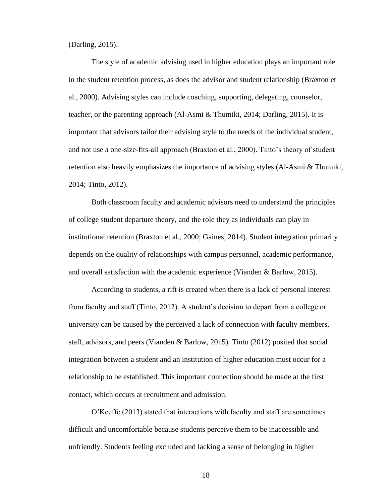(Darling, 2015).

The style of academic advising used in higher education plays an important role in the student retention process, as does the advisor and student relationship (Braxton et al., 2000). Advising styles can include coaching, supporting, delegating, counselor, teacher, or the parenting approach (Al-Asmi & Thumiki, 2014; Darling, 2015). It is important that advisors tailor their advising style to the needs of the individual student, and not use a one-size-fits-all approach (Braxton et al., 2000). Tinto's theory of student retention also heavily emphasizes the importance of advising styles (Al-Asmi & Thumiki, 2014; Tinto, 2012).

Both classroom faculty and academic advisors need to understand the principles of college student departure theory, and the role they as individuals can play in institutional retention (Braxton et al., 2000; Gaines, 2014). Student integration primarily depends on the quality of relationships with campus personnel, academic performance, and overall satisfaction with the academic experience (Vianden & Barlow, 2015).

According to students, a rift is created when there is a lack of personal interest from faculty and staff (Tinto, 2012). A student's decision to depart from a college or university can be caused by the perceived a lack of connection with faculty members, staff, advisors, and peers (Vianden & Barlow, 2015). Tinto (2012) posited that social integration between a student and an institution of higher education must occur for a relationship to be established. This important connection should be made at the first contact, which occurs at recruitment and admission.

O'Keeffe (2013) stated that interactions with faculty and staff are sometimes difficult and uncomfortable because students perceive them to be inaccessible and unfriendly. Students feeling excluded and lacking a sense of belonging in higher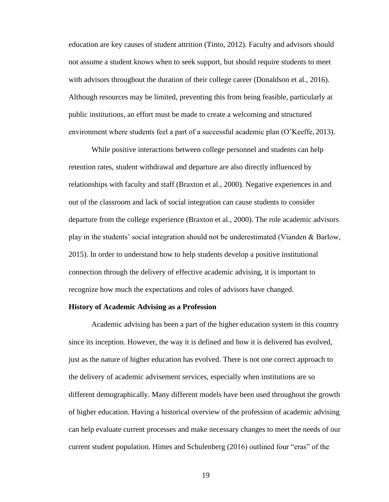education are key causes of student attrition (Tinto, 2012). Faculty and advisors should not assume a student knows when to seek support, but should require students to meet with advisors throughout the duration of their college career (Donaldson et al., 2016). Although resources may be limited, preventing this from being feasible, particularly at public institutions, an effort must be made to create a welcoming and structured environment where students feel a part of a successful academic plan (O'Keeffe, 2013).

While positive interactions between college personnel and students can help retention rates, student withdrawal and departure are also directly influenced by relationships with faculty and staff (Braxton et al., 2000). Negative experiences in and out of the classroom and lack of social integration can cause students to consider departure from the college experience (Braxton et al., 2000). The role academic advisors play in the students' social integration should not be underestimated (Vianden & Barlow, 2015). In order to understand how to help students develop a positive institutional connection through the delivery of effective academic advising, it is important to recognize how much the expectations and roles of advisors have changed.

#### **History of Academic Advising as a Profession**

Academic advising has been a part of the higher education system in this country since its inception. However, the way it is defined and how it is delivered has evolved, just as the nature of higher education has evolved. There is not one correct approach to the delivery of academic advisement services, especially when institutions are so different demographically. Many different models have been used throughout the growth of higher education. Having a historical overview of the profession of academic advising can help evaluate current processes and make necessary changes to meet the needs of our current student population. Himes and Schulenberg (2016) outlined four "eras" of the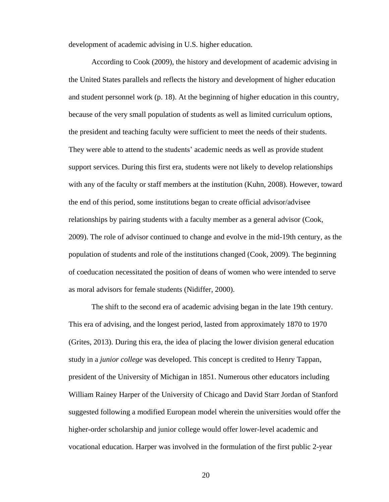development of academic advising in U.S. higher education.

According to Cook (2009), the history and development of academic advising in the United States parallels and reflects the history and development of higher education and student personnel work (p. 18). At the beginning of higher education in this country, because of the very small population of students as well as limited curriculum options, the president and teaching faculty were sufficient to meet the needs of their students. They were able to attend to the students' academic needs as well as provide student support services. During this first era, students were not likely to develop relationships with any of the faculty or staff members at the institution (Kuhn, 2008). However, toward the end of this period, some institutions began to create official advisor/advisee relationships by pairing students with a faculty member as a general advisor (Cook, 2009). The role of advisor continued to change and evolve in the mid-19th century, as the population of students and role of the institutions changed (Cook, 2009). The beginning of coeducation necessitated the position of deans of women who were intended to serve as moral advisors for female students (Nidiffer, 2000).

The shift to the second era of academic advising began in the late 19th century. This era of advising, and the longest period, lasted from approximately 1870 to 1970 (Grites, 2013). During this era, the idea of placing the lower division general education study in a *junior college* was developed. This concept is credited to Henry Tappan, president of the University of Michigan in 1851. Numerous other educators including William Rainey Harper of the University of Chicago and David Starr Jordan of Stanford suggested following a modified European model wherein the universities would offer the higher-order scholarship and junior college would offer lower-level academic and vocational education. Harper was involved in the formulation of the first public 2-year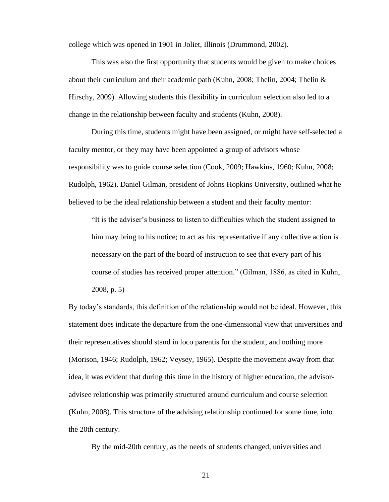college which was opened in 1901 in Joliet, Illinois (Drummond, 2002).

This was also the first opportunity that students would be given to make choices about their curriculum and their academic path (Kuhn, 2008; Thelin, 2004; Thelin  $\&$ Hirschy, 2009). Allowing students this flexibility in curriculum selection also led to a change in the relationship between faculty and students (Kuhn, 2008).

During this time, students might have been assigned, or might have self-selected a faculty mentor, or they may have been appointed a group of advisors whose responsibility was to guide course selection (Cook, 2009; Hawkins, 1960; Kuhn, 2008; Rudolph, 1962). Daniel Gilman, president of Johns Hopkins University, outlined what he believed to be the ideal relationship between a student and their faculty mentor:

"It is the adviser's business to listen to difficulties which the student assigned to him may bring to his notice; to act as his representative if any collective action is necessary on the part of the board of instruction to see that every part of his course of studies has received proper attention." (Gilman, 1886, as cited in Kuhn, 2008, p. 5)

By today's standards, this definition of the relationship would not be ideal. However, this statement does indicate the departure from the one-dimensional view that universities and their representatives should stand in loco parentis for the student, and nothing more (Morison, 1946; Rudolph, 1962; Veysey, 1965). Despite the movement away from that idea, it was evident that during this time in the history of higher education, the advisoradvisee relationship was primarily structured around curriculum and course selection (Kuhn, 2008). This structure of the advising relationship continued for some time, into the 20th century.

By the mid-20th century, as the needs of students changed, universities and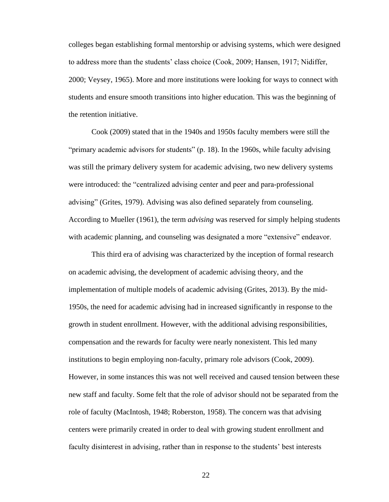colleges began establishing formal mentorship or advising systems, which were designed to address more than the students' class choice (Cook, 2009; Hansen, 1917; Nidiffer, 2000; Veysey, 1965). More and more institutions were looking for ways to connect with students and ensure smooth transitions into higher education. This was the beginning of the retention initiative.

Cook (2009) stated that in the 1940s and 1950s faculty members were still the "primary academic advisors for students" (p. 18). In the 1960s, while faculty advising was still the primary delivery system for academic advising, two new delivery systems were introduced: the "centralized advising center and peer and para-professional advising" (Grites, 1979). Advising was also defined separately from counseling. According to Mueller (1961), the term *advising* was reserved for simply helping students with academic planning, and counseling was designated a more "extensive" endeavor.

This third era of advising was characterized by the inception of formal research on academic advising, the development of academic advising theory, and the implementation of multiple models of academic advising (Grites, 2013). By the mid-1950s, the need for academic advising had in increased significantly in response to the growth in student enrollment. However, with the additional advising responsibilities, compensation and the rewards for faculty were nearly nonexistent. This led many institutions to begin employing non-faculty, primary role advisors (Cook, 2009). However, in some instances this was not well received and caused tension between these new staff and faculty. Some felt that the role of advisor should not be separated from the role of faculty (MacIntosh, 1948; Roberston, 1958). The concern was that advising centers were primarily created in order to deal with growing student enrollment and faculty disinterest in advising, rather than in response to the students' best interests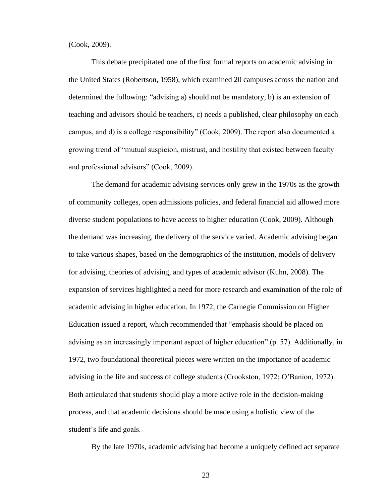(Cook, 2009).

This debate precipitated one of the first formal reports on academic advising in the United States (Robertson, 1958), which examined 20 campuses across the nation and determined the following: "advising a) should not be mandatory, b) is an extension of teaching and advisors should be teachers, c) needs a published, clear philosophy on each campus, and d) is a college responsibility" (Cook, 2009). The report also documented a growing trend of "mutual suspicion, mistrust, and hostility that existed between faculty and professional advisors" (Cook, 2009).

The demand for academic advising services only grew in the 1970s as the growth of community colleges, open admissions policies, and federal financial aid allowed more diverse student populations to have access to higher education (Cook, 2009). Although the demand was increasing, the delivery of the service varied. Academic advising began to take various shapes, based on the demographics of the institution, models of delivery for advising, theories of advising, and types of academic advisor (Kuhn, 2008). The expansion of services highlighted a need for more research and examination of the role of academic advising in higher education. In 1972, the Carnegie Commission on Higher Education issued a report, which recommended that "emphasis should be placed on advising as an increasingly important aspect of higher education" (p. 57). Additionally, in 1972, two foundational theoretical pieces were written on the importance of academic advising in the life and success of college students (Crookston, 1972; O'Banion, 1972). Both articulated that students should play a more active role in the decision-making process, and that academic decisions should be made using a holistic view of the student's life and goals.

By the late 1970s, academic advising had become a uniquely defined act separate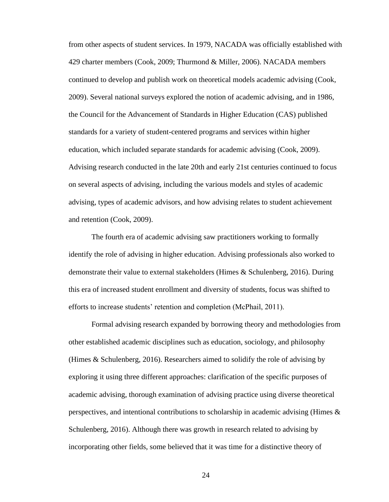from other aspects of student services. In 1979, NACADA was officially established with 429 charter members (Cook, 2009; Thurmond & Miller, 2006). NACADA members continued to develop and publish work on theoretical models academic advising (Cook, 2009). Several national surveys explored the notion of academic advising, and in 1986, the Council for the Advancement of Standards in Higher Education (CAS) published standards for a variety of student-centered programs and services within higher education, which included separate standards for academic advising (Cook, 2009). Advising research conducted in the late 20th and early 21st centuries continued to focus on several aspects of advising, including the various models and styles of academic advising, types of academic advisors, and how advising relates to student achievement and retention (Cook, 2009).

The fourth era of academic advising saw practitioners working to formally identify the role of advising in higher education. Advising professionals also worked to demonstrate their value to external stakeholders (Himes & Schulenberg, 2016). During this era of increased student enrollment and diversity of students, focus was shifted to efforts to increase students' retention and completion (McPhail, 2011).

Formal advising research expanded by borrowing theory and methodologies from other established academic disciplines such as education, sociology, and philosophy (Himes & Schulenberg, 2016). Researchers aimed to solidify the role of advising by exploring it using three different approaches: clarification of the specific purposes of academic advising, thorough examination of advising practice using diverse theoretical perspectives, and intentional contributions to scholarship in academic advising (Himes  $\&$ Schulenberg, 2016). Although there was growth in research related to advising by incorporating other fields, some believed that it was time for a distinctive theory of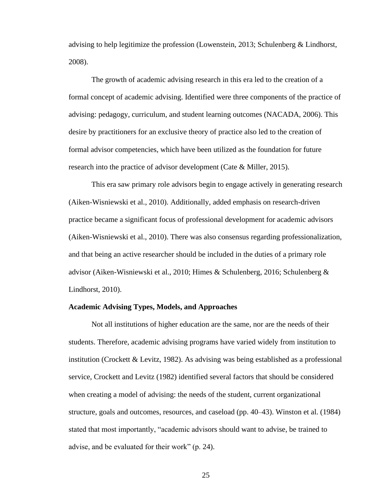advising to help legitimize the profession (Lowenstein, 2013; Schulenberg & Lindhorst, 2008).

The growth of academic advising research in this era led to the creation of a formal concept of academic advising. Identified were three components of the practice of advising: pedagogy, curriculum, and student learning outcomes (NACADA, 2006). This desire by practitioners for an exclusive theory of practice also led to the creation of formal advisor competencies, which have been utilized as the foundation for future research into the practice of advisor development (Cate & Miller, 2015).

This era saw primary role advisors begin to engage actively in generating research (Aiken-Wisniewski et al., 2010). Additionally, added emphasis on research-driven practice became a significant focus of professional development for academic advisors (Aiken-Wisniewski et al., 2010). There was also consensus regarding professionalization, and that being an active researcher should be included in the duties of a primary role advisor (Aiken-Wisniewski et al., 2010; Himes & Schulenberg, 2016; Schulenberg & Lindhorst, 2010).

#### **Academic Advising Types, Models, and Approaches**

Not all institutions of higher education are the same, nor are the needs of their students. Therefore, academic advising programs have varied widely from institution to institution (Crockett & Levitz, 1982). As advising was being established as a professional service, Crockett and Levitz (1982) identified several factors that should be considered when creating a model of advising: the needs of the student, current organizational structure, goals and outcomes, resources, and caseload (pp. 40–43). Winston et al. (1984) stated that most importantly, "academic advisors should want to advise, be trained to advise, and be evaluated for their work" (p. 24).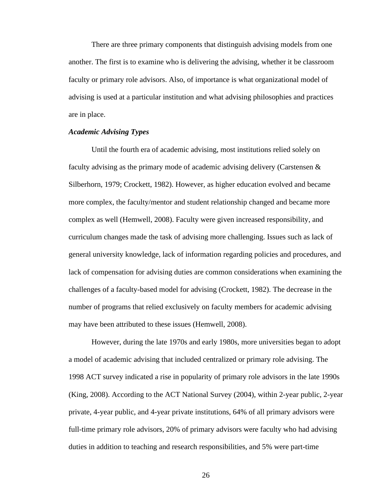There are three primary components that distinguish advising models from one another. The first is to examine who is delivering the advising, whether it be classroom faculty or primary role advisors. Also, of importance is what organizational model of advising is used at a particular institution and what advising philosophies and practices are in place.

# *Academic Advising Types*

Until the fourth era of academic advising, most institutions relied solely on faculty advising as the primary mode of academic advising delivery (Carstensen  $\&$ Silberhorn, 1979; Crockett, 1982). However, as higher education evolved and became more complex, the faculty/mentor and student relationship changed and became more complex as well (Hemwell, 2008). Faculty were given increased responsibility, and curriculum changes made the task of advising more challenging. Issues such as lack of general university knowledge, lack of information regarding policies and procedures, and lack of compensation for advising duties are common considerations when examining the challenges of a faculty-based model for advising (Crockett, 1982). The decrease in the number of programs that relied exclusively on faculty members for academic advising may have been attributed to these issues (Hemwell, 2008).

However, during the late 1970s and early 1980s, more universities began to adopt a model of academic advising that included centralized or primary role advising. The 1998 ACT survey indicated a rise in popularity of primary role advisors in the late 1990s (King, 2008). According to the ACT National Survey (2004), within 2-year public, 2-year private, 4-year public, and 4-year private institutions, 64% of all primary advisors were full-time primary role advisors, 20% of primary advisors were faculty who had advising duties in addition to teaching and research responsibilities, and 5% were part-time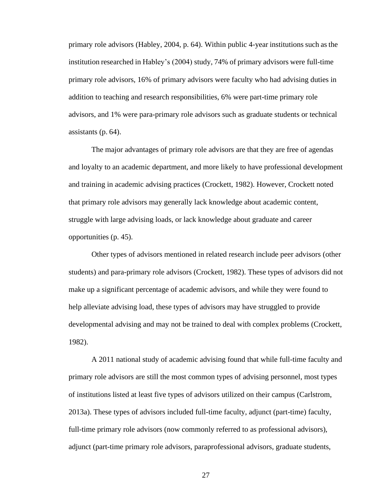primary role advisors (Habley, 2004, p. 64). Within public 4-year institutions such as the institution researched in Habley's (2004) study, 74% of primary advisors were full-time primary role advisors, 16% of primary advisors were faculty who had advising duties in addition to teaching and research responsibilities, 6% were part-time primary role advisors, and 1% were para-primary role advisors such as graduate students or technical assistants (p. 64).

The major advantages of primary role advisors are that they are free of agendas and loyalty to an academic department, and more likely to have professional development and training in academic advising practices (Crockett, 1982). However, Crockett noted that primary role advisors may generally lack knowledge about academic content, struggle with large advising loads, or lack knowledge about graduate and career opportunities (p. 45).

Other types of advisors mentioned in related research include peer advisors (other students) and para-primary role advisors (Crockett, 1982). These types of advisors did not make up a significant percentage of academic advisors, and while they were found to help alleviate advising load, these types of advisors may have struggled to provide developmental advising and may not be trained to deal with complex problems (Crockett, 1982).

A 2011 national study of academic advising found that while full-time faculty and primary role advisors are still the most common types of advising personnel, most types of institutions listed at least five types of advisors utilized on their campus (Carlstrom, 2013a). These types of advisors included full-time faculty, adjunct (part-time) faculty, full-time primary role advisors (now commonly referred to as professional advisors), adjunct (part-time primary role advisors, paraprofessional advisors, graduate students,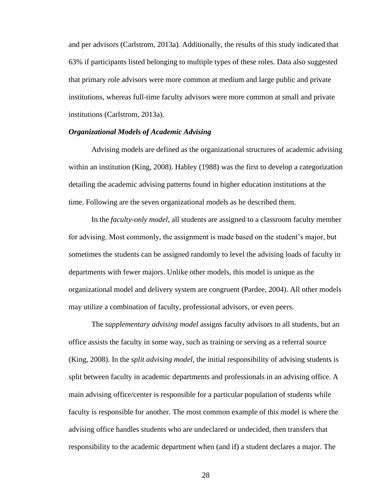and per advisors (Carlstrom, 2013a). Additionally, the results of this study indicated that 63% if participants listed belonging to multiple types of these roles. Data also suggested that primary role advisors were more common at medium and large public and private institutions, whereas full-time faculty advisors were more common at small and private institutions (Carlstrom, 2013a).

# *Organizational Models of Academic Advising*

Advising models are defined as the organizational structures of academic advising within an institution (King, 2008). Habley (1988) was the first to develop a categorization detailing the academic advising patterns found in higher education institutions at the time. Following are the seven organizational models as he described them.

In the *faculty-only model*, all students are assigned to a classroom faculty member for advising. Most commonly, the assignment is made based on the student's major, but sometimes the students can be assigned randomly to level the advising loads of faculty in departments with fewer majors. Unlike other models, this model is unique as the organizational model and delivery system are congruent (Pardee, 2004). All other models may utilize a combination of faculty, professional advisors, or even peers.

The *supplementary advising model* assigns faculty advisors to all students, but an office assists the faculty in some way, such as training or serving as a referral source (King, 2008). In the *split advising model*, the initial responsibility of advising students is split between faculty in academic departments and professionals in an advising office. A main advising office/center is responsible for a particular population of students while faculty is responsible for another. The most common example of this model is where the advising office handles students who are undeclared or undecided, then transfers that responsibility to the academic department when (and if) a student declares a major. The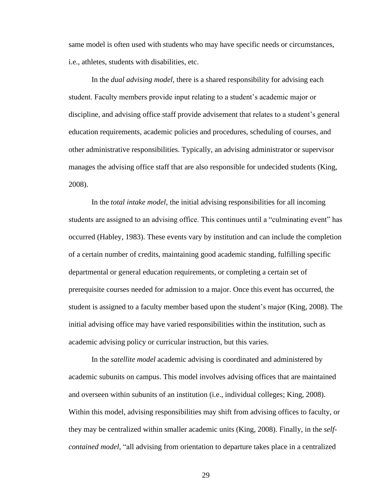same model is often used with students who may have specific needs or circumstances, i.e., athletes, students with disabilities, etc.

In the *dual advising model*, there is a shared responsibility for advising each student. Faculty members provide input relating to a student's academic major or discipline, and advising office staff provide advisement that relates to a student's general education requirements, academic policies and procedures, scheduling of courses, and other administrative responsibilities. Typically, an advising administrator or supervisor manages the advising office staff that are also responsible for undecided students (King, 2008).

In the *total intake model*, the initial advising responsibilities for all incoming students are assigned to an advising office. This continues until a "culminating event" has occurred (Habley, 1983). These events vary by institution and can include the completion of a certain number of credits, maintaining good academic standing, fulfilling specific departmental or general education requirements, or completing a certain set of prerequisite courses needed for admission to a major. Once this event has occurred, the student is assigned to a faculty member based upon the student's major (King, 2008). The initial advising office may have varied responsibilities within the institution, such as academic advising policy or curricular instruction, but this varies.

In the *satellite model* academic advising is coordinated and administered by academic subunits on campus. This model involves advising offices that are maintained and overseen within subunits of an institution (i.e., individual colleges; King, 2008). Within this model, advising responsibilities may shift from advising offices to faculty, or they may be centralized within smaller academic units (King, 2008). Finally, in the *selfcontained model*, "all advising from orientation to departure takes place in a centralized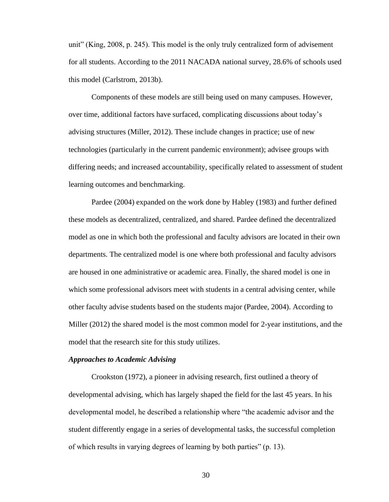unit" (King, 2008, p. 245). This model is the only truly centralized form of advisement for all students. According to the 2011 NACADA national survey, 28.6% of schools used this model (Carlstrom, 2013b).

Components of these models are still being used on many campuses. However, over time, additional factors have surfaced, complicating discussions about today's advising structures (Miller, 2012). These include changes in practice; use of new technologies (particularly in the current pandemic environment); advisee groups with differing needs; and increased accountability, specifically related to assessment of student learning outcomes and benchmarking.

Pardee (2004) expanded on the work done by Habley (1983) and further defined these models as decentralized, centralized, and shared. Pardee defined the decentralized model as one in which both the professional and faculty advisors are located in their own departments. The centralized model is one where both professional and faculty advisors are housed in one administrative or academic area. Finally, the shared model is one in which some professional advisors meet with students in a central advising center, while other faculty advise students based on the students major (Pardee, 2004). According to Miller (2012) the shared model is the most common model for 2-year institutions, and the model that the research site for this study utilizes.

# *Approaches to Academic Advising*

Crookston (1972), a pioneer in advising research, first outlined a theory of developmental advising, which has largely shaped the field for the last 45 years. In his developmental model, he described a relationship where "the academic advisor and the student differently engage in a series of developmental tasks, the successful completion of which results in varying degrees of learning by both parties" (p. 13).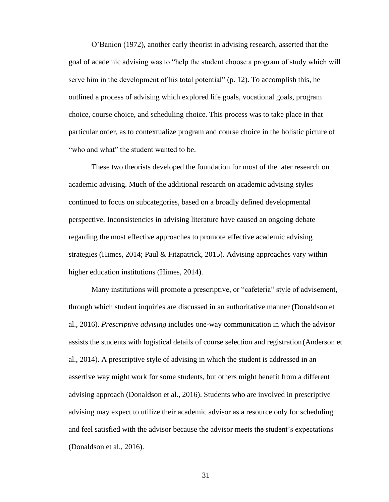O'Banion (1972), another early theorist in advising research, asserted that the goal of academic advising was to "help the student choose a program of study which will serve him in the development of his total potential" (p. 12). To accomplish this, he outlined a process of advising which explored life goals, vocational goals, program choice, course choice, and scheduling choice. This process was to take place in that particular order, as to contextualize program and course choice in the holistic picture of "who and what" the student wanted to be.

These two theorists developed the foundation for most of the later research on academic advising. Much of the additional research on academic advising styles continued to focus on subcategories, based on a broadly defined developmental perspective. Inconsistencies in advising literature have caused an ongoing debate regarding the most effective approaches to promote effective academic advising strategies (Himes, 2014; Paul & Fitzpatrick, 2015). Advising approaches vary within higher education institutions (Himes, 2014).

Many institutions will promote a prescriptive, or "cafeteria" style of advisement, through which student inquiries are discussed in an authoritative manner (Donaldson et al., 2016). *Prescriptive advising* includes one-way communication in which the advisor assists the students with logistical details of course selection and registration(Anderson et al., 2014). A prescriptive style of advising in which the student is addressed in an assertive way might work for some students, but others might benefit from a different advising approach (Donaldson et al., 2016). Students who are involved in prescriptive advising may expect to utilize their academic advisor as a resource only for scheduling and feel satisfied with the advisor because the advisor meets the student's expectations (Donaldson et al., 2016).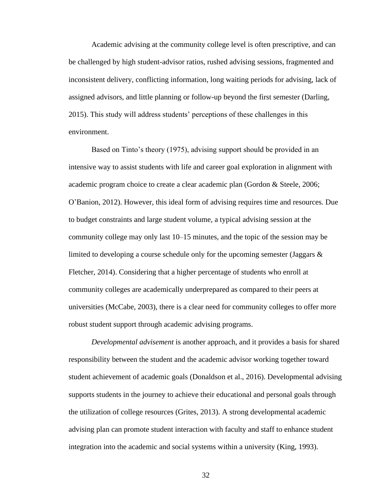Academic advising at the community college level is often prescriptive, and can be challenged by high student-advisor ratios, rushed advising sessions, fragmented and inconsistent delivery, conflicting information, long waiting periods for advising, lack of assigned advisors, and little planning or follow-up beyond the first semester (Darling, 2015). This study will address students' perceptions of these challenges in this environment.

Based on Tinto's theory (1975), advising support should be provided in an intensive way to assist students with life and career goal exploration in alignment with academic program choice to create a clear academic plan (Gordon & Steele, 2006; O'Banion, 2012). However, this ideal form of advising requires time and resources. Due to budget constraints and large student volume, a typical advising session at the community college may only last 10–15 minutes, and the topic of the session may be limited to developing a course schedule only for the upcoming semester (Jaggars  $\&$ Fletcher, 2014). Considering that a higher percentage of students who enroll at community colleges are academically underprepared as compared to their peers at universities (McCabe, 2003), there is a clear need for community colleges to offer more robust student support through academic advising programs.

*Developmental advisement* is another approach, and it provides a basis for shared responsibility between the student and the academic advisor working together toward student achievement of academic goals (Donaldson et al., 2016). Developmental advising supports students in the journey to achieve their educational and personal goals through the utilization of college resources (Grites, 2013). A strong developmental academic advising plan can promote student interaction with faculty and staff to enhance student integration into the academic and social systems within a university (King, 1993).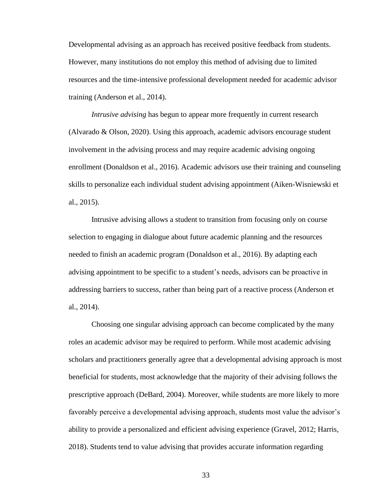Developmental advising as an approach has received positive feedback from students. However, many institutions do not employ this method of advising due to limited resources and the time-intensive professional development needed for academic advisor training (Anderson et al., 2014).

*Intrusive advising* has begun to appear more frequently in current research (Alvarado & Olson, 2020). Using this approach, academic advisors encourage student involvement in the advising process and may require academic advising ongoing enrollment (Donaldson et al., 2016). Academic advisors use their training and counseling skills to personalize each individual student advising appointment (Aiken-Wisniewski et al., 2015).

Intrusive advising allows a student to transition from focusing only on course selection to engaging in dialogue about future academic planning and the resources needed to finish an academic program (Donaldson et al., 2016). By adapting each advising appointment to be specific to a student's needs, advisors can be proactive in addressing barriers to success, rather than being part of a reactive process (Anderson et al., 2014).

Choosing one singular advising approach can become complicated by the many roles an academic advisor may be required to perform. While most academic advising scholars and practitioners generally agree that a developmental advising approach is most beneficial for students, most acknowledge that the majority of their advising follows the prescriptive approach (DeBard, 2004). Moreover, while students are more likely to more favorably perceive a developmental advising approach, students most value the advisor's ability to provide a personalized and efficient advising experience (Gravel, 2012; Harris, 2018). Students tend to value advising that provides accurate information regarding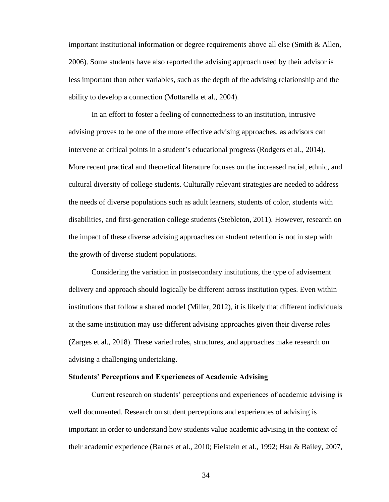important institutional information or degree requirements above all else (Smith & Allen, 2006). Some students have also reported the advising approach used by their advisor is less important than other variables, such as the depth of the advising relationship and the ability to develop a connection (Mottarella et al., 2004).

In an effort to foster a feeling of connectedness to an institution, intrusive advising proves to be one of the more effective advising approaches, as advisors can intervene at critical points in a student's educational progress (Rodgers et al., 2014). More recent practical and theoretical literature focuses on the increased racial, ethnic, and cultural diversity of college students. Culturally relevant strategies are needed to address the needs of diverse populations such as adult learners, students of color, students with disabilities, and first-generation college students (Stebleton, 2011). However, research on the impact of these diverse advising approaches on student retention is not in step with the growth of diverse student populations.

Considering the variation in postsecondary institutions, the type of advisement delivery and approach should logically be different across institution types. Even within institutions that follow a shared model (Miller, 2012), it is likely that different individuals at the same institution may use different advising approaches given their diverse roles (Zarges et al., 2018). These varied roles, structures, and approaches make research on advising a challenging undertaking.

## **Students' Perceptions and Experiences of Academic Advising**

Current research on students' perceptions and experiences of academic advising is well documented. Research on student perceptions and experiences of advising is important in order to understand how students value academic advising in the context of their academic experience (Barnes et al., 2010; Fielstein et al., 1992; Hsu & Bailey, 2007,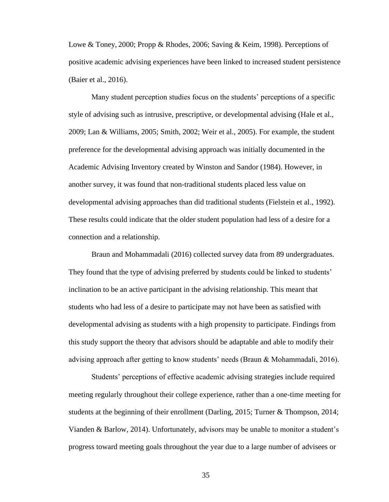Lowe & Toney, 2000; Propp & Rhodes, 2006; Saving & Keim, 1998). Perceptions of positive academic advising experiences have been linked to increased student persistence (Baier et al., 2016).

Many student perception studies focus on the students' perceptions of a specific style of advising such as intrusive, prescriptive, or developmental advising (Hale et al., 2009; Lan & Williams, 2005; Smith, 2002; Weir et al., 2005). For example, the student preference for the developmental advising approach was initially documented in the Academic Advising Inventory created by Winston and Sandor (1984). However, in another survey, it was found that non-traditional students placed less value on developmental advising approaches than did traditional students (Fielstein et al., 1992). These results could indicate that the older student population had less of a desire for a connection and a relationship.

Braun and Mohammadali (2016) collected survey data from 89 undergraduates. They found that the type of advising preferred by students could be linked to students' inclination to be an active participant in the advising relationship. This meant that students who had less of a desire to participate may not have been as satisfied with developmental advising as students with a high propensity to participate. Findings from this study support the theory that advisors should be adaptable and able to modify their advising approach after getting to know students' needs (Braun & Mohammadali, 2016).

Students' perceptions of effective academic advising strategies include required meeting regularly throughout their college experience, rather than a one-time meeting for students at the beginning of their enrollment (Darling, 2015; Turner & Thompson, 2014; Vianden & Barlow, 2014). Unfortunately, advisors may be unable to monitor a student's progress toward meeting goals throughout the year due to a large number of advisees or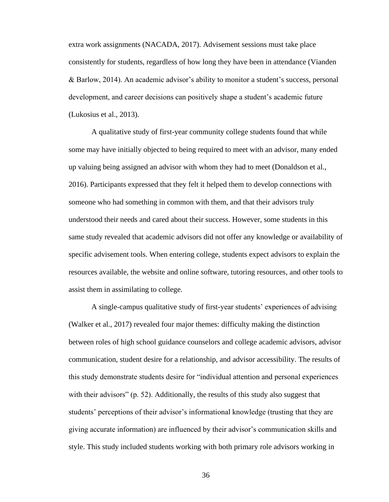extra work assignments (NACADA, 2017). Advisement sessions must take place consistently for students, regardless of how long they have been in attendance (Vianden & Barlow, 2014). An academic advisor's ability to monitor a student's success, personal development, and career decisions can positively shape a student's academic future (Lukosius et al., 2013).

A qualitative study of first-year community college students found that while some may have initially objected to being required to meet with an advisor, many ended up valuing being assigned an advisor with whom they had to meet (Donaldson et al., 2016). Participants expressed that they felt it helped them to develop connections with someone who had something in common with them, and that their advisors truly understood their needs and cared about their success. However, some students in this same study revealed that academic advisors did not offer any knowledge or availability of specific advisement tools. When entering college, students expect advisors to explain the resources available, the website and online software, tutoring resources, and other tools to assist them in assimilating to college.

A single-campus qualitative study of first-year students' experiences of advising (Walker et al., 2017) revealed four major themes: difficulty making the distinction between roles of high school guidance counselors and college academic advisors, advisor communication, student desire for a relationship, and advisor accessibility. The results of this study demonstrate students desire for "individual attention and personal experiences with their advisors" (p. 52). Additionally, the results of this study also suggest that students' perceptions of their advisor's informational knowledge (trusting that they are giving accurate information) are influenced by their advisor's communication skills and style. This study included students working with both primary role advisors working in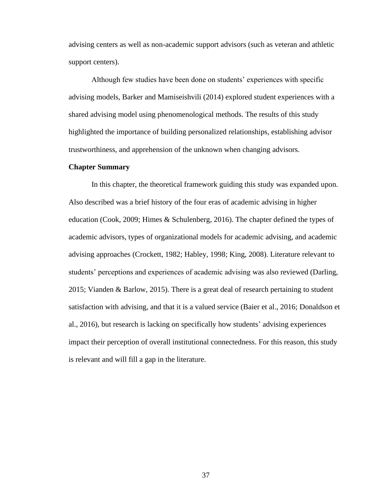advising centers as well as non-academic support advisors (such as veteran and athletic support centers).

Although few studies have been done on students' experiences with specific advising models, Barker and Mamiseishvili (2014) explored student experiences with a shared advising model using phenomenological methods. The results of this study highlighted the importance of building personalized relationships, establishing advisor trustworthiness, and apprehension of the unknown when changing advisors.

# **Chapter Summary**

In this chapter, the theoretical framework guiding this study was expanded upon. Also described was a brief history of the four eras of academic advising in higher education (Cook, 2009; Himes & Schulenberg, 2016). The chapter defined the types of academic advisors, types of organizational models for academic advising, and academic advising approaches (Crockett, 1982; Habley, 1998; King, 2008). Literature relevant to students' perceptions and experiences of academic advising was also reviewed (Darling, 2015; Vianden & Barlow, 2015). There is a great deal of research pertaining to student satisfaction with advising, and that it is a valued service (Baier et al., 2016; Donaldson et al., 2016), but research is lacking on specifically how students' advising experiences impact their perception of overall institutional connectedness. For this reason, this study is relevant and will fill a gap in the literature.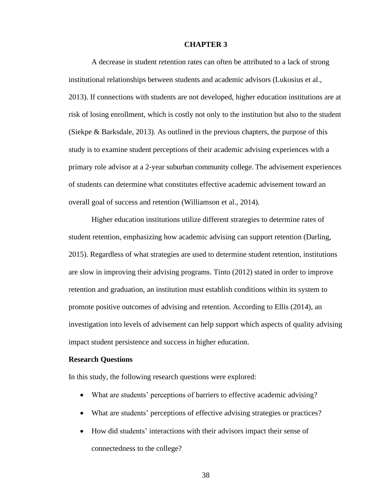#### **CHAPTER 3**

A decrease in student retention rates can often be attributed to a lack of strong institutional relationships between students and academic advisors (Lukosius et al., 2013). If connections with students are not developed, higher education institutions are at risk of losing enrollment, which is costly not only to the institution but also to the student (Siekpe & Barksdale, 2013). As outlined in the previous chapters, the purpose of this study is to examine student perceptions of their academic advising experiences with a primary role advisor at a 2-year suburban community college. The advisement experiences of students can determine what constitutes effective academic advisement toward an overall goal of success and retention (Williamson et al., 2014).

Higher education institutions utilize different strategies to determine rates of student retention, emphasizing how academic advising can support retention (Darling, 2015). Regardless of what strategies are used to determine student retention, institutions are slow in improving their advising programs. Tinto (2012) stated in order to improve retention and graduation, an institution must establish conditions within its system to promote positive outcomes of advising and retention. According to Ellis (2014), an investigation into levels of advisement can help support which aspects of quality advising impact student persistence and success in higher education.

## **Research Questions**

In this study, the following research questions were explored:

- What are students' perceptions of barriers to effective academic advising?
- What are students' perceptions of effective advising strategies or practices?
- How did students' interactions with their advisors impact their sense of connectedness to the college?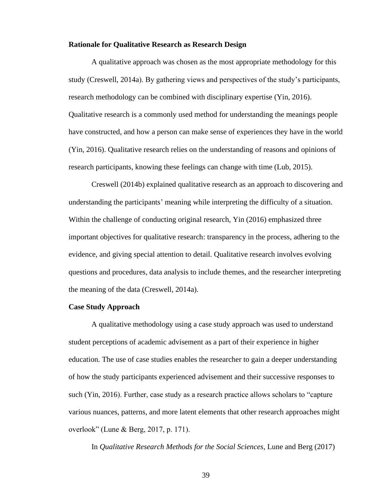#### **Rationale for Qualitative Research as Research Design**

A qualitative approach was chosen as the most appropriate methodology for this study (Creswell, 2014a). By gathering views and perspectives of the study's participants, research methodology can be combined with disciplinary expertise (Yin, 2016). Qualitative research is a commonly used method for understanding the meanings people have constructed, and how a person can make sense of experiences they have in the world (Yin, 2016). Qualitative research relies on the understanding of reasons and opinions of research participants, knowing these feelings can change with time (Lub, 2015).

Creswell (2014b) explained qualitative research as an approach to discovering and understanding the participants' meaning while interpreting the difficulty of a situation. Within the challenge of conducting original research, Yin (2016) emphasized three important objectives for qualitative research: transparency in the process, adhering to the evidence, and giving special attention to detail. Qualitative research involves evolving questions and procedures, data analysis to include themes, and the researcher interpreting the meaning of the data (Creswell, 2014a).

#### **Case Study Approach**

A qualitative methodology using a case study approach was used to understand student perceptions of academic advisement as a part of their experience in higher education. The use of case studies enables the researcher to gain a deeper understanding of how the study participants experienced advisement and their successive responses to such (Yin, 2016). Further, case study as a research practice allows scholars to "capture various nuances, patterns, and more latent elements that other research approaches might overlook" (Lune & Berg, 2017, p. 171).

In *Qualitative Research Methods for the Social Sciences*, Lune and Berg (2017)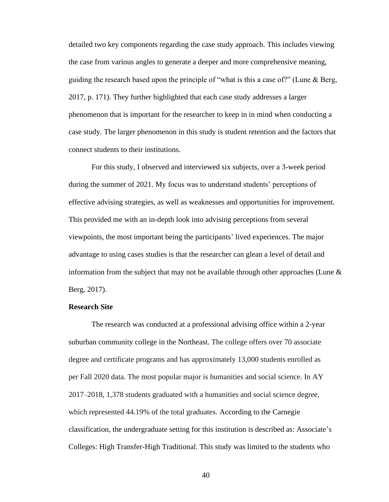detailed two key components regarding the case study approach. This includes viewing the case from various angles to generate a deeper and more comprehensive meaning, guiding the research based upon the principle of "what is this a case of?" (Lune & Berg, 2017, p. 171). They further highlighted that each case study addresses a larger phenomenon that is important for the researcher to keep in in mind when conducting a case study. The larger phenomenon in this study is student retention and the factors that connect students to their institutions.

For this study, I observed and interviewed six subjects, over a 3-week period during the summer of 2021. My focus was to understand students' perceptions of effective advising strategies, as well as weaknesses and opportunities for improvement. This provided me with an in-depth look into advising perceptions from several viewpoints, the most important being the participants' lived experiences. The major advantage to using cases studies is that the researcher can glean a level of detail and information from the subject that may not be available through other approaches (Lune  $\&$ Berg, 2017).

## **Research Site**

The research was conducted at a professional advising office within a 2-year suburban community college in the Northeast. The college offers over 70 associate degree and certificate programs and has approximately 13,000 students enrolled as per Fall 2020 data. The most popular major is humanities and social science. In AY 2017–2018, 1,378 students graduated with a humanities and social science degree, which represented 44.19% of the total graduates. According to the Carnegie classification, the undergraduate setting for this institution is described as: Associate's Colleges: High Transfer-High Traditional. This study was limited to the students who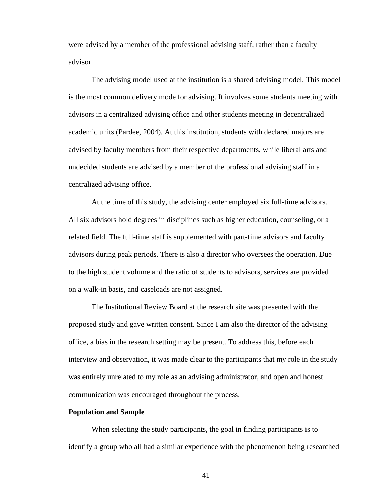were advised by a member of the professional advising staff, rather than a faculty advisor.

The advising model used at the institution is a shared advising model. This model is the most common delivery mode for advising. It involves some students meeting with advisors in a centralized advising office and other students meeting in decentralized academic units (Pardee, 2004). At this institution, students with declared majors are advised by faculty members from their respective departments, while liberal arts and undecided students are advised by a member of the professional advising staff in a centralized advising office.

At the time of this study, the advising center employed six full-time advisors. All six advisors hold degrees in disciplines such as higher education, counseling, or a related field. The full-time staff is supplemented with part-time advisors and faculty advisors during peak periods. There is also a director who oversees the operation. Due to the high student volume and the ratio of students to advisors, services are provided on a walk-in basis, and caseloads are not assigned.

The Institutional Review Board at the research site was presented with the proposed study and gave written consent. Since I am also the director of the advising office, a bias in the research setting may be present. To address this, before each interview and observation, it was made clear to the participants that my role in the study was entirely unrelated to my role as an advising administrator, and open and honest communication was encouraged throughout the process.

## **Population and Sample**

When selecting the study participants, the goal in finding participants is to identify a group who all had a similar experience with the phenomenon being researched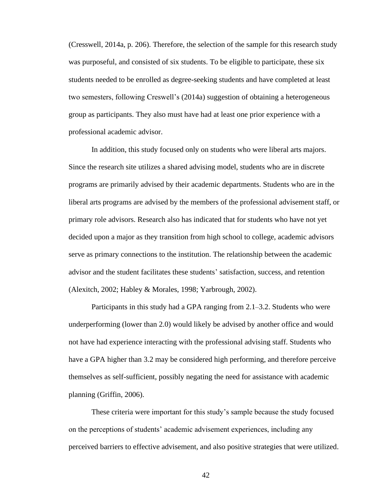(Cresswell, 2014a, p. 206). Therefore, the selection of the sample for this research study was purposeful, and consisted of six students. To be eligible to participate, these six students needed to be enrolled as degree-seeking students and have completed at least two semesters, following Creswell's (2014a) suggestion of obtaining a heterogeneous group as participants. They also must have had at least one prior experience with a professional academic advisor.

In addition, this study focused only on students who were liberal arts majors. Since the research site utilizes a shared advising model, students who are in discrete programs are primarily advised by their academic departments. Students who are in the liberal arts programs are advised by the members of the professional advisement staff, or primary role advisors. Research also has indicated that for students who have not yet decided upon a major as they transition from high school to college, academic advisors serve as primary connections to the institution. The relationship between the academic advisor and the student facilitates these students' satisfaction, success, and retention (Alexitch, 2002; Habley & Morales, 1998; Yarbrough, 2002).

Participants in this study had a GPA ranging from 2.1–3.2. Students who were underperforming (lower than 2.0) would likely be advised by another office and would not have had experience interacting with the professional advising staff. Students who have a GPA higher than 3.2 may be considered high performing, and therefore perceive themselves as self-sufficient, possibly negating the need for assistance with academic planning (Griffin, 2006).

These criteria were important for this study's sample because the study focused on the perceptions of students' academic advisement experiences, including any perceived barriers to effective advisement, and also positive strategies that were utilized.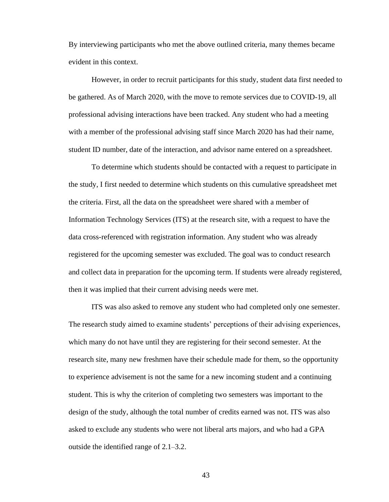By interviewing participants who met the above outlined criteria, many themes became evident in this context.

However, in order to recruit participants for this study, student data first needed to be gathered. As of March 2020, with the move to remote services due to COVID-19, all professional advising interactions have been tracked. Any student who had a meeting with a member of the professional advising staff since March 2020 has had their name, student ID number, date of the interaction, and advisor name entered on a spreadsheet.

To determine which students should be contacted with a request to participate in the study, I first needed to determine which students on this cumulative spreadsheet met the criteria. First, all the data on the spreadsheet were shared with a member of Information Technology Services (ITS) at the research site, with a request to have the data cross-referenced with registration information. Any student who was already registered for the upcoming semester was excluded. The goal was to conduct research and collect data in preparation for the upcoming term. If students were already registered, then it was implied that their current advising needs were met.

ITS was also asked to remove any student who had completed only one semester. The research study aimed to examine students' perceptions of their advising experiences, which many do not have until they are registering for their second semester. At the research site, many new freshmen have their schedule made for them, so the opportunity to experience advisement is not the same for a new incoming student and a continuing student. This is why the criterion of completing two semesters was important to the design of the study, although the total number of credits earned was not. ITS was also asked to exclude any students who were not liberal arts majors, and who had a GPA outside the identified range of 2.1–3.2.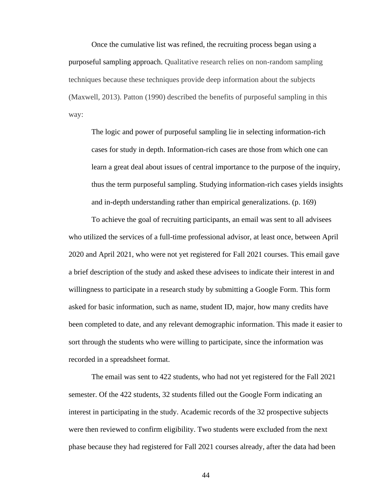Once the cumulative list was refined, the recruiting process began using a purposeful sampling approach. Qualitative research relies on non-random sampling techniques because these techniques provide deep information about the subjects (Maxwell, 2013). Patton (1990) described the benefits of purposeful sampling in this way:

The logic and power of purposeful sampling lie in selecting information-rich cases for study in depth. Information-rich cases are those from which one can learn a great deal about issues of central importance to the purpose of the inquiry, thus the term purposeful sampling. Studying information-rich cases yields insights and in-depth understanding rather than empirical generalizations. (p. 169)

To achieve the goal of recruiting participants, an email was sent to all advisees who utilized the services of a full-time professional advisor, at least once, between April 2020 and April 2021, who were not yet registered for Fall 2021 courses. This email gave a brief description of the study and asked these advisees to indicate their interest in and willingness to participate in a research study by submitting a Google Form. This form asked for basic information, such as name, student ID, major, how many credits have been completed to date, and any relevant demographic information. This made it easier to sort through the students who were willing to participate, since the information was recorded in a spreadsheet format.

The email was sent to 422 students, who had not yet registered for the Fall 2021 semester. Of the 422 students, 32 students filled out the Google Form indicating an interest in participating in the study. Academic records of the 32 prospective subjects were then reviewed to confirm eligibility. Two students were excluded from the next phase because they had registered for Fall 2021 courses already, after the data had been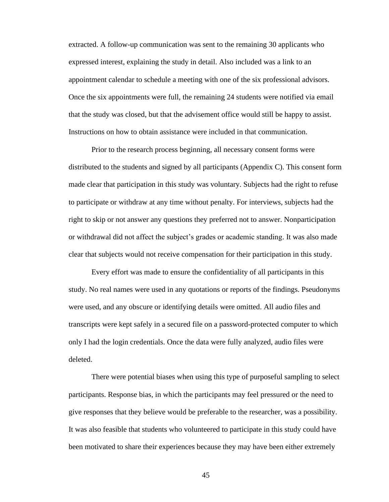extracted. A follow-up communication was sent to the remaining 30 applicants who expressed interest, explaining the study in detail. Also included was a link to an appointment calendar to schedule a meeting with one of the six professional advisors. Once the six appointments were full, the remaining 24 students were notified via email that the study was closed, but that the advisement office would still be happy to assist. Instructions on how to obtain assistance were included in that communication.

Prior to the research process beginning, all necessary consent forms were distributed to the students and signed by all participants (Appendix C). This consent form made clear that participation in this study was voluntary. Subjects had the right to refuse to participate or withdraw at any time without penalty. For interviews, subjects had the right to skip or not answer any questions they preferred not to answer. Nonparticipation or withdrawal did not affect the subject's grades or academic standing. It was also made clear that subjects would not receive compensation for their participation in this study.

Every effort was made to ensure the confidentiality of all participants in this study. No real names were used in any quotations or reports of the findings. Pseudonyms were used, and any obscure or identifying details were omitted. All audio files and transcripts were kept safely in a secured file on a password-protected computer to which only I had the login credentials. Once the data were fully analyzed, audio files were deleted.

There were potential biases when using this type of purposeful sampling to select participants. Response bias, in which the participants may feel pressured or the need to give responses that they believe would be preferable to the researcher, was a possibility. It was also feasible that students who volunteered to participate in this study could have been motivated to share their experiences because they may have been either extremely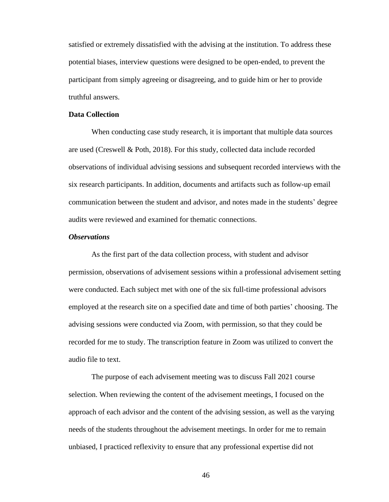satisfied or extremely dissatisfied with the advising at the institution. To address these potential biases, interview questions were designed to be open-ended, to prevent the participant from simply agreeing or disagreeing, and to guide him or her to provide truthful answers.

## **Data Collection**

When conducting case study research, it is important that multiple data sources are used (Creswell & Poth, 2018). For this study, collected data include recorded observations of individual advising sessions and subsequent recorded interviews with the six research participants. In addition, documents and artifacts such as follow-up email communication between the student and advisor, and notes made in the students' degree audits were reviewed and examined for thematic connections.

# *Observations*

As the first part of the data collection process, with student and advisor permission, observations of advisement sessions within a professional advisement setting were conducted. Each subject met with one of the six full-time professional advisors employed at the research site on a specified date and time of both parties' choosing. The advising sessions were conducted via Zoom, with permission, so that they could be recorded for me to study. The transcription feature in Zoom was utilized to convert the audio file to text.

The purpose of each advisement meeting was to discuss Fall 2021 course selection. When reviewing the content of the advisement meetings, I focused on the approach of each advisor and the content of the advising session, as well as the varying needs of the students throughout the advisement meetings. In order for me to remain unbiased, I practiced reflexivity to ensure that any professional expertise did not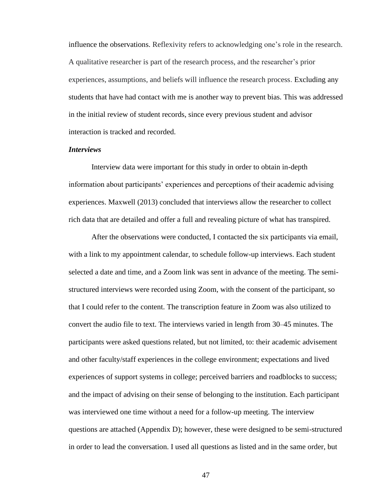influence the observations. Reflexivity refers to acknowledging one's role in the research. A qualitative researcher is part of the research process, and the researcher's prior experiences, assumptions, and beliefs will influence the research process. Excluding any students that have had contact with me is another way to prevent bias. This was addressed in the initial review of student records, since every previous student and advisor interaction is tracked and recorded.

## *Interviews*

Interview data were important for this study in order to obtain in-depth information about participants' experiences and perceptions of their academic advising experiences. Maxwell (2013) concluded that interviews allow the researcher to collect rich data that are detailed and offer a full and revealing picture of what has transpired.

After the observations were conducted, I contacted the six participants via email, with a link to my appointment calendar, to schedule follow-up interviews. Each student selected a date and time, and a Zoom link was sent in advance of the meeting. The semistructured interviews were recorded using Zoom, with the consent of the participant, so that I could refer to the content. The transcription feature in Zoom was also utilized to convert the audio file to text. The interviews varied in length from 30–45 minutes. The participants were asked questions related, but not limited, to: their academic advisement and other faculty/staff experiences in the college environment; expectations and lived experiences of support systems in college; perceived barriers and roadblocks to success; and the impact of advising on their sense of belonging to the institution. Each participant was interviewed one time without a need for a follow-up meeting. The interview questions are attached (Appendix D); however, these were designed to be semi-structured in order to lead the conversation. I used all questions as listed and in the same order, but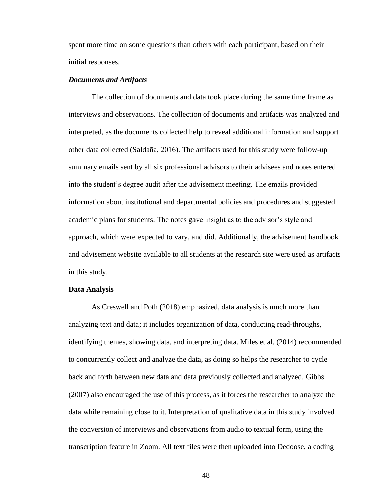spent more time on some questions than others with each participant, based on their initial responses.

## *Documents and Artifacts*

The collection of documents and data took place during the same time frame as interviews and observations. The collection of documents and artifacts was analyzed and interpreted, as the documents collected help to reveal additional information and support other data collected (Saldaña, 2016). The artifacts used for this study were follow-up summary emails sent by all six professional advisors to their advisees and notes entered into the student's degree audit after the advisement meeting. The emails provided information about institutional and departmental policies and procedures and suggested academic plans for students. The notes gave insight as to the advisor's style and approach, which were expected to vary, and did. Additionally, the advisement handbook and advisement website available to all students at the research site were used as artifacts in this study.

## **Data Analysis**

As Creswell and Poth (2018) emphasized, data analysis is much more than analyzing text and data; it includes organization of data, conducting read-throughs, identifying themes, showing data, and interpreting data. Miles et al. (2014) recommended to concurrently collect and analyze the data, as doing so helps the researcher to cycle back and forth between new data and data previously collected and analyzed. Gibbs (2007) also encouraged the use of this process, as it forces the researcher to analyze the data while remaining close to it. Interpretation of qualitative data in this study involved the conversion of interviews and observations from audio to textual form, using the transcription feature in Zoom. All text files were then uploaded into Dedoose, a coding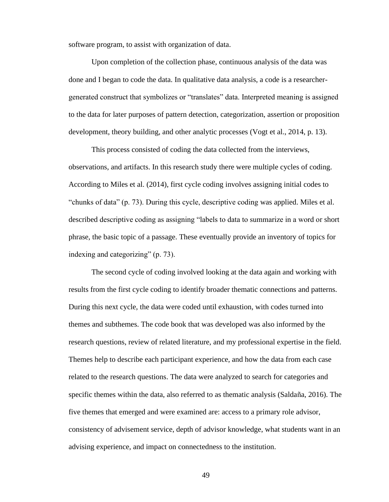software program, to assist with organization of data.

Upon completion of the collection phase, continuous analysis of the data was done and I began to code the data. In qualitative data analysis, a code is a researchergenerated construct that symbolizes or "translates" data. Interpreted meaning is assigned to the data for later purposes of pattern detection, categorization, assertion or proposition development, theory building, and other analytic processes (Vogt et al., 2014, p. 13).

This process consisted of coding the data collected from the interviews, observations, and artifacts. In this research study there were multiple cycles of coding. According to Miles et al. (2014), first cycle coding involves assigning initial codes to "chunks of data" (p. 73). During this cycle, descriptive coding was applied. Miles et al. described descriptive coding as assigning "labels to data to summarize in a word or short phrase, the basic topic of a passage. These eventually provide an inventory of topics for indexing and categorizing" (p. 73).

The second cycle of coding involved looking at the data again and working with results from the first cycle coding to identify broader thematic connections and patterns. During this next cycle, the data were coded until exhaustion, with codes turned into themes and subthemes. The code book that was developed was also informed by the research questions, review of related literature, and my professional expertise in the field. Themes help to describe each participant experience, and how the data from each case related to the research questions. The data were analyzed to search for categories and specific themes within the data, also referred to as thematic analysis (Saldaña, 2016). The five themes that emerged and were examined are: access to a primary role advisor, consistency of advisement service, depth of advisor knowledge, what students want in an advising experience, and impact on connectedness to the institution.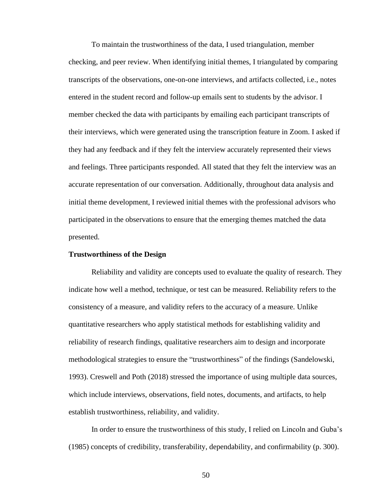To maintain the trustworthiness of the data, I used triangulation, member checking, and peer review. When identifying initial themes, I triangulated by comparing transcripts of the observations, one-on-one interviews, and artifacts collected, i.e., notes entered in the student record and follow-up emails sent to students by the advisor. I member checked the data with participants by emailing each participant transcripts of their interviews, which were generated using the transcription feature in Zoom. I asked if they had any feedback and if they felt the interview accurately represented their views and feelings. Three participants responded. All stated that they felt the interview was an accurate representation of our conversation. Additionally, throughout data analysis and initial theme development, I reviewed initial themes with the professional advisors who participated in the observations to ensure that the emerging themes matched the data presented.

## **Trustworthiness of the Design**

Reliability and validity are concepts used to evaluate the quality of research. They indicate how well a method, technique, or test can be measured. Reliability refers to the consistency of a measure, and validity refers to the accuracy of a measure. Unlike quantitative researchers who apply statistical methods for establishing validity and reliability of research findings, qualitative researchers aim to design and incorporate methodological strategies to ensure the "trustworthiness" of the findings (Sandelowski, 1993). Creswell and Poth (2018) stressed the importance of using multiple data sources, which include interviews, observations, field notes, documents, and artifacts, to help establish trustworthiness, reliability, and validity.

In order to ensure the trustworthiness of this study, I relied on Lincoln and Guba's (1985) concepts of credibility, transferability, dependability, and confirmability (p. 300).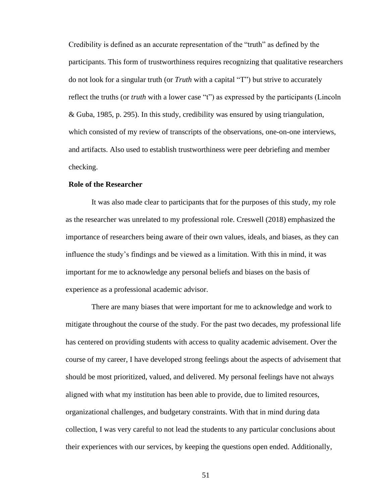Credibility is defined as an accurate representation of the "truth" as defined by the participants. This form of trustworthiness requires recognizing that qualitative researchers do not look for a singular truth (or *Truth* with a capital "T") but strive to accurately reflect the truths (or *truth* with a lower case "t") as expressed by the participants (Lincoln & Guba, 1985, p. 295). In this study, credibility was ensured by using triangulation, which consisted of my review of transcripts of the observations, one-on-one interviews, and artifacts. Also used to establish trustworthiness were peer debriefing and member checking.

## **Role of the Researcher**

It was also made clear to participants that for the purposes of this study, my role as the researcher was unrelated to my professional role. Creswell (2018) emphasized the importance of researchers being aware of their own values, ideals, and biases, as they can influence the study's findings and be viewed as a limitation. With this in mind, it was important for me to acknowledge any personal beliefs and biases on the basis of experience as a professional academic advisor.

There are many biases that were important for me to acknowledge and work to mitigate throughout the course of the study. For the past two decades, my professional life has centered on providing students with access to quality academic advisement. Over the course of my career, I have developed strong feelings about the aspects of advisement that should be most prioritized, valued, and delivered. My personal feelings have not always aligned with what my institution has been able to provide, due to limited resources, organizational challenges, and budgetary constraints. With that in mind during data collection, I was very careful to not lead the students to any particular conclusions about their experiences with our services, by keeping the questions open ended. Additionally,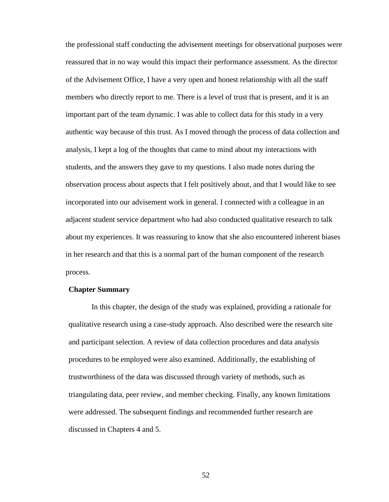the professional staff conducting the advisement meetings for observational purposes were reassured that in no way would this impact their performance assessment. As the director of the Advisement Office, I have a very open and honest relationship with all the staff members who directly report to me. There is a level of trust that is present, and it is an important part of the team dynamic. I was able to collect data for this study in a very authentic way because of this trust. As I moved through the process of data collection and analysis, I kept a log of the thoughts that came to mind about my interactions with students, and the answers they gave to my questions. I also made notes during the observation process about aspects that I felt positively about, and that I would like to see incorporated into our advisement work in general. I connected with a colleague in an adjacent student service department who had also conducted qualitative research to talk about my experiences. It was reassuring to know that she also encountered inherent biases in her research and that this is a normal part of the human component of the research process.

# **Chapter Summary**

In this chapter, the design of the study was explained, providing a rationale for qualitative research using a case-study approach. Also described were the research site and participant selection. A review of data collection procedures and data analysis procedures to be employed were also examined. Additionally, the establishing of trustworthiness of the data was discussed through variety of methods, such as triangulating data, peer review, and member checking. Finally, any known limitations were addressed. The subsequent findings and recommended further research are discussed in Chapters 4 and 5.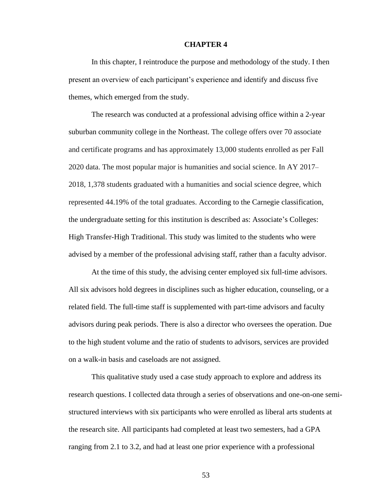#### **CHAPTER 4**

In this chapter, I reintroduce the purpose and methodology of the study. I then present an overview of each participant's experience and identify and discuss five themes, which emerged from the study.

The research was conducted at a professional advising office within a 2-year suburban community college in the Northeast. The college offers over 70 associate and certificate programs and has approximately 13,000 students enrolled as per Fall 2020 data. The most popular major is humanities and social science. In AY 2017– 2018, 1,378 students graduated with a humanities and social science degree, which represented 44.19% of the total graduates. According to the Carnegie classification, the undergraduate setting for this institution is described as: Associate's Colleges: High Transfer-High Traditional. This study was limited to the students who were advised by a member of the professional advising staff, rather than a faculty advisor.

At the time of this study, the advising center employed six full-time advisors. All six advisors hold degrees in disciplines such as higher education, counseling, or a related field. The full-time staff is supplemented with part-time advisors and faculty advisors during peak periods. There is also a director who oversees the operation. Due to the high student volume and the ratio of students to advisors, services are provided on a walk-in basis and caseloads are not assigned.

This qualitative study used a case study approach to explore and address its research questions. I collected data through a series of observations and one-on-one semistructured interviews with six participants who were enrolled as liberal arts students at the research site. All participants had completed at least two semesters, had a GPA ranging from 2.1 to 3.2, and had at least one prior experience with a professional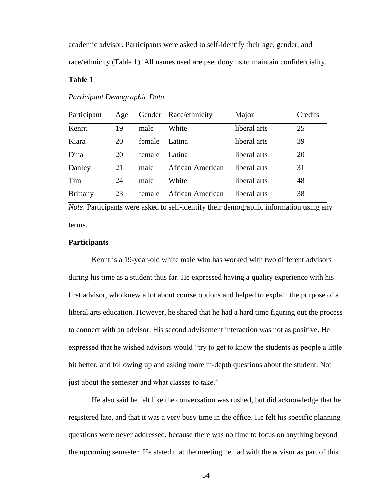academic advisor. Participants were asked to self-identify their age, gender, and race/ethnicity (Table 1). All names used are pseudonyms to maintain confidentiality.

## **Table 1**

| Participant     | Age |        | Gender Race/ethnicity | Major        | Credits |
|-----------------|-----|--------|-----------------------|--------------|---------|
| Kennt           | 19  | male   | White                 | liberal arts | 25      |
| Kiara           | 20  | female | Latina                | liberal arts | 39      |
| Dina            | 20  | female | Latina                | liberal arts | 20      |
| Danley          | 21  | male   | African American      | liberal arts | 31      |
| Tim             | 24  | male   | White                 | liberal arts | 48      |
| <b>Brittany</b> | 23  | female | African American      | liberal arts | 38      |

*Participant Demographic Data*

*Note.* Participants were asked to self-identify their demographic information using any terms.

# **Participants**

Kennt is a 19-year-old white male who has worked with two different advisors during his time as a student thus far. He expressed having a quality experience with his first advisor, who knew a lot about course options and helped to explain the purpose of a liberal arts education. However, he shared that he had a hard time figuring out the process to connect with an advisor. His second advisement interaction was not as positive. He expressed that he wished advisors would "try to get to know the students as people a little bit better, and following up and asking more in-depth questions about the student. Not just about the semester and what classes to take."

He also said he felt like the conversation was rushed, but did acknowledge that he registered late, and that it was a very busy time in the office. He felt his specific planning questions were never addressed, because there was no time to focus on anything beyond the upcoming semester. He stated that the meeting he had with the advisor as part of this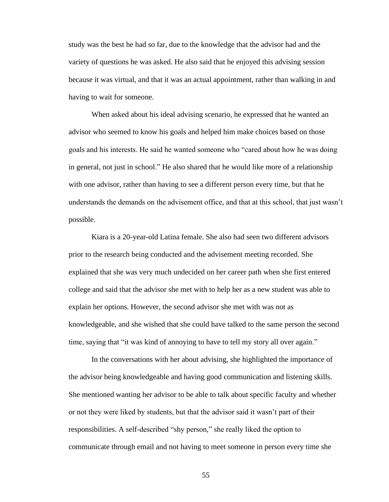study was the best he had so far, due to the knowledge that the advisor had and the variety of questions he was asked. He also said that he enjoyed this advising session because it was virtual, and that it was an actual appointment, rather than walking in and having to wait for someone.

When asked about his ideal advising scenario, he expressed that he wanted an advisor who seemed to know his goals and helped him make choices based on those goals and his interests. He said he wanted someone who "cared about how he was doing in general, not just in school." He also shared that he would like more of a relationship with one advisor, rather than having to see a different person every time, but that he understands the demands on the advisement office, and that at this school, that just wasn't possible.

Kiara is a 20-year-old Latina female. She also had seen two different advisors prior to the research being conducted and the advisement meeting recorded. She explained that she was very much undecided on her career path when she first entered college and said that the advisor she met with to help her as a new student was able to explain her options. However, the second advisor she met with was not as knowledgeable, and she wished that she could have talked to the same person the second time, saying that "it was kind of annoying to have to tell my story all over again."

In the conversations with her about advising, she highlighted the importance of the advisor being knowledgeable and having good communication and listening skills. She mentioned wanting her advisor to be able to talk about specific faculty and whether or not they were liked by students, but that the advisor said it wasn't part of their responsibilities. A self-described "shy person," she really liked the option to communicate through email and not having to meet someone in person every time she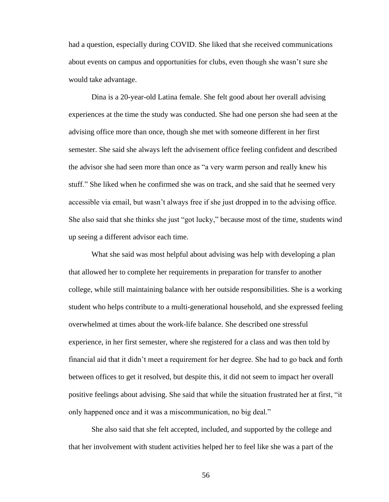had a question, especially during COVID. She liked that she received communications about events on campus and opportunities for clubs, even though she wasn't sure she would take advantage.

Dina is a 20-year-old Latina female. She felt good about her overall advising experiences at the time the study was conducted. She had one person she had seen at the advising office more than once, though she met with someone different in her first semester. She said she always left the advisement office feeling confident and described the advisor she had seen more than once as "a very warm person and really knew his stuff." She liked when he confirmed she was on track, and she said that he seemed very accessible via email, but wasn't always free if she just dropped in to the advising office. She also said that she thinks she just "got lucky," because most of the time, students wind up seeing a different advisor each time.

What she said was most helpful about advising was help with developing a plan that allowed her to complete her requirements in preparation for transfer to another college, while still maintaining balance with her outside responsibilities. She is a working student who helps contribute to a multi-generational household, and she expressed feeling overwhelmed at times about the work-life balance. She described one stressful experience, in her first semester, where she registered for a class and was then told by financial aid that it didn't meet a requirement for her degree. She had to go back and forth between offices to get it resolved, but despite this, it did not seem to impact her overall positive feelings about advising. She said that while the situation frustrated her at first, "it only happened once and it was a miscommunication, no big deal."

She also said that she felt accepted, included, and supported by the college and that her involvement with student activities helped her to feel like she was a part of the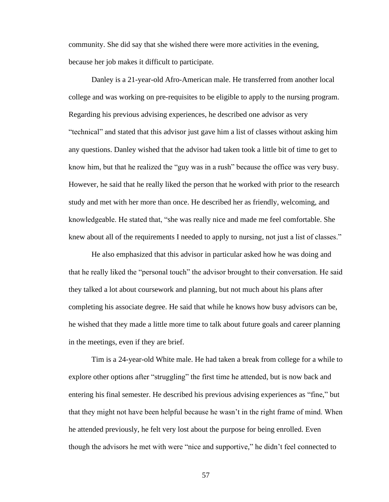community. She did say that she wished there were more activities in the evening, because her job makes it difficult to participate.

Danley is a 21-year-old Afro-American male. He transferred from another local college and was working on pre-requisites to be eligible to apply to the nursing program. Regarding his previous advising experiences, he described one advisor as very "technical" and stated that this advisor just gave him a list of classes without asking him any questions. Danley wished that the advisor had taken took a little bit of time to get to know him, but that he realized the "guy was in a rush" because the office was very busy. However, he said that he really liked the person that he worked with prior to the research study and met with her more than once. He described her as friendly, welcoming, and knowledgeable. He stated that, "she was really nice and made me feel comfortable. She knew about all of the requirements I needed to apply to nursing, not just a list of classes."

He also emphasized that this advisor in particular asked how he was doing and that he really liked the "personal touch" the advisor brought to their conversation. He said they talked a lot about coursework and planning, but not much about his plans after completing his associate degree. He said that while he knows how busy advisors can be, he wished that they made a little more time to talk about future goals and career planning in the meetings, even if they are brief.

Tim is a 24-year-old White male. He had taken a break from college for a while to explore other options after "struggling" the first time he attended, but is now back and entering his final semester. He described his previous advising experiences as "fine," but that they might not have been helpful because he wasn't in the right frame of mind. When he attended previously, he felt very lost about the purpose for being enrolled. Even though the advisors he met with were "nice and supportive," he didn't feel connected to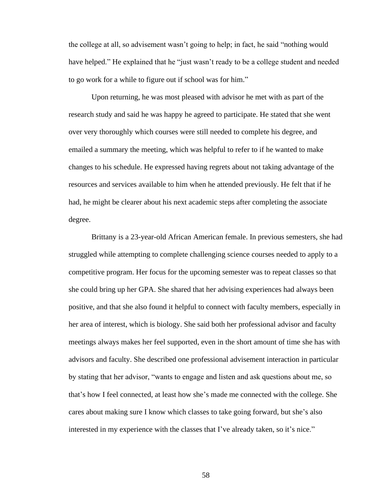the college at all, so advisement wasn't going to help; in fact, he said "nothing would have helped." He explained that he "just wasn't ready to be a college student and needed to go work for a while to figure out if school was for him."

Upon returning, he was most pleased with advisor he met with as part of the research study and said he was happy he agreed to participate. He stated that she went over very thoroughly which courses were still needed to complete his degree, and emailed a summary the meeting, which was helpful to refer to if he wanted to make changes to his schedule. He expressed having regrets about not taking advantage of the resources and services available to him when he attended previously. He felt that if he had, he might be clearer about his next academic steps after completing the associate degree.

Brittany is a 23-year-old African American female. In previous semesters, she had struggled while attempting to complete challenging science courses needed to apply to a competitive program. Her focus for the upcoming semester was to repeat classes so that she could bring up her GPA. She shared that her advising experiences had always been positive, and that she also found it helpful to connect with faculty members, especially in her area of interest, which is biology. She said both her professional advisor and faculty meetings always makes her feel supported, even in the short amount of time she has with advisors and faculty. She described one professional advisement interaction in particular by stating that her advisor, "wants to engage and listen and ask questions about me, so that's how I feel connected, at least how she's made me connected with the college. She cares about making sure I know which classes to take going forward, but she's also interested in my experience with the classes that I've already taken, so it's nice."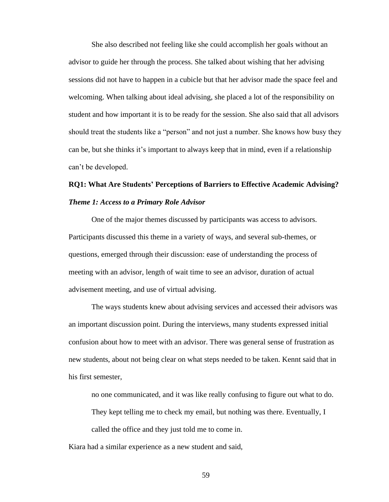She also described not feeling like she could accomplish her goals without an advisor to guide her through the process. She talked about wishing that her advising sessions did not have to happen in a cubicle but that her advisor made the space feel and welcoming. When talking about ideal advising, she placed a lot of the responsibility on student and how important it is to be ready for the session. She also said that all advisors should treat the students like a "person" and not just a number. She knows how busy they can be, but she thinks it's important to always keep that in mind, even if a relationship can't be developed.

# **RQ1: What Are Students' Perceptions of Barriers to Effective Academic Advising?** *Theme 1: Access to a Primary Role Advisor*

One of the major themes discussed by participants was access to advisors. Participants discussed this theme in a variety of ways, and several sub-themes, or questions, emerged through their discussion: ease of understanding the process of meeting with an advisor, length of wait time to see an advisor, duration of actual advisement meeting, and use of virtual advising.

The ways students knew about advising services and accessed their advisors was an important discussion point. During the interviews, many students expressed initial confusion about how to meet with an advisor. There was general sense of frustration as new students, about not being clear on what steps needed to be taken. Kennt said that in his first semester,

no one communicated, and it was like really confusing to figure out what to do.

They kept telling me to check my email, but nothing was there. Eventually, I

called the office and they just told me to come in.

Kiara had a similar experience as a new student and said,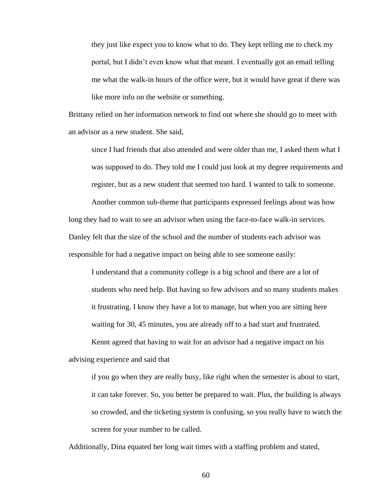they just like expect you to know what to do. They kept telling me to check my portal, but I didn't even know what that meant. I eventually got an email telling me what the walk-in hours of the office were, but it would have great if there was like more info on the website or something.

Brittany relied on her information network to find out where she should go to meet with an advisor as a new student. She said,

since I had friends that also attended and were older than me, I asked them what I was supposed to do. They told me I could just look at my degree requirements and register, but as a new student that seemed too hard. I wanted to talk to someone.

Another common sub-theme that participants expressed feelings about was how long they had to wait to see an advisor when using the face-to-face walk-in services. Danley felt that the size of the school and the number of students each advisor was responsible for had a negative impact on being able to see someone easily:

I understand that a community college is a big school and there are a lot of students who need help. But having so few advisors and so many students makes it frustrating. I know they have a lot to manage, but when you are sitting here waiting for 30, 45 minutes, you are already off to a bad start and frustrated.

Kennt agreed that having to wait for an advisor had a negative impact on his advising experience and said that

if you go when they are really busy, like right when the semester is about to start, it can take forever. So, you better be prepared to wait. Plus, the building is always so crowded, and the ticketing system is confusing, so you really have to watch the screen for your number to be called.

Additionally, Dina equated her long wait times with a staffing problem and stated,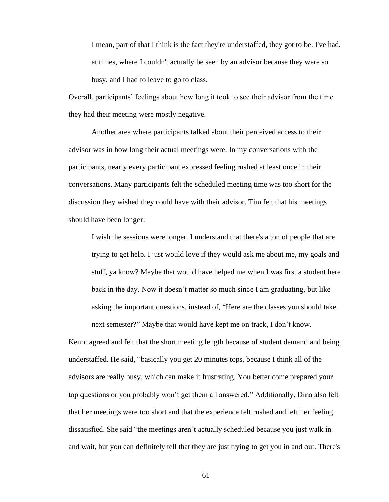I mean, part of that I think is the fact they're understaffed, they got to be. I've had, at times, where I couldn't actually be seen by an advisor because they were so busy, and I had to leave to go to class.

Overall, participants' feelings about how long it took to see their advisor from the time they had their meeting were mostly negative.

Another area where participants talked about their perceived access to their advisor was in how long their actual meetings were. In my conversations with the participants, nearly every participant expressed feeling rushed at least once in their conversations. Many participants felt the scheduled meeting time was too short for the discussion they wished they could have with their advisor. Tim felt that his meetings should have been longer:

I wish the sessions were longer. I understand that there's a ton of people that are trying to get help. I just would love if they would ask me about me, my goals and stuff, ya know? Maybe that would have helped me when I was first a student here back in the day. Now it doesn't matter so much since I am graduating, but like asking the important questions, instead of, "Here are the classes you should take next semester?" Maybe that would have kept me on track, I don't know.

Kennt agreed and felt that the short meeting length because of student demand and being understaffed. He said, "basically you get 20 minutes tops, because I think all of the advisors are really busy, which can make it frustrating. You better come prepared your top questions or you probably won't get them all answered." Additionally, Dina also felt that her meetings were too short and that the experience felt rushed and left her feeling dissatisfied. She said "the meetings aren't actually scheduled because you just walk in and wait, but you can definitely tell that they are just trying to get you in and out. There's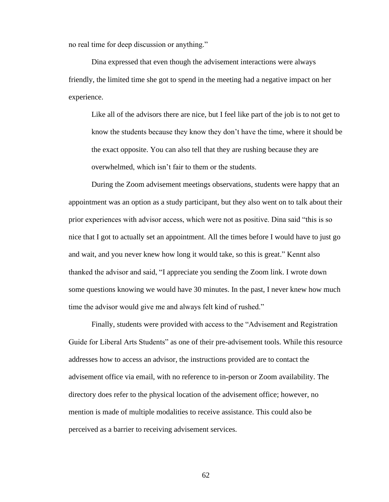no real time for deep discussion or anything."

Dina expressed that even though the advisement interactions were always friendly, the limited time she got to spend in the meeting had a negative impact on her experience.

Like all of the advisors there are nice, but I feel like part of the job is to not get to know the students because they know they don't have the time, where it should be the exact opposite. You can also tell that they are rushing because they are overwhelmed, which isn't fair to them or the students.

During the Zoom advisement meetings observations, students were happy that an appointment was an option as a study participant, but they also went on to talk about their prior experiences with advisor access, which were not as positive. Dina said "this is so nice that I got to actually set an appointment. All the times before I would have to just go and wait, and you never knew how long it would take, so this is great." Kennt also thanked the advisor and said, "I appreciate you sending the Zoom link. I wrote down some questions knowing we would have 30 minutes. In the past, I never knew how much time the advisor would give me and always felt kind of rushed."

Finally, students were provided with access to the "Advisement and Registration Guide for Liberal Arts Students" as one of their pre-advisement tools. While this resource addresses how to access an advisor, the instructions provided are to contact the advisement office via email, with no reference to in-person or Zoom availability. The directory does refer to the physical location of the advisement office; however, no mention is made of multiple modalities to receive assistance. This could also be perceived as a barrier to receiving advisement services.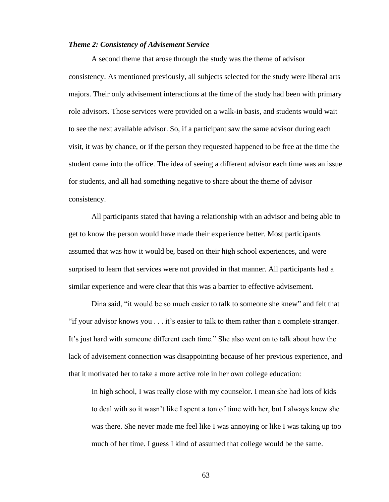#### *Theme 2: Consistency of Advisement Service*

A second theme that arose through the study was the theme of advisor consistency. As mentioned previously, all subjects selected for the study were liberal arts majors. Their only advisement interactions at the time of the study had been with primary role advisors. Those services were provided on a walk-in basis, and students would wait to see the next available advisor. So, if a participant saw the same advisor during each visit, it was by chance, or if the person they requested happened to be free at the time the student came into the office. The idea of seeing a different advisor each time was an issue for students, and all had something negative to share about the theme of advisor consistency.

All participants stated that having a relationship with an advisor and being able to get to know the person would have made their experience better. Most participants assumed that was how it would be, based on their high school experiences, and were surprised to learn that services were not provided in that manner. All participants had a similar experience and were clear that this was a barrier to effective advisement.

Dina said, "it would be so much easier to talk to someone she knew" and felt that "if your advisor knows you . . . it's easier to talk to them rather than a complete stranger. It's just hard with someone different each time." She also went on to talk about how the lack of advisement connection was disappointing because of her previous experience, and that it motivated her to take a more active role in her own college education:

In high school, I was really close with my counselor. I mean she had lots of kids to deal with so it wasn't like I spent a ton of time with her, but I always knew she was there. She never made me feel like I was annoying or like I was taking up too much of her time. I guess I kind of assumed that college would be the same.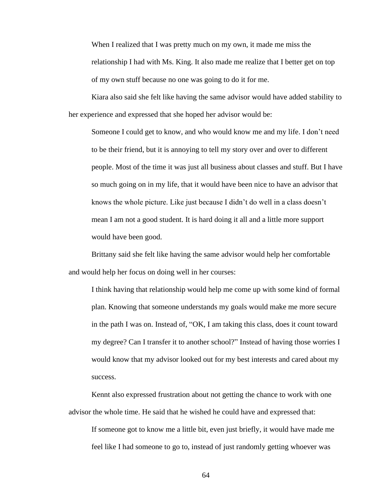When I realized that I was pretty much on my own, it made me miss the relationship I had with Ms. King. It also made me realize that I better get on top of my own stuff because no one was going to do it for me.

Kiara also said she felt like having the same advisor would have added stability to her experience and expressed that she hoped her advisor would be:

Someone I could get to know, and who would know me and my life. I don't need to be their friend, but it is annoying to tell my story over and over to different people. Most of the time it was just all business about classes and stuff. But I have so much going on in my life, that it would have been nice to have an advisor that knows the whole picture. Like just because I didn't do well in a class doesn't mean I am not a good student. It is hard doing it all and a little more support would have been good.

Brittany said she felt like having the same advisor would help her comfortable and would help her focus on doing well in her courses:

I think having that relationship would help me come up with some kind of formal plan. Knowing that someone understands my goals would make me more secure in the path I was on. Instead of, "OK, I am taking this class, does it count toward my degree? Can I transfer it to another school?" Instead of having those worries I would know that my advisor looked out for my best interests and cared about my success.

Kennt also expressed frustration about not getting the chance to work with one advisor the whole time. He said that he wished he could have and expressed that:

If someone got to know me a little bit, even just briefly, it would have made me feel like I had someone to go to, instead of just randomly getting whoever was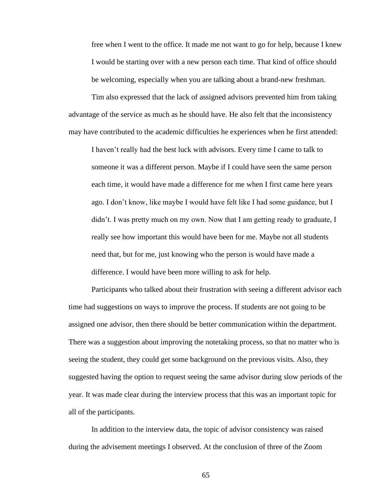free when I went to the office. It made me not want to go for help, because I knew I would be starting over with a new person each time. That kind of office should be welcoming, especially when you are talking about a brand-new freshman.

Tim also expressed that the lack of assigned advisors prevented him from taking advantage of the service as much as he should have. He also felt that the inconsistency may have contributed to the academic difficulties he experiences when he first attended:

I haven't really had the best luck with advisors. Every time I came to talk to someone it was a different person. Maybe if I could have seen the same person each time, it would have made a difference for me when I first came here years ago. I don't know, like maybe I would have felt like I had some guidance, but I didn't. I was pretty much on my own. Now that I am getting ready to graduate, I really see how important this would have been for me. Maybe not all students need that, but for me, just knowing who the person is would have made a difference. I would have been more willing to ask for help.

Participants who talked about their frustration with seeing a different advisor each time had suggestions on ways to improve the process. If students are not going to be assigned one advisor, then there should be better communication within the department. There was a suggestion about improving the notetaking process, so that no matter who is seeing the student, they could get some background on the previous visits. Also, they suggested having the option to request seeing the same advisor during slow periods of the year. It was made clear during the interview process that this was an important topic for all of the participants.

In addition to the interview data, the topic of advisor consistency was raised during the advisement meetings I observed. At the conclusion of three of the Zoom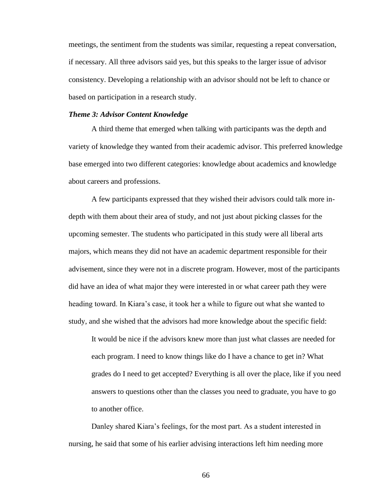meetings, the sentiment from the students was similar, requesting a repeat conversation, if necessary. All three advisors said yes, but this speaks to the larger issue of advisor consistency. Developing a relationship with an advisor should not be left to chance or based on participation in a research study.

### *Theme 3: Advisor Content Knowledge*

A third theme that emerged when talking with participants was the depth and variety of knowledge they wanted from their academic advisor. This preferred knowledge base emerged into two different categories: knowledge about academics and knowledge about careers and professions.

A few participants expressed that they wished their advisors could talk more indepth with them about their area of study, and not just about picking classes for the upcoming semester. The students who participated in this study were all liberal arts majors, which means they did not have an academic department responsible for their advisement, since they were not in a discrete program. However, most of the participants did have an idea of what major they were interested in or what career path they were heading toward. In Kiara's case, it took her a while to figure out what she wanted to study, and she wished that the advisors had more knowledge about the specific field:

It would be nice if the advisors knew more than just what classes are needed for each program. I need to know things like do I have a chance to get in? What grades do I need to get accepted? Everything is all over the place, like if you need answers to questions other than the classes you need to graduate, you have to go to another office.

Danley shared Kiara's feelings, for the most part. As a student interested in nursing, he said that some of his earlier advising interactions left him needing more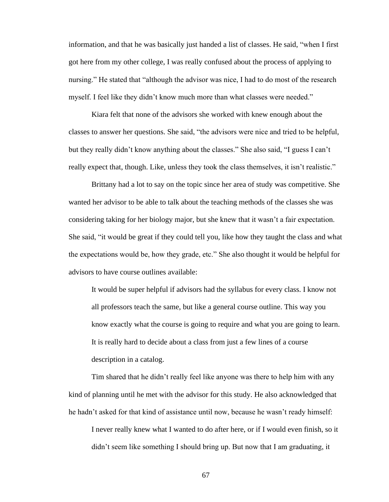information, and that he was basically just handed a list of classes. He said, "when I first got here from my other college, I was really confused about the process of applying to nursing." He stated that "although the advisor was nice, I had to do most of the research myself. I feel like they didn't know much more than what classes were needed."

Kiara felt that none of the advisors she worked with knew enough about the classes to answer her questions. She said, "the advisors were nice and tried to be helpful, but they really didn't know anything about the classes." She also said, "I guess I can't really expect that, though. Like, unless they took the class themselves, it isn't realistic."

Brittany had a lot to say on the topic since her area of study was competitive. She wanted her advisor to be able to talk about the teaching methods of the classes she was considering taking for her biology major, but she knew that it wasn't a fair expectation. She said, "it would be great if they could tell you, like how they taught the class and what the expectations would be, how they grade, etc." She also thought it would be helpful for advisors to have course outlines available:

It would be super helpful if advisors had the syllabus for every class. I know not all professors teach the same, but like a general course outline. This way you know exactly what the course is going to require and what you are going to learn. It is really hard to decide about a class from just a few lines of a course description in a catalog.

Tim shared that he didn't really feel like anyone was there to help him with any kind of planning until he met with the advisor for this study. He also acknowledged that he hadn't asked for that kind of assistance until now, because he wasn't ready himself:

I never really knew what I wanted to do after here, or if I would even finish, so it didn't seem like something I should bring up. But now that I am graduating, it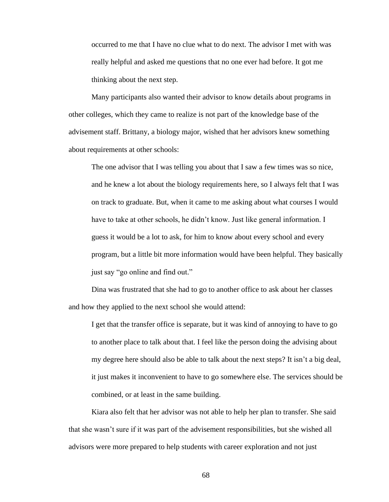occurred to me that I have no clue what to do next. The advisor I met with was really helpful and asked me questions that no one ever had before. It got me thinking about the next step.

Many participants also wanted their advisor to know details about programs in other colleges, which they came to realize is not part of the knowledge base of the advisement staff. Brittany, a biology major, wished that her advisors knew something about requirements at other schools:

The one advisor that I was telling you about that I saw a few times was so nice, and he knew a lot about the biology requirements here, so I always felt that I was on track to graduate. But, when it came to me asking about what courses I would have to take at other schools, he didn't know. Just like general information. I guess it would be a lot to ask, for him to know about every school and every program, but a little bit more information would have been helpful. They basically just say "go online and find out."

Dina was frustrated that she had to go to another office to ask about her classes and how they applied to the next school she would attend:

I get that the transfer office is separate, but it was kind of annoying to have to go to another place to talk about that. I feel like the person doing the advising about my degree here should also be able to talk about the next steps? It isn't a big deal, it just makes it inconvenient to have to go somewhere else. The services should be combined, or at least in the same building.

Kiara also felt that her advisor was not able to help her plan to transfer. She said that she wasn't sure if it was part of the advisement responsibilities, but she wished all advisors were more prepared to help students with career exploration and not just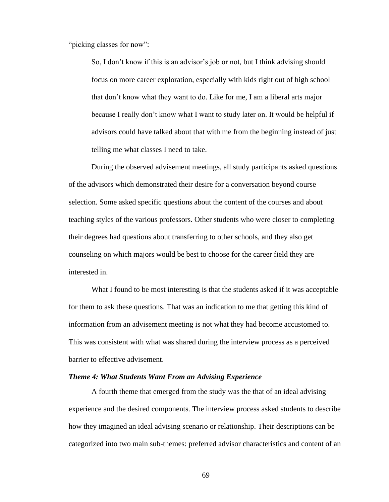"picking classes for now":

So, I don't know if this is an advisor's job or not, but I think advising should focus on more career exploration, especially with kids right out of high school that don't know what they want to do. Like for me, I am a liberal arts major because I really don't know what I want to study later on. It would be helpful if advisors could have talked about that with me from the beginning instead of just telling me what classes I need to take.

During the observed advisement meetings, all study participants asked questions of the advisors which demonstrated their desire for a conversation beyond course selection. Some asked specific questions about the content of the courses and about teaching styles of the various professors. Other students who were closer to completing their degrees had questions about transferring to other schools, and they also get counseling on which majors would be best to choose for the career field they are interested in.

What I found to be most interesting is that the students asked if it was acceptable for them to ask these questions. That was an indication to me that getting this kind of information from an advisement meeting is not what they had become accustomed to. This was consistent with what was shared during the interview process as a perceived barrier to effective advisement.

## *Theme 4: What Students Want From an Advising Experience*

A fourth theme that emerged from the study was the that of an ideal advising experience and the desired components. The interview process asked students to describe how they imagined an ideal advising scenario or relationship. Their descriptions can be categorized into two main sub-themes: preferred advisor characteristics and content of an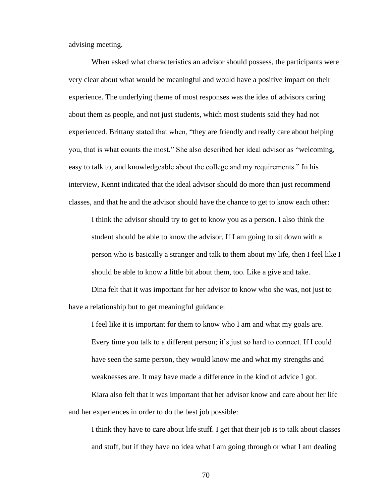advising meeting.

When asked what characteristics an advisor should possess, the participants were very clear about what would be meaningful and would have a positive impact on their experience. The underlying theme of most responses was the idea of advisors caring about them as people, and not just students, which most students said they had not experienced. Brittany stated that when, "they are friendly and really care about helping you, that is what counts the most." She also described her ideal advisor as "welcoming, easy to talk to, and knowledgeable about the college and my requirements." In his interview, Kennt indicated that the ideal advisor should do more than just recommend classes, and that he and the advisor should have the chance to get to know each other:

I think the advisor should try to get to know you as a person. I also think the student should be able to know the advisor. If I am going to sit down with a person who is basically a stranger and talk to them about my life, then I feel like I should be able to know a little bit about them, too. Like a give and take.

Dina felt that it was important for her advisor to know who she was, not just to have a relationship but to get meaningful guidance:

I feel like it is important for them to know who I am and what my goals are. Every time you talk to a different person; it's just so hard to connect. If I could have seen the same person, they would know me and what my strengths and weaknesses are. It may have made a difference in the kind of advice I got.

Kiara also felt that it was important that her advisor know and care about her life and her experiences in order to do the best job possible:

I think they have to care about life stuff. I get that their job is to talk about classes and stuff, but if they have no idea what I am going through or what I am dealing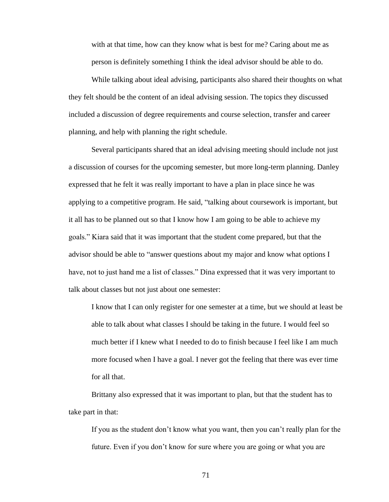with at that time, how can they know what is best for me? Caring about me as person is definitely something I think the ideal advisor should be able to do.

While talking about ideal advising, participants also shared their thoughts on what they felt should be the content of an ideal advising session. The topics they discussed included a discussion of degree requirements and course selection, transfer and career planning, and help with planning the right schedule.

Several participants shared that an ideal advising meeting should include not just a discussion of courses for the upcoming semester, but more long-term planning. Danley expressed that he felt it was really important to have a plan in place since he was applying to a competitive program. He said, "talking about coursework is important, but it all has to be planned out so that I know how I am going to be able to achieve my goals." Kiara said that it was important that the student come prepared, but that the advisor should be able to "answer questions about my major and know what options I have, not to just hand me a list of classes." Dina expressed that it was very important to talk about classes but not just about one semester:

I know that I can only register for one semester at a time, but we should at least be able to talk about what classes I should be taking in the future. I would feel so much better if I knew what I needed to do to finish because I feel like I am much more focused when I have a goal. I never got the feeling that there was ever time for all that.

Brittany also expressed that it was important to plan, but that the student has to take part in that:

If you as the student don't know what you want, then you can't really plan for the future. Even if you don't know for sure where you are going or what you are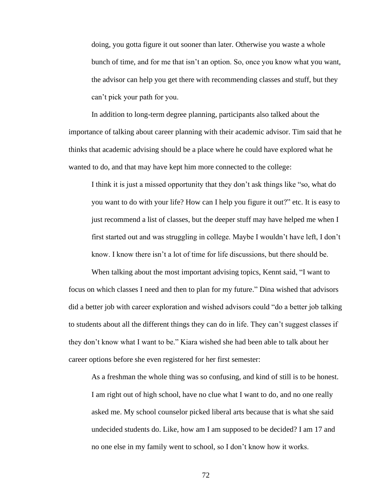doing, you gotta figure it out sooner than later. Otherwise you waste a whole bunch of time, and for me that isn't an option. So, once you know what you want, the advisor can help you get there with recommending classes and stuff, but they can't pick your path for you.

In addition to long-term degree planning, participants also talked about the importance of talking about career planning with their academic advisor. Tim said that he thinks that academic advising should be a place where he could have explored what he wanted to do, and that may have kept him more connected to the college:

I think it is just a missed opportunity that they don't ask things like "so, what do you want to do with your life? How can I help you figure it out?" etc. It is easy to just recommend a list of classes, but the deeper stuff may have helped me when I first started out and was struggling in college. Maybe I wouldn't have left, I don't know. I know there isn't a lot of time for life discussions, but there should be.

When talking about the most important advising topics, Kennt said, "I want to focus on which classes I need and then to plan for my future." Dina wished that advisors did a better job with career exploration and wished advisors could "do a better job talking to students about all the different things they can do in life. They can't suggest classes if they don't know what I want to be." Kiara wished she had been able to talk about her career options before she even registered for her first semester:

As a freshman the whole thing was so confusing, and kind of still is to be honest. I am right out of high school, have no clue what I want to do, and no one really asked me. My school counselor picked liberal arts because that is what she said undecided students do. Like, how am I am supposed to be decided? I am 17 and no one else in my family went to school, so I don't know how it works.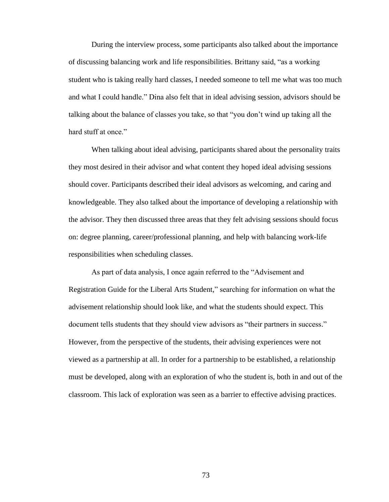During the interview process, some participants also talked about the importance of discussing balancing work and life responsibilities. Brittany said, "as a working student who is taking really hard classes, I needed someone to tell me what was too much and what I could handle." Dina also felt that in ideal advising session, advisors should be talking about the balance of classes you take, so that "you don't wind up taking all the hard stuff at once."

When talking about ideal advising, participants shared about the personality traits they most desired in their advisor and what content they hoped ideal advising sessions should cover. Participants described their ideal advisors as welcoming, and caring and knowledgeable. They also talked about the importance of developing a relationship with the advisor. They then discussed three areas that they felt advising sessions should focus on: degree planning, career/professional planning, and help with balancing work-life responsibilities when scheduling classes.

As part of data analysis, I once again referred to the "Advisement and Registration Guide for the Liberal Arts Student," searching for information on what the advisement relationship should look like, and what the students should expect. This document tells students that they should view advisors as "their partners in success." However, from the perspective of the students, their advising experiences were not viewed as a partnership at all. In order for a partnership to be established, a relationship must be developed, along with an exploration of who the student is, both in and out of the classroom. This lack of exploration was seen as a barrier to effective advising practices.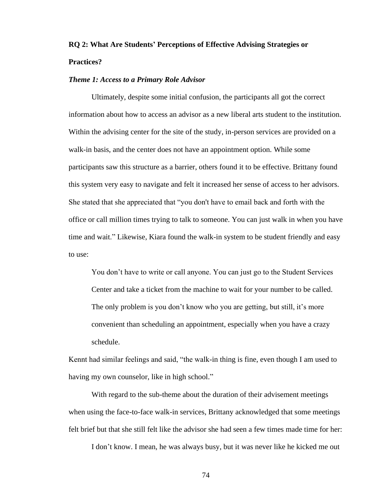# **RQ 2: What Are Students' Perceptions of Effective Advising Strategies or Practices?**

# *Theme 1: Access to a Primary Role Advisor*

Ultimately, despite some initial confusion, the participants all got the correct information about how to access an advisor as a new liberal arts student to the institution. Within the advising center for the site of the study, in-person services are provided on a walk-in basis, and the center does not have an appointment option. While some participants saw this structure as a barrier, others found it to be effective. Brittany found this system very easy to navigate and felt it increased her sense of access to her advisors. She stated that she appreciated that "you don't have to email back and forth with the office or call million times trying to talk to someone. You can just walk in when you have time and wait." Likewise, Kiara found the walk-in system to be student friendly and easy to use:

You don't have to write or call anyone. You can just go to the Student Services Center and take a ticket from the machine to wait for your number to be called. The only problem is you don't know who you are getting, but still, it's more convenient than scheduling an appointment, especially when you have a crazy schedule.

Kennt had similar feelings and said, "the walk-in thing is fine, even though I am used to having my own counselor, like in high school."

With regard to the sub-theme about the duration of their advisement meetings when using the face-to-face walk-in services, Brittany acknowledged that some meetings felt brief but that she still felt like the advisor she had seen a few times made time for her:

I don't know. I mean, he was always busy, but it was never like he kicked me out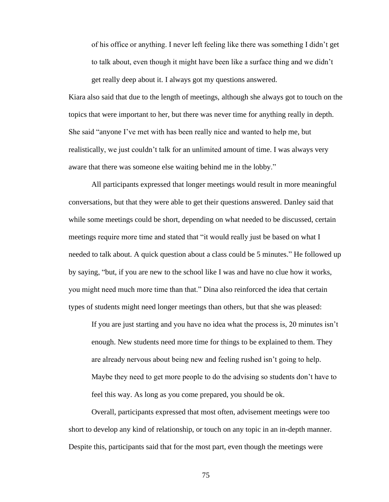of his office or anything. I never left feeling like there was something I didn't get to talk about, even though it might have been like a surface thing and we didn't get really deep about it. I always got my questions answered.

Kiara also said that due to the length of meetings, although she always got to touch on the topics that were important to her, but there was never time for anything really in depth. She said "anyone I've met with has been really nice and wanted to help me, but realistically, we just couldn't talk for an unlimited amount of time. I was always very aware that there was someone else waiting behind me in the lobby."

All participants expressed that longer meetings would result in more meaningful conversations, but that they were able to get their questions answered. Danley said that while some meetings could be short, depending on what needed to be discussed, certain meetings require more time and stated that "it would really just be based on what I needed to talk about. A quick question about a class could be 5 minutes." He followed up by saying, "but, if you are new to the school like I was and have no clue how it works, you might need much more time than that." Dina also reinforced the idea that certain types of students might need longer meetings than others, but that she was pleased:

If you are just starting and you have no idea what the process is, 20 minutes isn't enough. New students need more time for things to be explained to them. They are already nervous about being new and feeling rushed isn't going to help. Maybe they need to get more people to do the advising so students don't have to feel this way. As long as you come prepared, you should be ok.

Overall, participants expressed that most often, advisement meetings were too short to develop any kind of relationship, or touch on any topic in an in-depth manner. Despite this, participants said that for the most part, even though the meetings were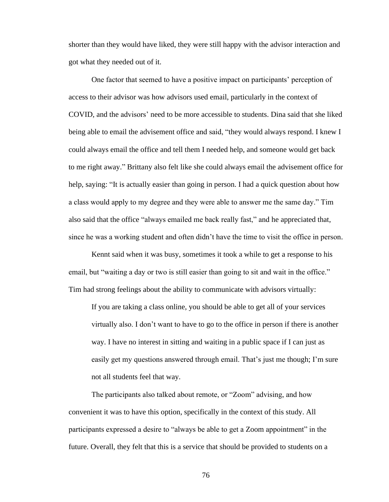shorter than they would have liked, they were still happy with the advisor interaction and got what they needed out of it.

One factor that seemed to have a positive impact on participants' perception of access to their advisor was how advisors used email, particularly in the context of COVID, and the advisors' need to be more accessible to students. Dina said that she liked being able to email the advisement office and said, "they would always respond. I knew I could always email the office and tell them I needed help, and someone would get back to me right away." Brittany also felt like she could always email the advisement office for help, saying: "It is actually easier than going in person. I had a quick question about how a class would apply to my degree and they were able to answer me the same day." Tim also said that the office "always emailed me back really fast," and he appreciated that, since he was a working student and often didn't have the time to visit the office in person.

Kennt said when it was busy, sometimes it took a while to get a response to his email, but "waiting a day or two is still easier than going to sit and wait in the office." Tim had strong feelings about the ability to communicate with advisors virtually:

If you are taking a class online, you should be able to get all of your services virtually also. I don't want to have to go to the office in person if there is another way. I have no interest in sitting and waiting in a public space if I can just as easily get my questions answered through email. That's just me though; I'm sure not all students feel that way.

The participants also talked about remote, or "Zoom" advising, and how convenient it was to have this option, specifically in the context of this study. All participants expressed a desire to "always be able to get a Zoom appointment" in the future. Overall, they felt that this is a service that should be provided to students on a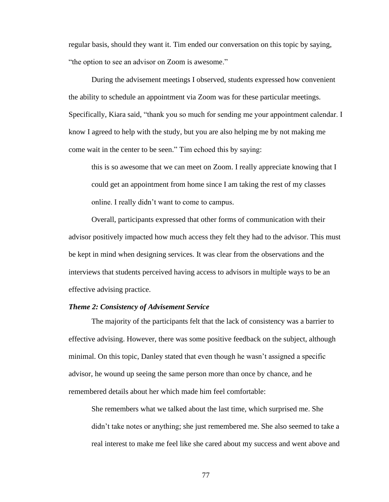regular basis, should they want it. Tim ended our conversation on this topic by saying, "the option to see an advisor on Zoom is awesome."

During the advisement meetings I observed, students expressed how convenient the ability to schedule an appointment via Zoom was for these particular meetings. Specifically, Kiara said, "thank you so much for sending me your appointment calendar. I know I agreed to help with the study, but you are also helping me by not making me come wait in the center to be seen." Tim echoed this by saying:

this is so awesome that we can meet on Zoom. I really appreciate knowing that I could get an appointment from home since I am taking the rest of my classes online. I really didn't want to come to campus.

Overall, participants expressed that other forms of communication with their advisor positively impacted how much access they felt they had to the advisor. This must be kept in mind when designing services. It was clear from the observations and the interviews that students perceived having access to advisors in multiple ways to be an effective advising practice.

### *Theme 2: Consistency of Advisement Service*

The majority of the participants felt that the lack of consistency was a barrier to effective advising. However, there was some positive feedback on the subject, although minimal. On this topic, Danley stated that even though he wasn't assigned a specific advisor, he wound up seeing the same person more than once by chance, and he remembered details about her which made him feel comfortable:

She remembers what we talked about the last time, which surprised me. She didn't take notes or anything; she just remembered me. She also seemed to take a real interest to make me feel like she cared about my success and went above and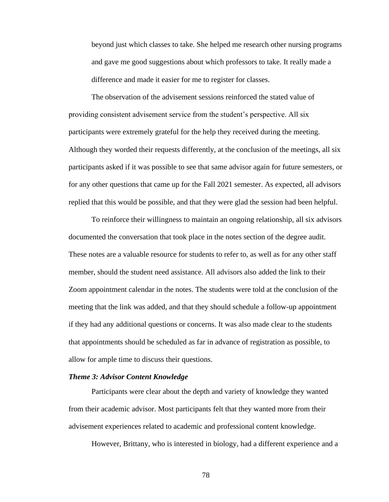beyond just which classes to take. She helped me research other nursing programs and gave me good suggestions about which professors to take. It really made a difference and made it easier for me to register for classes.

The observation of the advisement sessions reinforced the stated value of providing consistent advisement service from the student's perspective. All six participants were extremely grateful for the help they received during the meeting. Although they worded their requests differently, at the conclusion of the meetings, all six participants asked if it was possible to see that same advisor again for future semesters, or for any other questions that came up for the Fall 2021 semester. As expected, all advisors replied that this would be possible, and that they were glad the session had been helpful.

To reinforce their willingness to maintain an ongoing relationship, all six advisors documented the conversation that took place in the notes section of the degree audit. These notes are a valuable resource for students to refer to, as well as for any other staff member, should the student need assistance. All advisors also added the link to their Zoom appointment calendar in the notes. The students were told at the conclusion of the meeting that the link was added, and that they should schedule a follow-up appointment if they had any additional questions or concerns. It was also made clear to the students that appointments should be scheduled as far in advance of registration as possible, to allow for ample time to discuss their questions.

### *Theme 3: Advisor Content Knowledge*

Participants were clear about the depth and variety of knowledge they wanted from their academic advisor. Most participants felt that they wanted more from their advisement experiences related to academic and professional content knowledge.

However, Brittany, who is interested in biology, had a different experience and a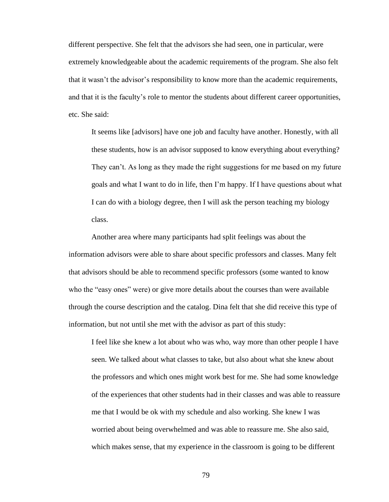different perspective. She felt that the advisors she had seen, one in particular, were extremely knowledgeable about the academic requirements of the program. She also felt that it wasn't the advisor's responsibility to know more than the academic requirements, and that it is the faculty's role to mentor the students about different career opportunities, etc. She said:

It seems like [advisors] have one job and faculty have another. Honestly, with all these students, how is an advisor supposed to know everything about everything? They can't. As long as they made the right suggestions for me based on my future goals and what I want to do in life, then I'm happy. If I have questions about what I can do with a biology degree, then I will ask the person teaching my biology class.

Another area where many participants had split feelings was about the information advisors were able to share about specific professors and classes. Many felt that advisors should be able to recommend specific professors (some wanted to know who the "easy ones" were) or give more details about the courses than were available through the course description and the catalog. Dina felt that she did receive this type of information, but not until she met with the advisor as part of this study:

I feel like she knew a lot about who was who, way more than other people I have seen. We talked about what classes to take, but also about what she knew about the professors and which ones might work best for me. She had some knowledge of the experiences that other students had in their classes and was able to reassure me that I would be ok with my schedule and also working. She knew I was worried about being overwhelmed and was able to reassure me. She also said, which makes sense, that my experience in the classroom is going to be different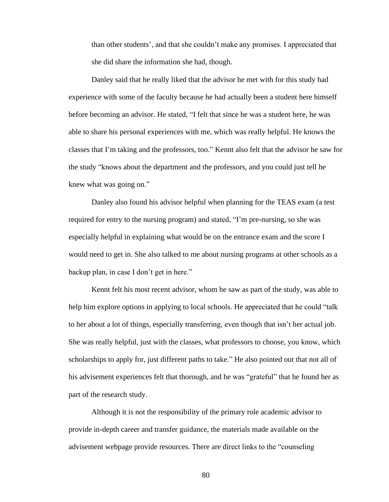than other students', and that she couldn't make any promises. I appreciated that she did share the information she had, though.

Danley said that he really liked that the advisor he met with for this study had experience with some of the faculty because he had actually been a student here himself before becoming an advisor. He stated, "I felt that since he was a student here, he was able to share his personal experiences with me, which was really helpful. He knows the classes that I'm taking and the professors, too." Kennt also felt that the advisor he saw for the study "knows about the department and the professors, and you could just tell he knew what was going on."

Danley also found his advisor helpful when planning for the TEAS exam (a test required for entry to the nursing program) and stated, "I'm pre-nursing, so she was especially helpful in explaining what would be on the entrance exam and the score I would need to get in. She also talked to me about nursing programs at other schools as a backup plan, in case I don't get in here."

Kennt felt his most recent advisor, whom he saw as part of the study, was able to help him explore options in applying to local schools. He appreciated that he could "talk to her about a lot of things, especially transferring, even though that isn't her actual job. She was really helpful, just with the classes, what professors to choose, you know, which scholarships to apply for, just different paths to take." He also pointed out that not all of his advisement experiences felt that thorough, and he was "grateful" that he found her as part of the research study.

Although it is not the responsibility of the primary role academic advisor to provide in-depth career and transfer guidance, the materials made available on the advisement webpage provide resources. There are direct links to the "counseling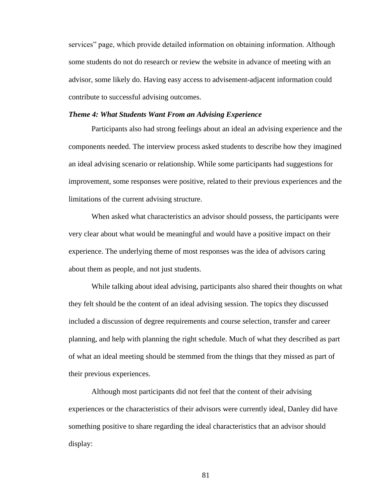services" page, which provide detailed information on obtaining information. Although some students do not do research or review the website in advance of meeting with an advisor, some likely do. Having easy access to advisement-adjacent information could contribute to successful advising outcomes.

#### *Theme 4: What Students Want From an Advising Experience*

Participants also had strong feelings about an ideal an advising experience and the components needed. The interview process asked students to describe how they imagined an ideal advising scenario or relationship. While some participants had suggestions for improvement, some responses were positive, related to their previous experiences and the limitations of the current advising structure.

When asked what characteristics an advisor should possess, the participants were very clear about what would be meaningful and would have a positive impact on their experience. The underlying theme of most responses was the idea of advisors caring about them as people, and not just students.

While talking about ideal advising, participants also shared their thoughts on what they felt should be the content of an ideal advising session. The topics they discussed included a discussion of degree requirements and course selection, transfer and career planning, and help with planning the right schedule. Much of what they described as part of what an ideal meeting should be stemmed from the things that they missed as part of their previous experiences.

Although most participants did not feel that the content of their advising experiences or the characteristics of their advisors were currently ideal, Danley did have something positive to share regarding the ideal characteristics that an advisor should display: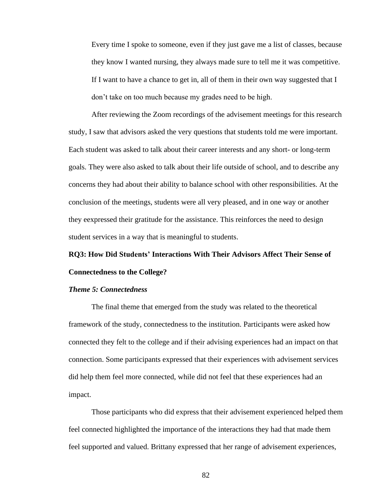Every time I spoke to someone, even if they just gave me a list of classes, because they know I wanted nursing, they always made sure to tell me it was competitive. If I want to have a chance to get in, all of them in their own way suggested that I don't take on too much because my grades need to be high.

After reviewing the Zoom recordings of the advisement meetings for this research study, I saw that advisors asked the very questions that students told me were important. Each student was asked to talk about their career interests and any short- or long-term goals. They were also asked to talk about their life outside of school, and to describe any concerns they had about their ability to balance school with other responsibilities. At the conclusion of the meetings, students were all very pleased, and in one way or another they eexpressed their gratitude for the assistance. This reinforces the need to design student services in a way that is meaningful to students.

# **RQ3: How Did Students' Interactions With Their Advisors Affect Their Sense of Connectedness to the College?**

### *Theme 5: Connectedness*

The final theme that emerged from the study was related to the theoretical framework of the study, connectedness to the institution. Participants were asked how connected they felt to the college and if their advising experiences had an impact on that connection. Some participants expressed that their experiences with advisement services did help them feel more connected, while did not feel that these experiences had an impact.

Those participants who did express that their advisement experienced helped them feel connected highlighted the importance of the interactions they had that made them feel supported and valued. Brittany expressed that her range of advisement experiences,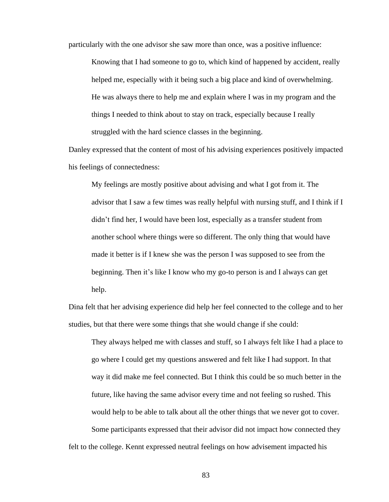particularly with the one advisor she saw more than once, was a positive influence:

Knowing that I had someone to go to, which kind of happened by accident, really helped me, especially with it being such a big place and kind of overwhelming. He was always there to help me and explain where I was in my program and the things I needed to think about to stay on track, especially because I really struggled with the hard science classes in the beginning.

Danley expressed that the content of most of his advising experiences positively impacted his feelings of connectedness:

My feelings are mostly positive about advising and what I got from it. The advisor that I saw a few times was really helpful with nursing stuff, and I think if I didn't find her, I would have been lost, especially as a transfer student from another school where things were so different. The only thing that would have made it better is if I knew she was the person I was supposed to see from the beginning. Then it's like I know who my go-to person is and I always can get help.

Dina felt that her advising experience did help her feel connected to the college and to her studies, but that there were some things that she would change if she could:

They always helped me with classes and stuff, so I always felt like I had a place to go where I could get my questions answered and felt like I had support. In that way it did make me feel connected. But I think this could be so much better in the future, like having the same advisor every time and not feeling so rushed. This would help to be able to talk about all the other things that we never got to cover. Some participants expressed that their advisor did not impact how connected they

felt to the college. Kennt expressed neutral feelings on how advisement impacted his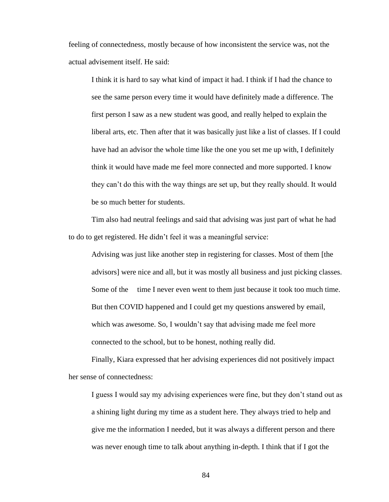feeling of connectedness, mostly because of how inconsistent the service was, not the actual advisement itself. He said:

I think it is hard to say what kind of impact it had. I think if I had the chance to see the same person every time it would have definitely made a difference. The first person I saw as a new student was good, and really helped to explain the liberal arts, etc. Then after that it was basically just like a list of classes. If I could have had an advisor the whole time like the one you set me up with, I definitely think it would have made me feel more connected and more supported. I know they can't do this with the way things are set up, but they really should. It would be so much better for students.

Tim also had neutral feelings and said that advising was just part of what he had to do to get registered. He didn't feel it was a meaningful service:

Advising was just like another step in registering for classes. Most of them [the advisors] were nice and all, but it was mostly all business and just picking classes. Some of the time I never even went to them just because it took too much time. But then COVID happened and I could get my questions answered by email, which was awesome. So, I wouldn't say that advising made me feel more connected to the school, but to be honest, nothing really did.

Finally, Kiara expressed that her advising experiences did not positively impact her sense of connectedness:

I guess I would say my advising experiences were fine, but they don't stand out as a shining light during my time as a student here. They always tried to help and give me the information I needed, but it was always a different person and there was never enough time to talk about anything in-depth. I think that if I got the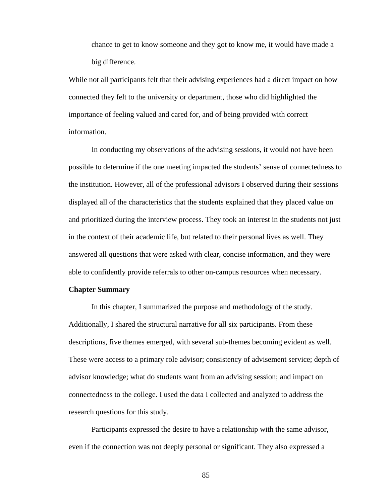chance to get to know someone and they got to know me, it would have made a big difference.

While not all participants felt that their advising experiences had a direct impact on how connected they felt to the university or department, those who did highlighted the importance of feeling valued and cared for, and of being provided with correct information.

In conducting my observations of the advising sessions, it would not have been possible to determine if the one meeting impacted the students' sense of connectedness to the institution. However, all of the professional advisors I observed during their sessions displayed all of the characteristics that the students explained that they placed value on and prioritized during the interview process. They took an interest in the students not just in the context of their academic life, but related to their personal lives as well. They answered all questions that were asked with clear, concise information, and they were able to confidently provide referrals to other on-campus resources when necessary.

## **Chapter Summary**

In this chapter, I summarized the purpose and methodology of the study. Additionally, I shared the structural narrative for all six participants. From these descriptions, five themes emerged, with several sub-themes becoming evident as well. These were access to a primary role advisor; consistency of advisement service; depth of advisor knowledge; what do students want from an advising session; and impact on connectedness to the college. I used the data I collected and analyzed to address the research questions for this study.

Participants expressed the desire to have a relationship with the same advisor, even if the connection was not deeply personal or significant. They also expressed a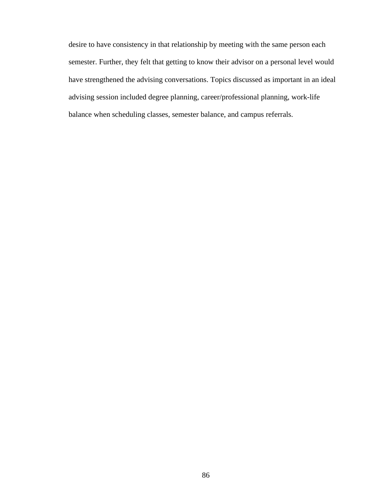desire to have consistency in that relationship by meeting with the same person each semester. Further, they felt that getting to know their advisor on a personal level would have strengthened the advising conversations. Topics discussed as important in an ideal advising session included degree planning, career/professional planning, work-life balance when scheduling classes, semester balance, and campus referrals.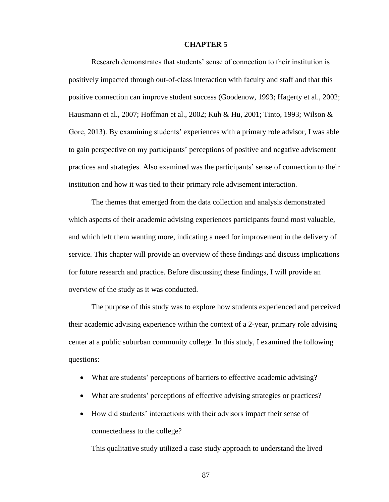#### **CHAPTER 5**

Research demonstrates that students' sense of connection to their institution is positively impacted through out-of-class interaction with faculty and staff and that this positive connection can improve student success (Goodenow, 1993; Hagerty et al., 2002; Hausmann et al., 2007; Hoffman et al., 2002; Kuh & Hu, 2001; Tinto, 1993; Wilson & Gore, 2013). By examining students' experiences with a primary role advisor, I was able to gain perspective on my participants' perceptions of positive and negative advisement practices and strategies. Also examined was the participants' sense of connection to their institution and how it was tied to their primary role advisement interaction.

The themes that emerged from the data collection and analysis demonstrated which aspects of their academic advising experiences participants found most valuable, and which left them wanting more, indicating a need for improvement in the delivery of service. This chapter will provide an overview of these findings and discuss implications for future research and practice. Before discussing these findings, I will provide an overview of the study as it was conducted.

The purpose of this study was to explore how students experienced and perceived their academic advising experience within the context of a 2-year, primary role advising center at a public suburban community college. In this study, I examined the following questions:

- What are students' perceptions of barriers to effective academic advising?
- What are students' perceptions of effective advising strategies or practices?
- How did students' interactions with their advisors impact their sense of connectedness to the college?

This qualitative study utilized a case study approach to understand the lived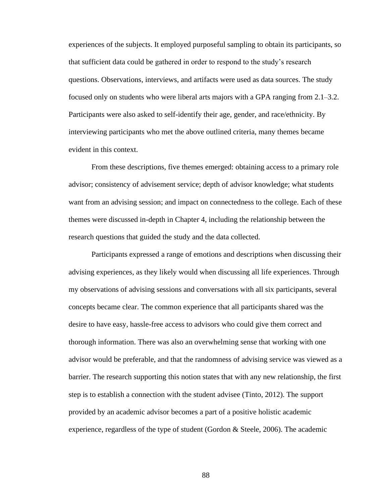experiences of the subjects. It employed purposeful sampling to obtain its participants, so that sufficient data could be gathered in order to respond to the study's research questions. Observations, interviews, and artifacts were used as data sources. The study focused only on students who were liberal arts majors with a GPA ranging from 2.1–3.2. Participants were also asked to self-identify their age, gender, and race/ethnicity. By interviewing participants who met the above outlined criteria, many themes became evident in this context.

From these descriptions, five themes emerged: obtaining access to a primary role advisor; consistency of advisement service; depth of advisor knowledge; what students want from an advising session; and impact on connectedness to the college. Each of these themes were discussed in-depth in Chapter 4, including the relationship between the research questions that guided the study and the data collected.

Participants expressed a range of emotions and descriptions when discussing their advising experiences, as they likely would when discussing all life experiences. Through my observations of advising sessions and conversations with all six participants, several concepts became clear. The common experience that all participants shared was the desire to have easy, hassle-free access to advisors who could give them correct and thorough information. There was also an overwhelming sense that working with one advisor would be preferable, and that the randomness of advising service was viewed as a barrier. The research supporting this notion states that with any new relationship, the first step is to establish a connection with the student advisee (Tinto, 2012). The support provided by an academic advisor becomes a part of a positive holistic academic experience, regardless of the type of student (Gordon  $\&$  Steele, 2006). The academic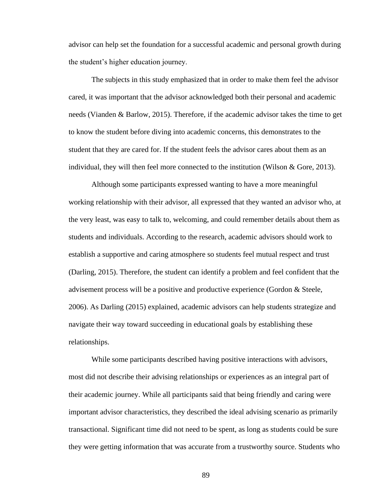advisor can help set the foundation for a successful academic and personal growth during the student's higher education journey.

The subjects in this study emphasized that in order to make them feel the advisor cared, it was important that the advisor acknowledged both their personal and academic needs (Vianden & Barlow, 2015). Therefore, if the academic advisor takes the time to get to know the student before diving into academic concerns, this demonstrates to the student that they are cared for. If the student feels the advisor cares about them as an individual, they will then feel more connected to the institution (Wilson & Gore, 2013).

Although some participants expressed wanting to have a more meaningful working relationship with their advisor, all expressed that they wanted an advisor who, at the very least, was easy to talk to, welcoming, and could remember details about them as students and individuals. According to the research, academic advisors should work to establish a supportive and caring atmosphere so students feel mutual respect and trust (Darling, 2015). Therefore, the student can identify a problem and feel confident that the advisement process will be a positive and productive experience (Gordon & Steele, 2006). As Darling (2015) explained, academic advisors can help students strategize and navigate their way toward succeeding in educational goals by establishing these relationships.

While some participants described having positive interactions with advisors, most did not describe their advising relationships or experiences as an integral part of their academic journey. While all participants said that being friendly and caring were important advisor characteristics, they described the ideal advising scenario as primarily transactional. Significant time did not need to be spent, as long as students could be sure they were getting information that was accurate from a trustworthy source. Students who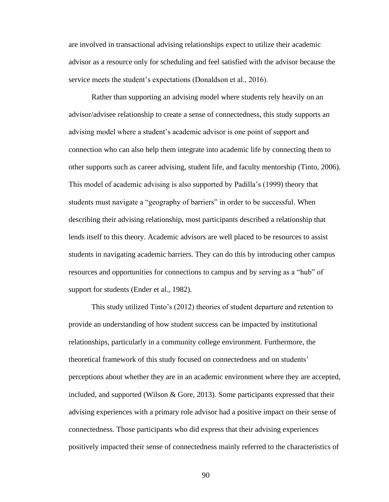are involved in transactional advising relationships expect to utilize their academic advisor as a resource only for scheduling and feel satisfied with the advisor because the service meets the student's expectations (Donaldson et al., 2016).

Rather than supporting an advising model where students rely heavily on an advisor/advisee relationship to create a sense of connectedness, this study supports an advising model where a student's academic advisor is one point of support and connection who can also help them integrate into academic life by connecting them to other supports such as career advising, student life, and faculty mentorship (Tinto, 2006). This model of academic advising is also supported by Padilla's (1999) theory that students must navigate a "geography of barriers" in order to be successful. When describing their advising relationship, most participants described a relationship that lends itself to this theory. Academic advisors are well placed to be resources to assist students in navigating academic barriers. They can do this by introducing other campus resources and opportunities for connections to campus and by serving as a "hub" of support for students (Ender et al., 1982).

This study utilized Tinto's (2012) theories of student departure and retention to provide an understanding of how student success can be impacted by institutional relationships, particularly in a community college environment. Furthermore, the theoretical framework of this study focused on connectedness and on students' perceptions about whether they are in an academic environment where they are accepted, included, and supported (Wilson  $\&$  Gore, 2013). Some participants expressed that their advising experiences with a primary role advisor had a positive impact on their sense of connectedness. Those participants who did express that their advising experiences positively impacted their sense of connectedness mainly referred to the characteristics of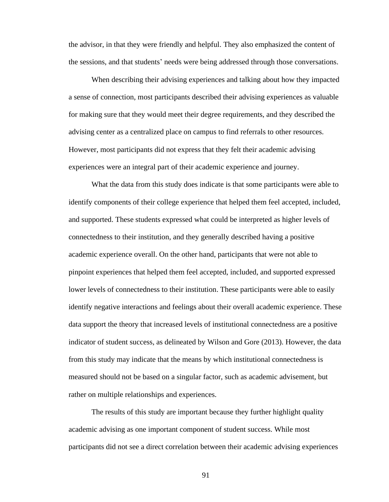the advisor, in that they were friendly and helpful. They also emphasized the content of the sessions, and that students' needs were being addressed through those conversations.

When describing their advising experiences and talking about how they impacted a sense of connection, most participants described their advising experiences as valuable for making sure that they would meet their degree requirements, and they described the advising center as a centralized place on campus to find referrals to other resources. However, most participants did not express that they felt their academic advising experiences were an integral part of their academic experience and journey.

What the data from this study does indicate is that some participants were able to identify components of their college experience that helped them feel accepted, included, and supported. These students expressed what could be interpreted as higher levels of connectedness to their institution, and they generally described having a positive academic experience overall. On the other hand, participants that were not able to pinpoint experiences that helped them feel accepted, included, and supported expressed lower levels of connectedness to their institution. These participants were able to easily identify negative interactions and feelings about their overall academic experience. These data support the theory that increased levels of institutional connectedness are a positive indicator of student success, as delineated by Wilson and Gore (2013). However, the data from this study may indicate that the means by which institutional connectedness is measured should not be based on a singular factor, such as academic advisement, but rather on multiple relationships and experiences.

The results of this study are important because they further highlight quality academic advising as one important component of student success. While most participants did not see a direct correlation between their academic advising experiences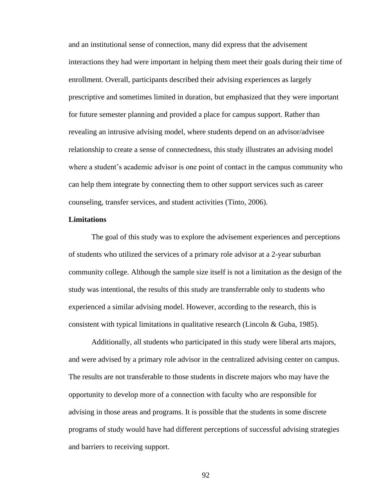and an institutional sense of connection, many did express that the advisement interactions they had were important in helping them meet their goals during their time of enrollment. Overall, participants described their advising experiences as largely prescriptive and sometimes limited in duration, but emphasized that they were important for future semester planning and provided a place for campus support. Rather than revealing an intrusive advising model, where students depend on an advisor/advisee relationship to create a sense of connectedness, this study illustrates an advising model where a student's academic advisor is one point of contact in the campus community who can help them integrate by connecting them to other support services such as career counseling, transfer services, and student activities (Tinto, 2006).

### **Limitations**

The goal of this study was to explore the advisement experiences and perceptions of students who utilized the services of a primary role advisor at a 2-year suburban community college. Although the sample size itself is not a limitation as the design of the study was intentional, the results of this study are transferrable only to students who experienced a similar advising model. However, according to the research, this is consistent with typical limitations in qualitative research (Lincoln & Guba, 1985).

Additionally, all students who participated in this study were liberal arts majors, and were advised by a primary role advisor in the centralized advising center on campus. The results are not transferable to those students in discrete majors who may have the opportunity to develop more of a connection with faculty who are responsible for advising in those areas and programs. It is possible that the students in some discrete programs of study would have had different perceptions of successful advising strategies and barriers to receiving support.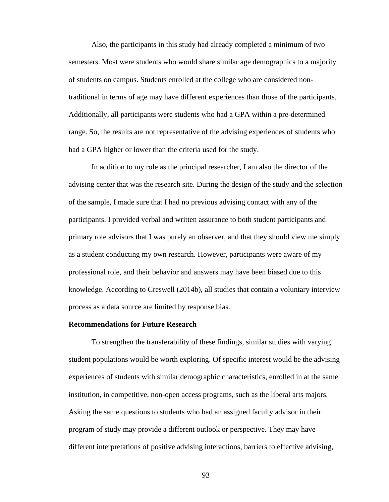Also, the participants in this study had already completed a minimum of two semesters. Most were students who would share similar age demographics to a majority of students on campus. Students enrolled at the college who are considered nontraditional in terms of age may have different experiences than those of the participants. Additionally, all participants were students who had a GPA within a pre-determined range. So, the results are not representative of the advising experiences of students who had a GPA higher or lower than the criteria used for the study.

In addition to my role as the principal researcher, I am also the director of the advising center that was the research site. During the design of the study and the selection of the sample, I made sure that I had no previous advising contact with any of the participants. I provided verbal and written assurance to both student participants and primary role advisors that I was purely an observer, and that they should view me simply as a student conducting my own research. However, participants were aware of my professional role, and their behavior and answers may have been biased due to this knowledge. According to Creswell (2014b), all studies that contain a voluntary interview process as a data source are limited by response bias.

#### **Recommendations for Future Research**

To strengthen the transferability of these findings, similar studies with varying student populations would be worth exploring. Of specific interest would be the advising experiences of students with similar demographic characteristics, enrolled in at the same institution, in competitive, non-open access programs, such as the liberal arts majors. Asking the same questions to students who had an assigned faculty advisor in their program of study may provide a different outlook or perspective. They may have different interpretations of positive advising interactions, barriers to effective advising,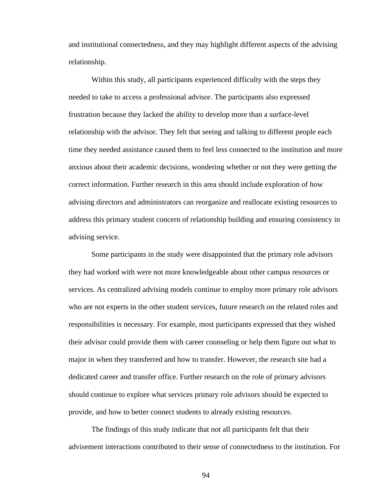and institutional connectedness, and they may highlight different aspects of the advising relationship.

Within this study, all participants experienced difficulty with the steps they needed to take to access a professional advisor. The participants also expressed frustration because they lacked the ability to develop more than a surface-level relationship with the advisor. They felt that seeing and talking to different people each time they needed assistance caused them to feel less connected to the institution and more anxious about their academic decisions, wondering whether or not they were getting the correct information. Further research in this area should include exploration of how advising directors and administrators can reorganize and reallocate existing resources to address this primary student concern of relationship building and ensuring consistency in advising service.

Some participants in the study were disappointed that the primary role advisors they had worked with were not more knowledgeable about other campus resources or services. As centralized advising models continue to employ more primary role advisors who are not experts in the other student services, future research on the related roles and responsibilities is necessary. For example, most participants expressed that they wished their advisor could provide them with career counseling or help them figure out what to major in when they transferred and how to transfer. However, the research site had a dedicated career and transfer office. Further research on the role of primary advisors should continue to explore what services primary role advisors should be expected to provide, and how to better connect students to already existing resources.

The findings of this study indicate that not all participants felt that their advisement interactions contributed to their sense of connectedness to the institution. For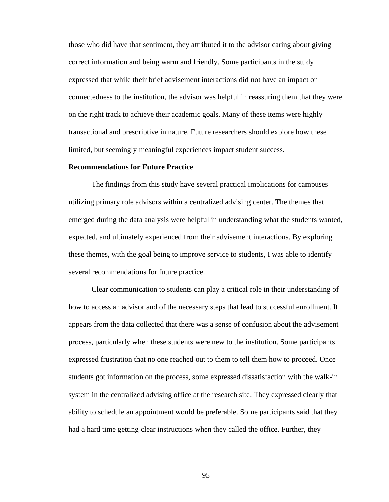those who did have that sentiment, they attributed it to the advisor caring about giving correct information and being warm and friendly. Some participants in the study expressed that while their brief advisement interactions did not have an impact on connectedness to the institution, the advisor was helpful in reassuring them that they were on the right track to achieve their academic goals. Many of these items were highly transactional and prescriptive in nature. Future researchers should explore how these limited, but seemingly meaningful experiences impact student success.

# **Recommendations for Future Practice**

The findings from this study have several practical implications for campuses utilizing primary role advisors within a centralized advising center. The themes that emerged during the data analysis were helpful in understanding what the students wanted, expected, and ultimately experienced from their advisement interactions. By exploring these themes, with the goal being to improve service to students, I was able to identify several recommendations for future practice.

Clear communication to students can play a critical role in their understanding of how to access an advisor and of the necessary steps that lead to successful enrollment. It appears from the data collected that there was a sense of confusion about the advisement process, particularly when these students were new to the institution. Some participants expressed frustration that no one reached out to them to tell them how to proceed. Once students got information on the process, some expressed dissatisfaction with the walk-in system in the centralized advising office at the research site. They expressed clearly that ability to schedule an appointment would be preferable. Some participants said that they had a hard time getting clear instructions when they called the office. Further, they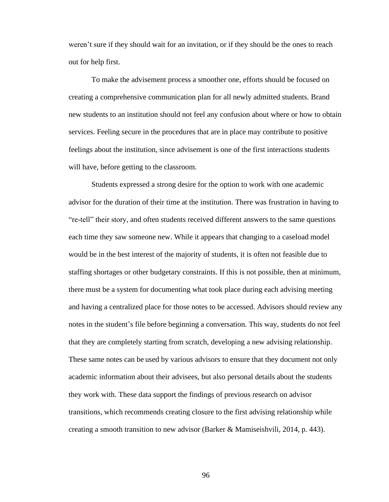weren't sure if they should wait for an invitation, or if they should be the ones to reach out for help first.

To make the advisement process a smoother one, efforts should be focused on creating a comprehensive communication plan for all newly admitted students. Brand new students to an institution should not feel any confusion about where or how to obtain services. Feeling secure in the procedures that are in place may contribute to positive feelings about the institution, since advisement is one of the first interactions students will have, before getting to the classroom.

Students expressed a strong desire for the option to work with one academic advisor for the duration of their time at the institution. There was frustration in having to "re-tell" their story, and often students received different answers to the same questions each time they saw someone new. While it appears that changing to a caseload model would be in the best interest of the majority of students, it is often not feasible due to staffing shortages or other budgetary constraints. If this is not possible, then at minimum, there must be a system for documenting what took place during each advising meeting and having a centralized place for those notes to be accessed. Advisors should review any notes in the student's file before beginning a conversation. This way, students do not feel that they are completely starting from scratch, developing a new advising relationship. These same notes can be used by various advisors to ensure that they document not only academic information about their advisees, but also personal details about the students they work with. These data support the findings of previous research on advisor transitions, which recommends creating closure to the first advising relationship while creating a smooth transition to new advisor (Barker & Mamiseishvili, 2014, p. 443).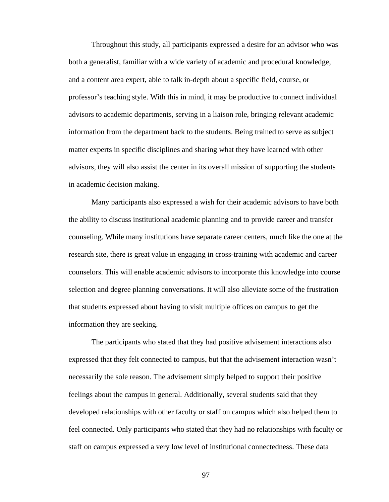Throughout this study, all participants expressed a desire for an advisor who was both a generalist, familiar with a wide variety of academic and procedural knowledge, and a content area expert, able to talk in-depth about a specific field, course, or professor's teaching style. With this in mind, it may be productive to connect individual advisors to academic departments, serving in a liaison role, bringing relevant academic information from the department back to the students. Being trained to serve as subject matter experts in specific disciplines and sharing what they have learned with other advisors, they will also assist the center in its overall mission of supporting the students in academic decision making.

Many participants also expressed a wish for their academic advisors to have both the ability to discuss institutional academic planning and to provide career and transfer counseling. While many institutions have separate career centers, much like the one at the research site, there is great value in engaging in cross-training with academic and career counselors. This will enable academic advisors to incorporate this knowledge into course selection and degree planning conversations. It will also alleviate some of the frustration that students expressed about having to visit multiple offices on campus to get the information they are seeking.

The participants who stated that they had positive advisement interactions also expressed that they felt connected to campus, but that the advisement interaction wasn't necessarily the sole reason. The advisement simply helped to support their positive feelings about the campus in general. Additionally, several students said that they developed relationships with other faculty or staff on campus which also helped them to feel connected. Only participants who stated that they had no relationships with faculty or staff on campus expressed a very low level of institutional connectedness. These data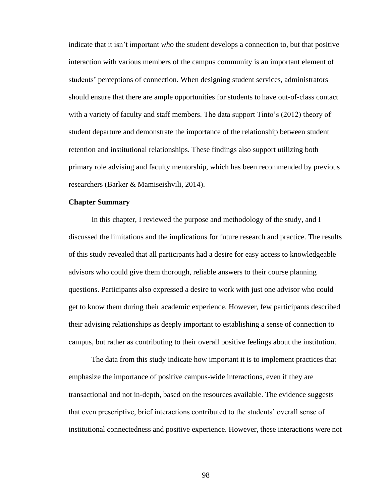indicate that it isn't important *who* the student develops a connection to, but that positive interaction with various members of the campus community is an important element of students' perceptions of connection. When designing student services, administrators should ensure that there are ample opportunities for students to have out-of-class contact with a variety of faculty and staff members. The data support Tinto's (2012) theory of student departure and demonstrate the importance of the relationship between student retention and institutional relationships. These findings also support utilizing both primary role advising and faculty mentorship, which has been recommended by previous researchers (Barker & Mamiseishvili, 2014).

#### **Chapter Summary**

In this chapter, I reviewed the purpose and methodology of the study, and I discussed the limitations and the implications for future research and practice. The results of this study revealed that all participants had a desire for easy access to knowledgeable advisors who could give them thorough, reliable answers to their course planning questions. Participants also expressed a desire to work with just one advisor who could get to know them during their academic experience. However, few participants described their advising relationships as deeply important to establishing a sense of connection to campus, but rather as contributing to their overall positive feelings about the institution.

The data from this study indicate how important it is to implement practices that emphasize the importance of positive campus-wide interactions, even if they are transactional and not in-depth, based on the resources available. The evidence suggests that even prescriptive, brief interactions contributed to the students' overall sense of institutional connectedness and positive experience. However, these interactions were not

98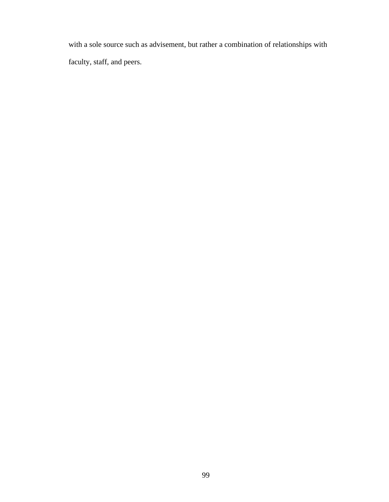with a sole source such as advisement, but rather a combination of relationships with faculty, staff, and peers.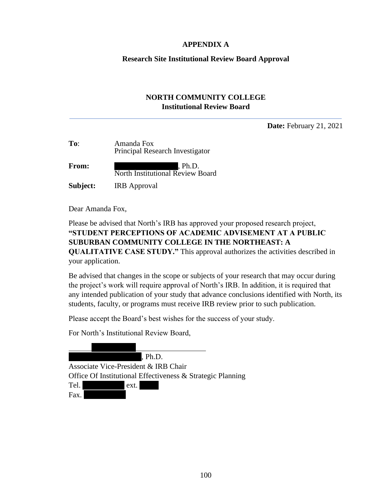# **APPENDIX A**

#### **Research Site Institutional Review Board Approval**

# **NORTH COMMUNITY COLLEGE Institutional Review Board**

**Date:** February 21, 2021

| To:          | Amanda Fox<br>Principal Research Investigator |
|--------------|-----------------------------------------------|
| <b>From:</b> | , Ph.D.<br>North Institutional Review Board   |
| Subject:     | <b>IRB</b> Approval                           |

Dear Amanda Fox,

Please be advised that North's IRB has approved your proposed research project, **"STUDENT PERCEPTIONS OF ACADEMIC ADVISEMENT AT A PUBLIC SUBURBAN COMMUNITY COLLEGE IN THE NORTHEAST: A QUALITATIVE CASE STUDY."** This approval authorizes the activities described in your application.

Be advised that changes in the scope or subjects of your research that may occur during the project's work will require approval of North's IRB. In addition, it is required that any intended publication of your study that advance conclusions identified with North, its students, faculty, or programs must receive IRB review prior to such publication.

Please accept the Board's best wishes for the success of your study.

For North's Institutional Review Board,

 $Ph.D.$ Associate Vice-President & IRB Chair Office Of Institutional Effectiveness & Strategic Planning Tel. ext.

Fax.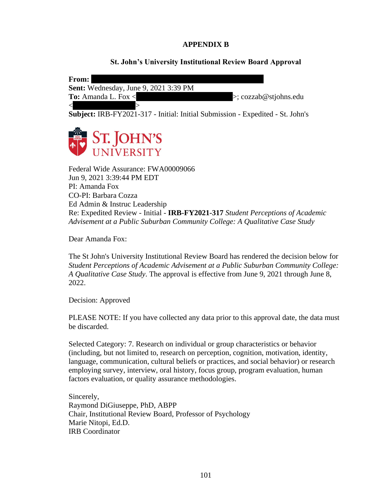# **APPENDIX B**

## **St. John's University Institutional Review Board Approval**

| From:                                        |                                    |
|----------------------------------------------|------------------------------------|
| <b>Sent:</b> Wednesday, June 9, 2021 3:39 PM |                                    |
| <b>To:</b> Amanda L. Fox $\lt$               | $\Rightarrow$ ; cozzab@stjohns.edu |
|                                              |                                    |

**Subject:** IRB-FY2021-317 - Initial: Initial Submission - Expedited - St. John's



Federal Wide Assurance: FWA00009066 Jun 9, 2021 3:39:44 PM EDT PI: Amanda Fox CO-PI: Barbara Cozza Ed Admin & Instruc Leadership Re: Expedited Review - Initial - **IRB-FY2021-317** *Student Perceptions of Academic Advisement at a Public Suburban Community College: A Qualitative Case Study*

Dear Amanda Fox:

The St John's University Institutional Review Board has rendered the decision below for *Student Perceptions of Academic Advisement at a Public Suburban Community College: A Qualitative Case Study*. The approval is effective from June 9, 2021 through June 8, 2022.

Decision: Approved

PLEASE NOTE: If you have collected any data prior to this approval date, the data must be discarded.

Selected Category: 7. Research on individual or group characteristics or behavior (including, but not limited to, research on perception, cognition, motivation, identity, language, communication, cultural beliefs or practices, and social behavior) or research employing survey, interview, oral history, focus group, program evaluation, human factors evaluation, or quality assurance methodologies.

Sincerely, Raymond DiGiuseppe, PhD, ABPP Chair, Institutional Review Board, Professor of Psychology Marie Nitopi, Ed.D. IRB Coordinator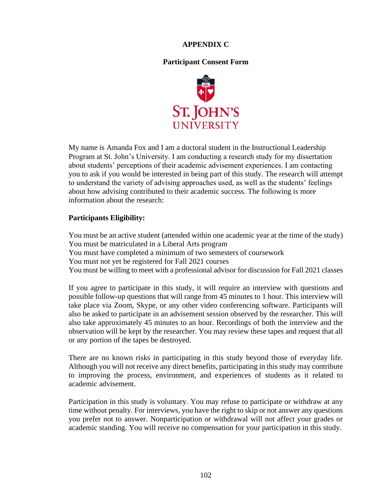# **APPENDIX C**

# **Participant Consent Form**



My name is Amanda Fox and I am a doctoral student in the Instructional Leadership Program at St. John's University. I am conducting a research study for my dissertation about students' perceptions of their academic advisement experiences. I am contacting you to ask if you would be interested in being part of this study. The research will attempt to understand the variety of advising approaches used, as well as the students' feelings about how advising contributed to their academic success. The following is more information about the research:

# **Participants Eligibility:**

You must be an active student (attended within one academic year at the time of the study) You must be matriculated in a Liberal Arts program You must have completed a minimum of two semesters of coursework You must not yet be registered for Fall 2021 courses You must be willing to meet with a professional advisor for discussion for Fall 2021 classes

If you agree to participate in this study, it will require an interview with questions and possible follow-up questions that will range from 45 minutes to 1 hour. This interview will take place via Zoom, Skype, or any other video conferencing software. Participants will also be asked to participate in an advisement session observed by the researcher. This will also take approximately 45 minutes to an hour. Recordings of both the interview and the observation will be kept by the researcher. You may review these tapes and request that all or any portion of the tapes be destroyed.

There are no known risks in participating in this study beyond those of everyday life. Although you will not receive any direct benefits, participating in this study may contribute to improving the process, environment, and experiences of students as it related to academic advisement.

Participation in this study is voluntary. You may refuse to participate or withdraw at any time without penalty. For interviews, you have the right to skip or not answer any questions you prefer not to answer. Nonparticipation or withdrawal will not affect your grades or academic standing. You will receive no compensation for your participation in this study.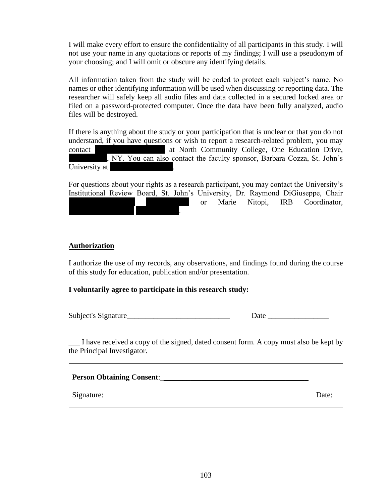I will make every effort to ensure the confidentiality of all participants in this study. I will not use your name in any quotations or reports of my findings; I will use a pseudonym of your choosing; and I will omit or obscure any identifying details.

All information taken from the study will be coded to protect each subject's name. No names or other identifying information will be used when discussing or reporting data. The researcher will safely keep all audio files and data collected in a secured locked area or filed on a password-protected computer. Once the data have been fully analyzed, audio files will be destroyed.

If there is anything about the study or your participation that is unclear or that you do not understand, if you have questions or wish to report a research-related problem, you may contact at North Community College, One Education Drive, , NY. You can also contact the faculty sponsor, Barbara Cozza, St. John's University at

For questions about your rights as a research participant, you may contact the University's Institutional Review Board, St. John's University, Dr. Raymond DiGiuseppe, Chair or Marie Nitopi, IRB Coordinator, nitopimas kalendarum partikulasi kalendarum pada tahun 1940-1440. Ini pertama ke

# **Authorization**

I authorize the use of my records, any observations, and findings found during the course of this study for education, publication and/or presentation.

# **I voluntarily agree to participate in this research study:**

Subject's Signature **Date Date Date Date** 

\_\_\_ I have received a copy of the signed, dated consent form. A copy must also be kept by the Principal Investigator.

| <b>Person Obtaining Consent:</b> |       |
|----------------------------------|-------|
| Signature:                       | Date: |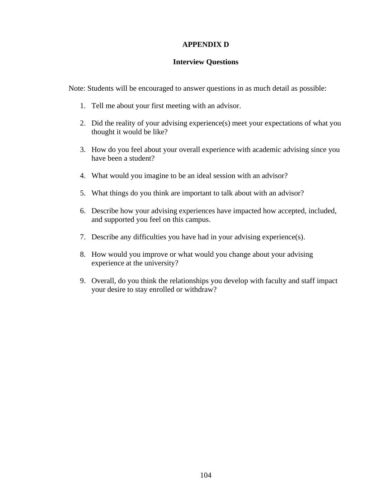#### **APPENDIX D**

#### **Interview Questions**

Note: Students will be encouraged to answer questions in as much detail as possible:

- 1. Tell me about your first meeting with an advisor.
- 2. Did the reality of your advising experience(s) meet your expectations of what you thought it would be like?
- 3. How do you feel about your overall experience with academic advising since you have been a student?
- 4. What would you imagine to be an ideal session with an advisor?
- 5. What things do you think are important to talk about with an advisor?
- 6. Describe how your advising experiences have impacted how accepted, included, and supported you feel on this campus.
- 7. Describe any difficulties you have had in your advising experience(s).
- 8. How would you improve or what would you change about your advising experience at the university?
- 9. Overall, do you think the relationships you develop with faculty and staff impact your desire to stay enrolled or withdraw?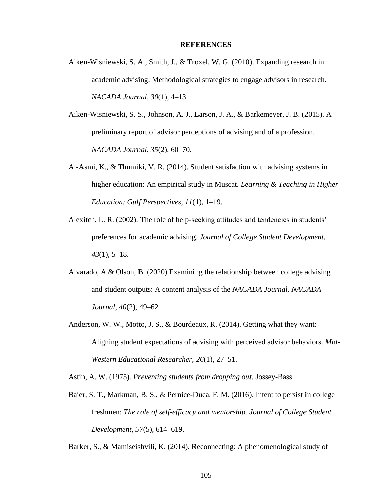#### **REFERENCES**

- Aiken-Wisniewski, S. A., Smith, J., & Troxel, W. G. (2010). Expanding research in academic advising: Methodological strategies to engage advisors in research. *NACADA Journal*, *30*(1), 4–13.
- Aiken-Wisniewski, S. S., Johnson, A. J., Larson, J. A., & Barkemeyer, J. B. (2015). A preliminary report of advisor perceptions of advising and of a profession. *NACADA Journal*, *35*(2), 60–70.
- Al-Asmi, K., & Thumiki, V. R. (2014). Student satisfaction with advising systems in higher education: An empirical study in Muscat. *Learning & Teaching in Higher Education: Gulf Perspectives*, *11*(1), 1–19.
- Alexitch, L. R. (2002). The role of help-seeking attitudes and tendencies in students' preferences for academic advising. *Journal of College Student Development*, *43*(1), 5–18.
- Alvarado, A & Olson, B. (2020) Examining the relationship between college advising and student outputs: A content analysis of the *NACADA Journal*. *NACADA Journal*, *40*(2), 49–62
- Anderson, W. W., Motto, J. S., & Bourdeaux, R. (2014). Getting what they want: Aligning student expectations of advising with perceived advisor behaviors. *Mid-Western Educational Researcher*, *26*(1), 27–51.

Astin, A. W. (1975). *Preventing students from dropping out*. Jossey-Bass.

Baier, S. T., Markman, B. S., & Pernice-Duca, F. M. (2016). Intent to persist in college freshmen: *The role of self-efficacy and mentorship. Journal of College Student Development*, *57*(5), 614–619.

Barker, S., & Mamiseishvili, K. (2014). Reconnecting: A phenomenological study of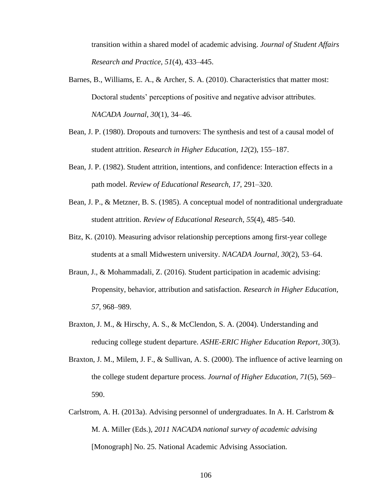transition within a shared model of academic advising. *Journal of Student Affairs Research and Practice*, *51*(4), 433–445.

- Barnes, B., Williams, E. A., & Archer, S. A. (2010). Characteristics that matter most: Doctoral students' perceptions of positive and negative advisor attributes. *NACADA Journal*, *30*(1), 34–46.
- Bean, J. P. (1980). Dropouts and turnovers: The synthesis and test of a causal model of student attrition. *Research in Higher Education*, *12*(2), 155–187.
- Bean, J. P. (1982). Student attrition, intentions, and confidence: Interaction effects in a path model. *Review of Educational Research*, *17*, 291–320.
- Bean, J. P., & Metzner, B. S. (1985). A conceptual model of nontraditional undergraduate student attrition. *Review of Educational Research*, *55*(4), 485–540.
- Bitz, K. (2010). Measuring advisor relationship perceptions among first-year college students at a small Midwestern university. *NACADA Journal, 30*(2), 53–64.
- Braun, J., & Mohammadali, Z. (2016). Student participation in academic advising: Propensity, behavior, attribution and satisfaction. *Research in Higher Education*, *57*, 968–989.
- Braxton, J. M., & Hirschy, A. S., & McClendon, S. A. (2004). Understanding and reducing college student departure. *ASHE-ERIC Higher Education Report*, *30*(3).
- Braxton, J. M., Milem, J. F., & Sullivan, A. S. (2000). The influence of active learning on the college student departure process. *Journal of Higher Education*, *71*(5), 569– 590.
- Carlstrom, A. H. (2013a). Advising personnel of undergraduates. In A. H. Carlstrom  $\&$ M. A. Miller (Eds.), *2011 NACADA national survey of academic advising* [Monograph] No. 25. National Academic Advising Association.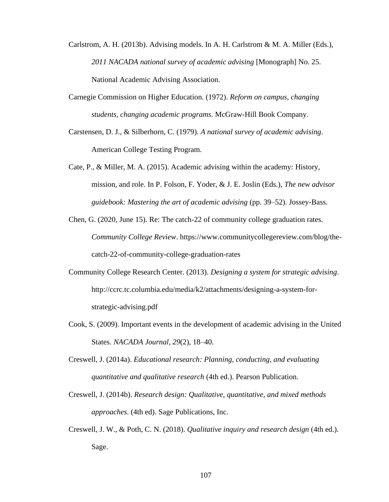- Carlstrom, A. H. (2013b). Advising models. In A. H. Carlstrom & M. A. Miller (Eds.), *2011 NACADA national survey of academic advising* [Monograph] No. 25. National Academic Advising Association.
- Carnegie Commission on Higher Education. (1972). *Reform on campus, changing students, changing academic programs*. McGraw-Hill Book Company.
- Carstensen, D. J., & Silberhorn, C. (1979). *A national survey of academic advising*. American College Testing Program.
- Cate, P., & Miller, M. A. (2015). Academic advising within the academy: History, mission, and role. In P. Folson, F. Yoder, & J. E. Joslin (Eds.), *The new advisor guidebook: Mastering the art of academic advising* (pp. 39–52). Jossey-Bass.
- Chen, G. (2020, June 15). Re: The catch-22 of community college graduation rates. *Community College Review*. https://www.communitycollegereview.com/blog/thecatch-22-of-community-college-graduation-rates
- Community College Research Center. (2013). *Designing a system for strategic advising*. http://ccrc.tc.columbia.edu/media/k2/attachments/designing-a-system-forstrategic-advising.pdf
- Cook, S. (2009). Important events in the development of academic advising in the United States. *NACADA Journal*, *29*(2), 18–40.
- Creswell, J. (2014a). *Educational research: Planning, conducting, and evaluating quantitative and qualitative research* (4th ed.). Pearson Publication.
- Creswell, J. (2014b). *Research design: Qualitative, quantitative, and mixed methods approaches*. (4th ed). Sage Publications, Inc.
- Creswell, J. W., & Poth, C. N. (2018). *Qualitative inquiry and research design* (4th ed.). Sage.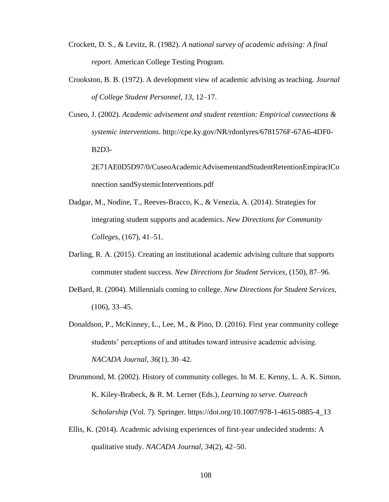- Crockett, D. S., & Levitz, R. (1982). *A national survey of academic advising: A final report*. American College Testing Program.
- Crookston, B. B. (1972). A development view of academic advising as teaching. *Journal of College Student Personnel*, *13*, 12–17.
- Cuseo, J. (2002). *Academic advisement and student retention: Empirical connections & systemic interventions*. http://cpe.ky.gov/NR/rdonlyres/6781576F-67A6-4DF0- B2D3-

2E71AE0D5D97/0/CuseoAcademicAdvisementandStudentRetentionEmpiraclCo nnection sandSystemicInterventions.pdf

- Dadgar, M., Nodine, T., Reeves-Bracco, K., & Venezia, A. (2014). Strategies for integrating student supports and academics. *New Directions for Community Colleges*, (167), 41–51.
- Darling, R. A. (2015). Creating an institutional academic advising culture that supports commuter student success. *New Directions for Student Services*, (150), 87–96.
- DeBard, R. (2004). Millennials coming to college. *New Directions for Student Services*, (106), 33–45.
- Donaldson, P., McKinney, L., Lee, M., & Pino, D. (2016). First year community college students' perceptions of and attitudes toward intrusive academic advising. *NACADA Journal*, *36*(1), 30–42.
- Drummond, M. (2002). History of community colleges. In M. E. Kenny, L. A. K. Simon, K. Kiley-Brabeck, & R. M. Lerner (Eds.), *Learning to serve. Outreach Scholarship* (Vol. 7). Springer. https://doi.org/10.1007/978-1-4615-0885-4\_13
- Ellis, K. (2014). Academic advising experiences of first-year undecided students: A qualitative study. *NACADA Journal*, *34*(2), 42–50.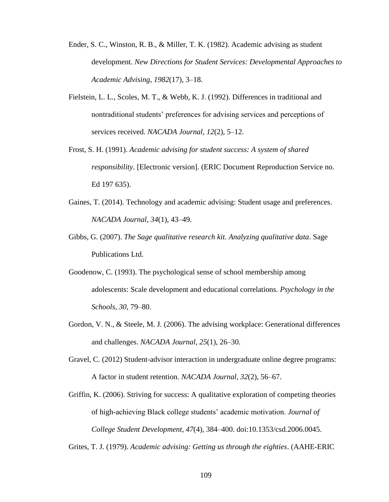- Ender, S. C., Winston, R. B., & Miller, T. K. (1982). Academic advising as student development. *New Directions for Student Services: Developmental Approaches to Academic Advising*, *1982*(17), 3–18.
- Fielstein, L. L., Scoles, M. T., & Webb, K. J. (1992). Differences in traditional and nontraditional students' preferences for advising services and perceptions of services received. *NACADA Journal*, *12*(2), 5–12.
- Frost, S. H. (1991). *Academic advising for student success: A system of shared responsibility*. [Electronic version]. (ERIC Document Reproduction Service no. Ed 197 635).
- Gaines, T. (2014). Technology and academic advising: Student usage and preferences. *NACADA Journal*, *34*(1), 43–49.
- Gibbs, G. (2007). *The Sage qualitative research kit. Analyzing qualitative data*. Sage Publications Ltd.
- Goodenow, C. (1993). The psychological sense of school membership among adolescents: Scale development and educational correlations. *Psychology in the Schools*, *30*, 79–80.
- Gordon, V. N., & Steele, M. J. (2006). The advising workplace: Generational differences and challenges. *NACADA Journal*, *25*(1), 26–30.
- Gravel, C. (2012) Student-advisor interaction in undergraduate online degree programs: A factor in student retention. *NACADA Journal*, *32*(2), 56–67.
- Griffin, K. (2006). Striving for success: A qualitative exploration of competing theories of high-achieving Black college students' academic motivation. *Journal of College Student Development*, *47*(4), 384–400. doi:10.1353/csd.2006.0045.

Grites, T. J. (1979). *Academic advising: Getting us through the eighties*. (AAHE-ERIC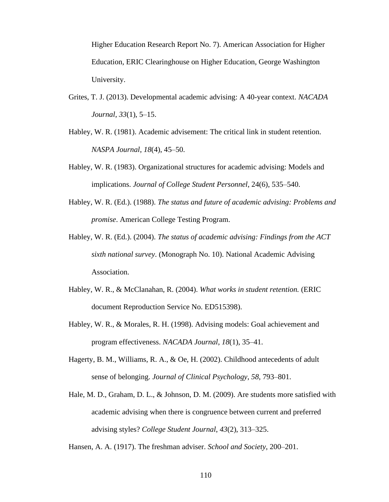Higher Education Research Report No. 7). American Association for Higher Education, ERIC Clearinghouse on Higher Education, George Washington University.

- Grites, T. J. (2013). Developmental academic advising: A 40-year context. *NACADA Journal*, *33*(1), 5–15.
- Habley, W. R. (1981). Academic advisement: The critical link in student retention. *NASPA Journal*, *18*(4), 45–50.
- Habley, W. R. (1983). Organizational structures for academic advising: Models and implications. *Journal of College Student Personnel*, 24(6), 535–540.
- Habley, W. R. (Ed.). (1988). *The status and future of academic advising: Problems and promise*. American College Testing Program.
- Habley, W. R. (Ed.). (2004). *The status of academic advising: Findings from the ACT sixth national survey*. (Monograph No. 10). National Academic Advising Association.
- Habley, W. R., & McClanahan, R. (2004). *What works in student retention.* (ERIC document Reproduction Service No. ED515398).
- Habley, W. R., & Morales, R. H. (1998). Advising models: Goal achievement and program effectiveness. *NACADA Journal*, *18*(1), 35–41.
- Hagerty, B. M., Williams, R. A., & Oe, H. (2002). Childhood antecedents of adult sense of belonging. *Journal of Clinical Psychology*, *58*, 793–801.
- Hale, M. D., Graham, D. L., & Johnson, D. M. (2009). Are students more satisfied with academic advising when there is congruence between current and preferred advising styles? *College Student Journal*, *43*(2), 313–325.

Hansen, A. A. (1917). The freshman adviser. *School and Society*, 200–201.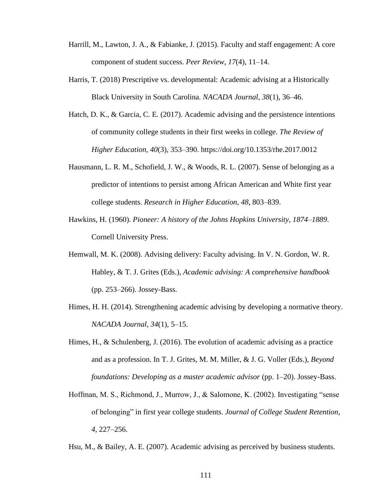- Harrill, M., Lawton, J. A., & Fabianke, J. (2015). Faculty and staff engagement: A core component of student success. *Peer Review*, *17*(4), 11–14.
- Harris, T. (2018) Prescriptive vs. developmental: Academic advising at a Historically Black University in South Carolina. *NACADA Journal*, *38*(1), 36–46.
- Hatch, D. K., & Garcia, C. E. (2017). Academic advising and the persistence intentions of community college students in their first weeks in college. *The Review of Higher Education*, *40*(3), 353–390. https://doi.org/10.1353/rhe.2017.0012
- Hausmann, L. R. M., Schofield, J. W., & Woods, R. L. (2007). Sense of belonging as a predictor of intentions to persist among African American and White first year college students. *Research in Higher Education*, *48*, 803–839.
- Hawkins, H. (1960). *Pioneer: A history of the Johns Hopkins University, 1874–1889*. Cornell University Press.
- Hemwall, M. K. (2008). Advising delivery: Faculty advising. In V. N. Gordon, W. R. Habley, & T. J. Grites (Eds.), *Academic advising: A comprehensive handbook* (pp. 253–266). Jossey-Bass.
- Himes, H. H. (2014). Strengthening academic advising by developing a normative theory. *NACADA Journal*, *34*(1), 5–15.
- Himes, H., & Schulenberg, J. (2016). The evolution of academic advising as a practice and as a profession. In T. J. Grites, M. M. Miller, & J. G. Voller (Eds.), *Beyond foundations: Developing as a master academic advisor* (pp. 1–20). Jossey-Bass.
- Hoffman, M. S., Richmond, J., Murrow, J., & Salomone, K. (2002). Investigating "sense of belonging" in first year college students. *Journal of College Student Retention*, *4*, 227–256.

Hsu, M., & Bailey, A. E. (2007). Academic advising as perceived by business students.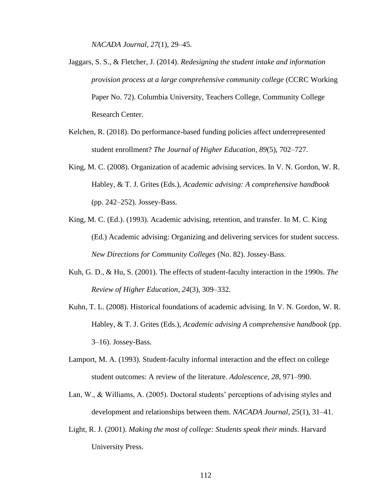*NACADA Journal*, *27*(1), 29–45.

- Jaggars, S. S., & Fletcher, J. (2014). *Redesigning the student intake and information provision process at a large comprehensive community college* (CCRC Working Paper No. 72). Columbia University, Teachers College, Community College Research Center.
- Kelchen, R. (2018). Do performance-based funding policies affect underrepresented student enrollment? *The Journal of Higher Education*, *89*(5), 702–727.
- King, M. C. (2008). Organization of academic advising services. In V. N. Gordon, W. R. Habley, & T. J. Grites (Eds.), *Academic advising: A comprehensive handbook* (pp. 242–252). Jossey-Bass.
- King, M. C. (Ed.). (1993). Academic advising, retention, and transfer. In M. C. King (Ed.) Academic advising: Organizing and delivering services for student success. *New Directions for Community Colleges* (No. 82). Jossey-Bass.
- Kuh, G. D., & Hu, S. (2001). The effects of student-faculty interaction in the 1990s. *The Review of Higher Education*, *24*(3), 309–332.
- Kuhn, T. L. (2008). Historical foundations of academic advising. In V. N. Gordon, W. R. Habley, & T. J. Grites (Eds.), *Academic advising A comprehensive handbook* (pp. 3–16). Jossey-Bass.
- Lamport, M. A. (1993). Student-faculty informal interaction and the effect on college student outcomes: A review of the literature. *Adolescence*, *28*, 971–990.
- Lan, W., & Williams, A. (2005). Doctoral students' perceptions of advising styles and development and relationships between them. *NACADA Journal*, *25*(1), 31–41.
- Light, R. J. (2001). *Making the most of college: Students speak their minds*. Harvard University Press.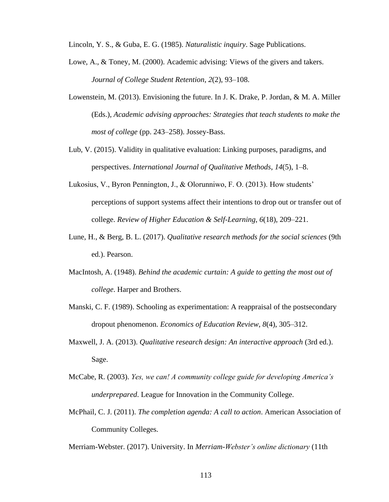Lincoln, Y. S., & Guba, E. G. (1985). *Naturalistic inquiry*. Sage Publications.

- Lowe, A., & Toney, M. (2000). Academic advising: Views of the givers and takers. *Journal of College Student Retention*, *2*(2), 93–108.
- Lowenstein, M. (2013). Envisioning the future. In J. K. Drake, P. Jordan, & M. A. Miller (Eds.), *Academic advising approaches: Strategies that teach students to make the most of college* (pp. 243–258). Jossey-Bass.
- Lub, V. (2015). Validity in qualitative evaluation: Linking purposes, paradigms, and perspectives. *International Journal of Qualitative Methods*, *14*(5), 1–8.
- Lukosius, V., Byron Pennington, J., & Olorunniwo, F. O. (2013). How students' perceptions of support systems affect their intentions to drop out or transfer out of college. *Review of Higher Education & Self-Learning*, *6*(18), 209–221.
- Lune, H., & Berg, B. L. (2017). *Qualitative research methods for the social sciences* (9th ed.). Pearson.
- MacIntosh, A. (1948). *Behind the academic curtain: A guide to getting the most out of college*. Harper and Brothers.
- Manski, C. F. (1989). Schooling as experimentation: A reappraisal of the postsecondary dropout phenomenon. *Economics of Education Review*, *8*(4), 305–312.
- Maxwell, J. A. (2013). *Qualitative research design: An interactive approach* (3rd ed.). Sage.
- McCabe, R. (2003). *Yes, we can! A community college guide for developing America's underprepared*. League for Innovation in the Community College.
- McPhail, C. J. (2011). *The completion agenda: A call to action*. American Association of Community Colleges.

Merriam-Webster. (2017). University. In *Merriam-Webster's online dictionary* (11th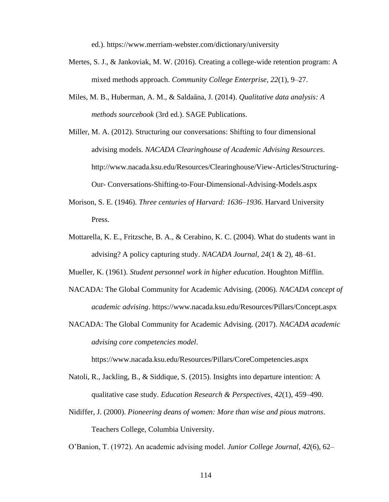ed.). https://www.merriam-webster.com/dictionary/university

- Mertes, S. J., & Jankoviak, M. W. (2016). Creating a college-wide retention program: A mixed methods approach. *Community College Enterprise*, *22*(1), 9–27.
- Miles, M. B., Huberman, A. M., & Saldaäna, J. (2014). *Qualitative data analysis: A methods sourcebook* (3rd ed.). SAGE Publications.
- Miller, M. A. (2012). Structuring our conversations: Shifting to four dimensional advising models. *NACADA Clearinghouse of Academic Advising Resources*. http://www.nacada.ksu.edu/Resources/Clearinghouse/View-Articles/Structuring-Our- Conversations-Shifting-to-Four-Dimensional-Advising-Models.aspx
- Morison, S. E. (1946). *Three centuries of Harvard: 1636–1936*. Harvard University Press.
- Mottarella, K. E., Fritzsche, B. A., & Cerabino, K. C. (2004). What do students want in advising? A policy capturing study. *NACADA Journal*, *24*(1 & 2), 48–61.

Mueller, K. (1961). *Student personnel work in higher education*. Houghton Mifflin.

- NACADA: The Global Community for Academic Advising. (2006). *NACADA concept of academic advising*. https://www.nacada.ksu.edu/Resources/Pillars/Concept.aspx
- NACADA: The Global Community for Academic Advising. (2017). *NACADA academic advising core competencies model*.

https://www.nacada.ksu.edu/Resources/Pillars/CoreCompetencies.aspx

- Natoli, R., Jackling, B., & Siddique, S. (2015). Insights into departure intention: A qualitative case study. *Education Research & Perspectives*, *42*(1), 459–490.
- Nidiffer, J. (2000). *Pioneering deans of women: More than wise and pious matrons*. Teachers College, Columbia University.

O'Banion, T. (1972). An academic advising model. *Junior College Journal*, *42*(6), 62–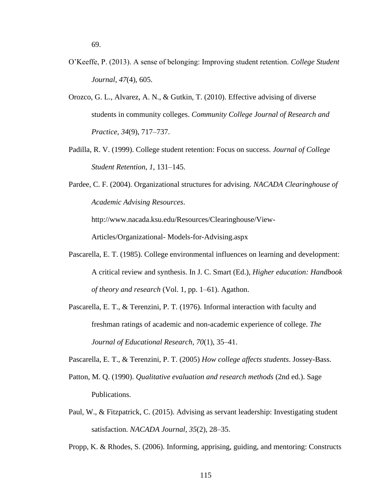- O'Keeffe, P. (2013). A sense of belonging: Improving student retention. *College Student Journal*, *47*(4), 605.
- Orozco, G. L., Alvarez, A. N., & Gutkin, T. (2010). Effective advising of diverse students in community colleges. *Community College Journal of Research and Practice*, *34*(9), 717–737.
- Padilla, R. V. (1999). College student retention: Focus on success. *Journal of College Student Retention*, *1*, 131–145.
- Pardee, C. F. (2004). Organizational structures for advising. *NACADA Clearinghouse of Academic Advising Resources*.

http://www.nacada.ksu.edu/Resources/Clearinghouse/View-

Articles/Organizational- Models-for-Advising.aspx

- Pascarella, E. T. (1985). College environmental influences on learning and development: A critical review and synthesis. In J. C. Smart (Ed.), *Higher education: Handbook of theory and research* (Vol. 1, pp. 1–61). Agathon.
- Pascarella, E. T., & Terenzini, P. T. (1976). Informal interaction with faculty and freshman ratings of academic and non-academic experience of college. *The Journal of Educational Research*, *70*(1), 35–41.

Pascarella, E. T., & Terenzini, P. T. (2005) *How college affects students*. Jossey-Bass.

- Patton, M. Q. (1990). *Qualitative evaluation and research methods* (2nd ed.). Sage Publications.
- Paul, W., & Fitzpatrick, C. (2015). Advising as servant leadership: Investigating student satisfaction. *NACADA Journal*, *35*(2), 28–35.

Propp, K. & Rhodes, S. (2006). Informing, apprising, guiding, and mentoring: Constructs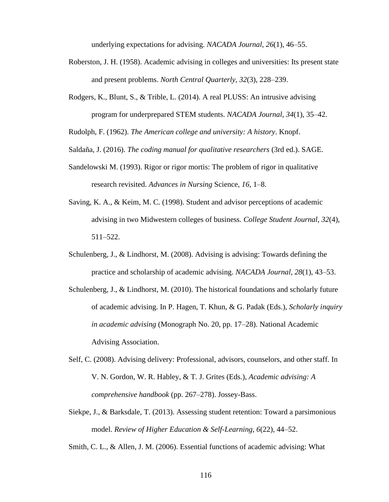underlying expectations for advising. *NACADA Journal*, *26*(1), 46–55.

- Roberston, J. H. (1958). Academic advising in colleges and universities: Its present state and present problems. *North Central Quarterly*, *32*(3), 228–239.
- Rodgers, K., Blunt, S., & Trible, L. (2014). A real PLUSS: An intrusive advising program for underprepared STEM students. *NACADA Journal*, *34*(1), 35–42.
- Rudolph, F. (1962). *The American college and university: A history*. Knopf.
- Saldaña, J. (2016). *The coding manual for qualitative researchers* (3rd ed.). SAGE.
- Sandelowski M. (1993). Rigor or rigor mortis: The problem of rigor in qualitative research revisited. *Advances in Nursing* Science, *16*, 1–8.
- Saving, K. A., & Keim, M. C. (1998). Student and advisor perceptions of academic advising in two Midwestern colleges of business. *College Student Journal*, *32*(4), 511–522.
- Schulenberg, J., & Lindhorst, M. (2008). Advising is advising: Towards defining the practice and scholarship of academic advising. *NACADA Journal*, *28*(1), 43–53.
- Schulenberg, J., & Lindhorst, M. (2010). The historical foundations and scholarly future of academic advising. In P. Hagen, T. Khun, & G. Padak (Eds.), *Scholarly inquiry in academic advising* (Monograph No. 20, pp. 17–28). National Academic Advising Association.
- Self, C. (2008). Advising delivery: Professional, advisors, counselors, and other staff. In V. N. Gordon, W. R. Habley, & T. J. Grites (Eds.), *Academic advising: A comprehensive handbook* (pp. 267–278). Jossey-Bass.
- Siekpe, J., & Barksdale, T. (2013). Assessing student retention: Toward a parsimonious model. *Review of Higher Education & Self-Learning*, *6*(22), 44–52.

Smith, C. L., & Allen, J. M. (2006). Essential functions of academic advising: What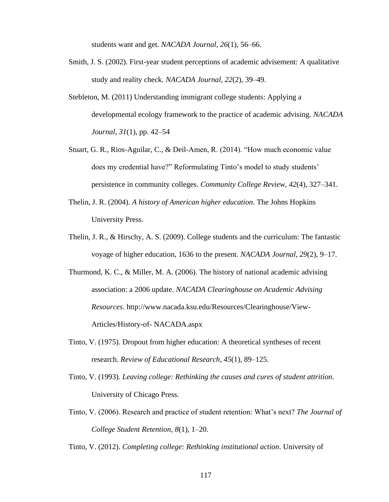students want and get. *NACADA Journal*, *26*(1), 56–66.

- Smith, J. S. (2002). First-year student perceptions of academic advisement: A qualitative study and reality check. *NACADA Journal*, *22*(2), 39–49.
- Stebleton, M. (2011) Understanding immigrant college students: Applying a developmental ecology framework to the practice of academic advising. *NACADA Journal*, *31*(1), pp. 42–54
- Stuart, G. R., Rios-Aguilar, C., & Deil-Amen, R. (2014). "How much economic value does my credential have?" Reformulating Tinto's model to study students' persistence in community colleges. *Community College Review*, *42*(4), 327–341.
- Thelin, J. R. (2004). *A history of American higher education*. The Johns Hopkins University Press.
- Thelin, J. R., & Hirschy, A. S. (2009). College students and the curriculum: The fantastic voyage of higher education, 1636 to the present. *NACADA Journal*, *29*(2), 9–17.
- Thurmond, K. C., & Miller, M. A. (2006). The history of national academic advising association: a 2006 update. *NACADA Clearinghouse on Academic Advising Resources*. http://www.nacada.ksu.edu/Resources/Clearinghouse/View-Articles/History-of- NACADA.aspx
- Tinto, V. (1975). Dropout from higher education: A theoretical syntheses of recent research. *Review of Educational Research*, *45*(1), 89–125.
- Tinto, V. (1993). *Leaving college: Rethinking the causes and cures of student attrition*. University of Chicago Press.
- Tinto, V. (2006). Research and practice of student retention: What's next? *The Journal of College Student Retention*, *8*(1), 1–20.

Tinto, V. (2012). *Completing college: Rethinking institutional action*. University of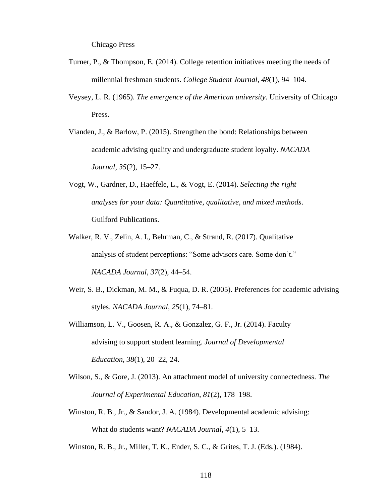Chicago Press

- Turner, P., & Thompson, E. (2014). College retention initiatives meeting the needs of millennial freshman students. *College Student Journal*, *48*(1), 94–104.
- Veysey, L. R. (1965). *The emergence of the American university*. University of Chicago Press.
- Vianden, J., & Barlow, P. (2015). Strengthen the bond: Relationships between academic advising quality and undergraduate student loyalty. *NACADA Journal*, *35*(2), 15–27.
- Vogt, W., Gardner, D., Haeffele, L., & Vogt, E. (2014). *Selecting the right analyses for your data: Quantitative, qualitative, and mixed methods*. Guilford Publications.
- Walker, R. V., Zelin, A. I., Behrman, C., & Strand, R. (2017). Qualitative analysis of student perceptions: "Some advisors care. Some don't." *NACADA Journal*, *37*(2), 44–54.
- Weir, S. B., Dickman, M. M., & Fuqua, D. R. (2005). Preferences for academic advising styles. *NACADA Journal*, *25*(1), 74–81.
- Williamson, L. V., Goosen, R. A., & Gonzalez, G. F., Jr. (2014). Faculty advising to support student learning. *Journal of Developmental Education*, *38*(1), 20–22, 24.
- Wilson, S., & Gore, J. (2013). An attachment model of university connectedness. *The Journal of Experimental Education*, *81*(2), 178–198.
- Winston, R. B., Jr., & Sandor, J. A. (1984). Developmental academic advising: What do students want? *NACADA Journal*, *4*(1), 5–13.

Winston, R. B., Jr., Miller, T. K., Ender, S. C., & Grites, T. J. (Eds.). (1984).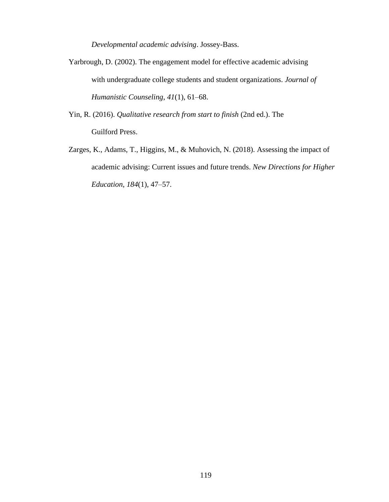*Developmental academic advising*. Jossey-Bass.

- Yarbrough, D. (2002). The engagement model for effective academic advising with undergraduate college students and student organizations. *Journal of Humanistic Counseling*, *41*(1), 61–68.
- Yin, R. (2016). *Qualitative research from start to finish* (2nd ed.). The Guilford Press.
- Zarges, K., Adams, T., Higgins, M., & Muhovich, N. (2018). Assessing the impact of academic advising: Current issues and future trends. *New Directions for Higher Education*, *184*(1), 47–57.